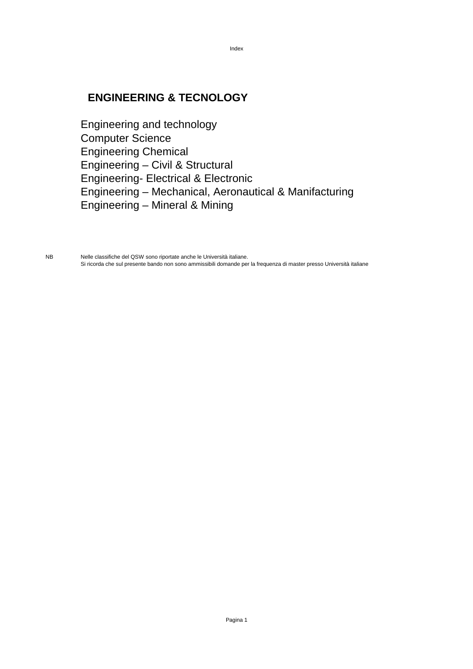### **ENGINEERING & TECNOLOGY**

Engineering and technology Computer Science Engineering Chemical Engineering – Civil & Structural Engineering- Electrical & Electronic Engineering – Mechanical, Aeronautical & Manifacturing Engineering – Mineral & Mining

Index

NB Nelle classifiche del QSW sono riportate anche le Università italiane. Si ricorda che sul presente bando non sono ammissibili domande per la frequenza di master presso Università italiane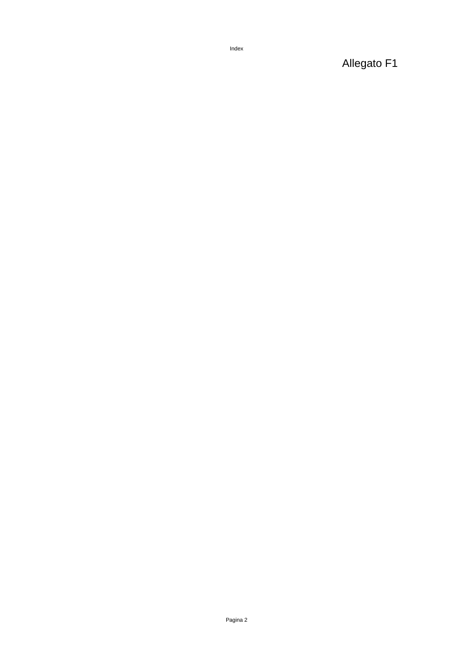Index

Allegato F1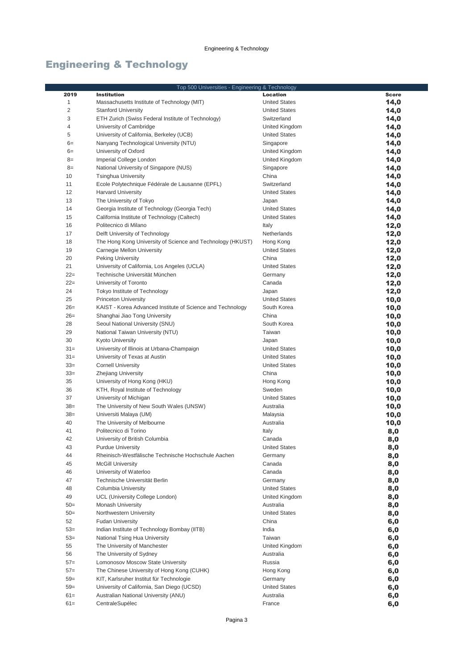|                | Top 500 Universities - Engineering & Technology              |                      |              |
|----------------|--------------------------------------------------------------|----------------------|--------------|
| 2019           | <b>Institution</b>                                           | <b>Location</b>      | <b>Score</b> |
| 1              | Massachusetts Institute of Technology (MIT)                  | <b>United States</b> | 14,0         |
| $\overline{c}$ | <b>Stanford University</b>                                   | <b>United States</b> | 14,0         |
| 3              | ETH Zurich (Swiss Federal Institute of Technology)           | Switzerland          | 14,0         |
| 4              | University of Cambridge                                      | United Kingdom       | 14,0         |
| 5              | University of California, Berkeley (UCB)                     | <b>United States</b> | 14,0         |
| $6=$           | Nanyang Technological University (NTU)                       | Singapore            | 14,0         |
| $6=$           | University of Oxford                                         | United Kingdom       | 14,0         |
| $8=$           | Imperial College London                                      | United Kingdom       | 14,0         |
| $8=$           | National University of Singapore (NUS)                       | Singapore            | 14,0         |
| 10             | <b>Tsinghua University</b>                                   | China                | 14,0         |
| 11             | Ecole Polytechnique Fédérale de Lausanne (EPFL)              | Switzerland          | 14,0         |
| 12             | <b>Harvard University</b>                                    | <b>United States</b> | 14,0         |
| 13             | The University of Tokyo                                      | Japan                | 14,0         |
| 14             | Georgia Institute of Technology (Georgia Tech)               | <b>United States</b> | 14,0         |
| 15             | California Institute of Technology (Caltech)                 | <b>United States</b> | 14,0         |
| 16             | Politecnico di Milano                                        | Italy                | 12,0         |
| 17             | Delft University of Technology                               | Netherlands          | 12,0         |
| 18             | The Hong Kong University of Science and Technology (HKUST)   | Hong Kong            | 12,0         |
| 19             | Carnegie Mellon University                                   | <b>United States</b> | 12,0         |
| 20             | Peking University                                            | China                | 12,0         |
| 21             | University of California, Los Angeles (UCLA)                 | <b>United States</b> | 12,0         |
| $22 =$         | Technische Universität München                               | Germany              | 12,0         |
| $22 =$         | University of Toronto                                        | Canada               | 12,0         |
| 24             | Tokyo Institute of Technology                                | Japan                | 12,0         |
| 25             | <b>Princeton University</b>                                  | <b>United States</b> | 10,0         |
| $26=$          | KAIST - Korea Advanced Institute of Science and Technology   | South Korea          | 10,0         |
| $26=$          | Shanghai Jiao Tong University                                | China                | 10,0         |
| 28             | Seoul National University (SNU)                              | South Korea          | 10,0         |
| 29             | National Taiwan University (NTU)                             | Taiwan               | 10,0         |
| 30             | <b>Kyoto University</b>                                      | Japan                | 10,0         |
| $31 =$         | University of Illinois at Urbana-Champaign                   | <b>United States</b> | 10,0         |
| $31 =$         | University of Texas at Austin                                | <b>United States</b> | 10,0         |
| $33=$          | <b>Cornell University</b>                                    | <b>United States</b> | 10,0         |
| $33=$<br>35    | <b>Zhejiang University</b>                                   | China                | 10,0         |
| 36             | University of Hong Kong (HKU)                                | Hong Kong<br>Sweden  | 10,0         |
| 37             | KTH, Royal Institute of Technology<br>University of Michigan | <b>United States</b> | 10,0         |
| $38=$          | The University of New South Wales (UNSW)                     | Australia            | 10,0<br>10,0 |
| $38=$          | Universiti Malaya (UM)                                       | Malaysia             | 10,0         |
| 40             | The University of Melbourne                                  | Australia            | 10,0         |
| 41             | Politecnico di Torino                                        | Italy                | 8,0          |
| 42             | University of British Columbia                               | Canada               | 8,0          |
| 43             | <b>Purdue University</b>                                     | <b>United States</b> | 8,0          |
| 44             | Rheinisch-Westfälische Technische Hochschule Aachen          | Germany              | 8,0          |
| 45             | <b>McGill University</b>                                     | Canada               | 8,0          |
| 46             | University of Waterloo                                       | Canada               | 8,0          |
| 47             | Technische Universität Berlin                                | Germany              | 8,0          |
| 48             | Columbia University                                          | <b>United States</b> | 8,0          |
| 49             | UCL (University College London)                              | United Kingdom       | 8,0          |
| $50=$          | Monash University                                            | Australia            | 8,0          |
| $50=$          | Northwestern University                                      | <b>United States</b> | 8,0          |
| 52             | <b>Fudan University</b>                                      | China                | 6,0          |
| $53=$          | Indian Institute of Technology Bombay (IITB)                 | India                | 6,0          |
| $53=$          | National Tsing Hua University                                | Taiwan               | 6,0          |
| 55             | The University of Manchester                                 | United Kingdom       | 6,0          |
| 56             | The University of Sydney                                     | Australia            | 6,0          |
| $57=$          | Lomonosov Moscow State University                            | Russia               | 6,0          |
| $57 =$         | The Chinese University of Hong Kong (CUHK)                   | Hong Kong            | 6,0          |
| $59=$          | KIT, Karlsruher Institut für Technologie                     | Germany              | 6,0          |
| $59=$          | University of California, San Diego (UCSD)                   | <b>United States</b> | 6,0          |
| $61 =$         | Australian National University (ANU)                         | Australia            | 6,0          |
| $61 =$         | CentraleSupélec                                              | France               | 6,0          |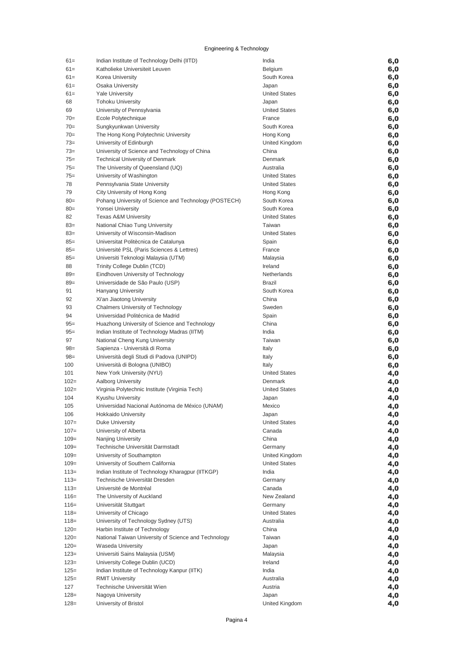| $61 =$           | Indian Institute of Technology Delhi (IITD)                 | India                             | 6,0        |
|------------------|-------------------------------------------------------------|-----------------------------------|------------|
| $61 =$           | Katholieke Universiteit Leuven                              | Belgium                           | 6,0        |
| $61 =$           | Korea University                                            | South Korea                       | 6,0        |
| $61 =$           | Osaka University                                            | Japan                             | 6,0        |
| $61 =$           | <b>Yale University</b>                                      | <b>United States</b>              | 6,0        |
| 68               | <b>Tohoku University</b>                                    | Japan                             | 6,0        |
| 69               | University of Pennsylvania                                  | <b>United States</b>              | 6,0        |
| $70 =$           | Ecole Polytechnique                                         | France                            | 6,0        |
| $70=$            | Sungkyunkwan University                                     | South Korea                       | 6,0        |
| $70=$            | The Hong Kong Polytechnic University                        | Hong Kong                         | 6,0        |
| $73=$            | University of Edinburgh                                     | United Kingdom                    | 6,0        |
| $73=$            | University of Science and Technology of China               | China                             | 6,0        |
| $75 =$           | <b>Technical University of Denmark</b>                      | Denmark                           | 6,0        |
| $75 =$<br>$75 =$ | The University of Queensland (UQ)                           | Australia<br><b>United States</b> | 6,0        |
| 78               | University of Washington<br>Pennsylvania State University   | <b>United States</b>              | 6,0        |
| 79               | City University of Hong Kong                                | Hong Kong                         | 6,0<br>6,0 |
| $80 =$           | Pohang University of Science and Technology (POSTECH)       | South Korea                       | 6,0        |
| $80 =$           | Yonsei University                                           | South Korea                       | 6,0        |
| 82               | <b>Texas A&amp;M University</b>                             | <b>United States</b>              | 6,0        |
| $83=$            | National Chiao Tung University                              | Taiwan                            | 6,0        |
| $83=$            | University of Wisconsin-Madison                             | <b>United States</b>              | 6,0        |
| $85=$            | Universitat Politècnica de Catalunya                        | Spain                             | 6,0        |
| $85 =$           | Université PSL (Paris Sciences & Lettres)                   | France                            | 6,0        |
| $85 =$           | Universiti Teknologi Malaysia (UTM)                         | Malaysia                          | 6,0        |
| 88               | Trinity College Dublin (TCD)                                | Ireland                           | 6,0        |
| $89=$            | Eindhoven University of Technology                          | Netherlands                       | 6,0        |
| $89 =$           | Universidade de São Paulo (USP)                             | <b>Brazil</b>                     | 6,0        |
| 91               | <b>Hanyang University</b>                                   | South Korea                       | 6,0        |
| 92               | Xi'an Jiaotong University                                   | China                             | 6,0        |
| 93               | Chalmers University of Technology                           | Sweden                            | 6,0        |
| 94               | Universidad Politécnica de Madrid                           | Spain                             | 6,0        |
| $95 =$           | Huazhong University of Science and Technology               | China                             | 6,0        |
| $95 =$           | Indian Institute of Technology Madras (IITM)                | India                             | 6,0        |
| 97               | National Cheng Kung University                              | Taiwan                            | 6,0        |
| $98 =$           | Sapienza - Università di Roma                               | Italy                             | 6,0        |
| $98 =$           | Università degli Studi di Padova (UNIPD)                    | Italy                             | 6,0        |
| 100<br>101       | Università di Bologna (UNIBO)<br>New York University (NYU)  | Italy<br><b>United States</b>     | 6,0        |
| $102 =$          | Aalborg University                                          | Denmark                           | 4,0<br>4,0 |
| $102 =$          | Virginia Polytechnic Institute (Virginia Tech)              | <b>United States</b>              | 4,0        |
| 104              | Kyushu University                                           | Japan                             | 4,0        |
| 105              | Universidad Nacional Autónoma de México (UNAM)              | Mexico                            | 4,0        |
| 106              | <b>Hokkaido University</b>                                  | Japan                             | 4,0        |
| $107 =$          | Duke University                                             | <b>United States</b>              | 4,0        |
| $107 =$          | University of Alberta                                       | Canada                            | 4,0        |
| $109 =$          | Nanjing University                                          | China                             | 4,0        |
| $109 =$          | Technische Universität Darmstadt                            | Germany                           | 4,0        |
| $109 =$          | University of Southampton                                   | United Kingdom                    | 4,0        |
| $109 =$          | University of Southern California                           | <b>United States</b>              | 4,0        |
| $113=$           | Indian Institute of Technology Kharagpur (IITKGP)           | India                             | 4,0        |
| $113=$           | Technische Universität Dresden                              | Germany                           | 4,0        |
| $113=$           | Université de Montréal                                      | Canada                            | 4,0        |
| $116=$           | The University of Auckland                                  | New Zealand                       | 4,0        |
| $116=$           | Universität Stuttgart                                       | Germany                           | 4,0        |
| $118 =$          | University of Chicago                                       | <b>United States</b>              | 4,0        |
| $118 =$          | University of Technology Sydney (UTS)                       | Australia                         | 4,0        |
| $120=$           | Harbin Institute of Technology                              | China                             | 4,0        |
| $120=$           | National Taiwan University of Science and Technology        | Taiwan                            | 4,0        |
| $120=$<br>$123=$ | <b>Waseda University</b><br>Universiti Sains Malaysia (USM) | Japan<br>Malaysia                 | 4,0        |
| $123=$           | University College Dublin (UCD)                             | Ireland                           | 4,0<br>4,0 |
| $125=$           | Indian Institute of Technology Kanpur (IITK)                | India                             | 4,0        |
| $125=$           | <b>RMIT University</b>                                      | Australia                         | 4,0        |
| 127              | Technische Universität Wien                                 | Austria                           | 4,0        |
| $128=$           | Nagoya University                                           | Japan                             | 4,0        |
| $128=$           | University of Bristol                                       | United Kingdom                    | 4,0        |
|                  |                                                             |                                   |            |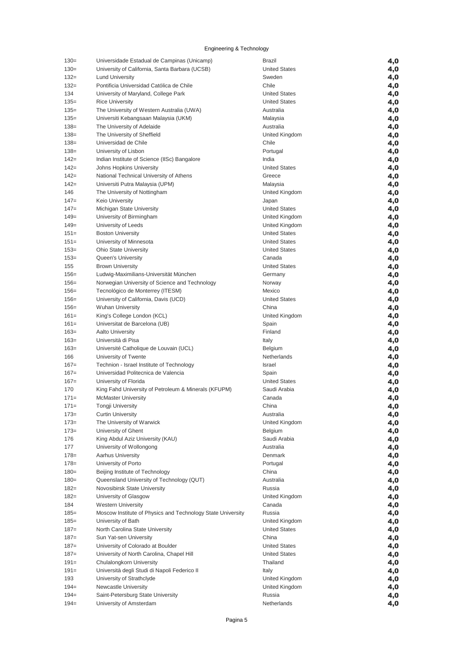| $130=$  | Universidade Estadual de Campinas (Unicamp)                 | <b>Brazil</b>        | 4,0 |
|---------|-------------------------------------------------------------|----------------------|-----|
| $130=$  | University of California, Santa Barbara (UCSB)              | <b>United States</b> | 4,0 |
| $132=$  | <b>Lund University</b>                                      | Sweden               | 4,0 |
| $132=$  | Pontificia Universidad Católica de Chile                    | Chile                | 4,0 |
| 134     | University of Maryland, College Park                        | <b>United States</b> | 4,0 |
| $135=$  | <b>Rice University</b>                                      | <b>United States</b> | 4,0 |
| $135=$  | The University of Western Australia (UWA)                   | Australia            | 4,0 |
| $135=$  | Universiti Kebangsaan Malaysia (UKM)                        | Malaysia             | 4,0 |
| $138 =$ | The University of Adelaide                                  | Australia            | 4,0 |
| $138 =$ | The University of Sheffield                                 | United Kingdom       | 4,0 |
| $138=$  | Universidad de Chile                                        | Chile                | 4,0 |
| $138=$  | University of Lisbon                                        | Portugal             | 4,0 |
| $142 =$ | Indian Institute of Science (IISc) Bangalore                | India                | 4,0 |
| $142 =$ | Johns Hopkins University                                    | <b>United States</b> | 4,0 |
| $142 =$ | National Technical University of Athens                     | Greece               | 4,0 |
| $142 =$ | Universiti Putra Malaysia (UPM)                             | Malaysia             | 4,0 |
| 146     | The University of Nottingham                                | United Kingdom       | 4,0 |
| $147 =$ | <b>Keio University</b>                                      | Japan                | 4,0 |
| $147=$  | Michigan State University                                   | <b>United States</b> | 4,0 |
| $149=$  | University of Birmingham                                    | United Kingdom       | 4,0 |
| $149=$  | University of Leeds                                         | United Kingdom       | 4,0 |
| $151 =$ | <b>Boston University</b>                                    | <b>United States</b> | 4,0 |
| $151 =$ | University of Minnesota                                     | <b>United States</b> | 4,0 |
| $153=$  | <b>Ohio State University</b>                                | <b>United States</b> | 4,0 |
| $153=$  | Queen's University                                          | Canada               | 4,0 |
| 155     | <b>Brown University</b>                                     | <b>United States</b> | 4,0 |
| $156=$  | Ludwig-Maximilians-Universität München                      | Germany              | 4,0 |
| $156=$  | Norwegian University of Science and Technology              | Norway               | 4,0 |
| $156=$  | Tecnológico de Monterrey (ITESM)                            | Mexico               | 4,0 |
| $156=$  | University of California, Davis (UCD)                       | <b>United States</b> | 4,0 |
| $156=$  | <b>Wuhan University</b>                                     | China                | 4,0 |
| $161 =$ | King's College London (KCL)                                 | United Kingdom       | 4,0 |
| $161 =$ | Universitat de Barcelona (UB)                               | Spain                | 4,0 |
| $163=$  | <b>Aalto University</b>                                     | Finland              | 4,0 |
| $163=$  | Università di Pisa                                          | Italy                | 4,0 |
| $163=$  | Université Catholique de Louvain (UCL)                      | Belgium              | 4,0 |
| 166     | University of Twente                                        | Netherlands          | 4,0 |
| $167=$  | Technion - Israel Institute of Technology                   | Israel               | 4,0 |
| $167 =$ | Universidad Politecnica de Valencia                         | Spain                | 4,0 |
| $167 =$ | University of Florida                                       | <b>United States</b> | 4,0 |
| 170     | King Fahd University of Petroleum & Minerals (KFUPM)        | Saudi Arabia         | 4,0 |
| $171=$  | <b>McMaster University</b>                                  | Canada               | 4,0 |
| $171=$  | <b>Tongji University</b>                                    | China                | 4,0 |
| $173=$  | <b>Curtin University</b>                                    | Australia            | 4,0 |
| $173=$  | The University of Warwick                                   | United Kingdom       | 4,0 |
| $173=$  | University of Ghent                                         | Belgium              | 4,0 |
| 176     | King Abdul Aziz University (KAU)                            | Saudi Arabia         | 4,0 |
| 177     | University of Wollongong                                    | Australia            | 4,0 |
| $178 =$ | Aarhus University                                           | Denmark              | 4,0 |
| $178 =$ | University of Porto                                         | Portugal             | 4,0 |
| $180 =$ | Beijing Institute of Technology                             | China                | 4,0 |
| $180 =$ | Queensland University of Technology (QUT)                   | Australia            | 4,0 |
| $182 =$ | Novosibirsk State University                                | Russia               | 4,0 |
| $182 =$ | University of Glasgow                                       | United Kingdom       | 4,0 |
| 184     | <b>Western University</b>                                   | Canada               | 4,0 |
| $185=$  | Moscow Institute of Physics and Technology State University | Russia               | 4,0 |
| $185 =$ | University of Bath                                          | United Kingdom       | 4,0 |
| $187 =$ | North Carolina State University                             | <b>United States</b> | 4,0 |
| $187 =$ | Sun Yat-sen University                                      | China                | 4,0 |
| $187 =$ | University of Colorado at Boulder                           | <b>United States</b> | 4,0 |
| $187 =$ | University of North Carolina, Chapel Hill                   | <b>United States</b> | 4,0 |
| $191 =$ | Chulalongkorn University                                    | Thailand             | 4,0 |
| $191 =$ | Università degli Studi di Napoli Federico II                | Italy                | 4,0 |
| 193     | University of Strathclyde                                   | United Kingdom       | 4,0 |
| $194 =$ | Newcastle University                                        | United Kingdom       | 4,0 |
| $194 =$ | Saint-Petersburg State University                           | Russia               | 4,0 |
| $194 =$ | University of Amsterdam                                     | Netherlands          | 4,0 |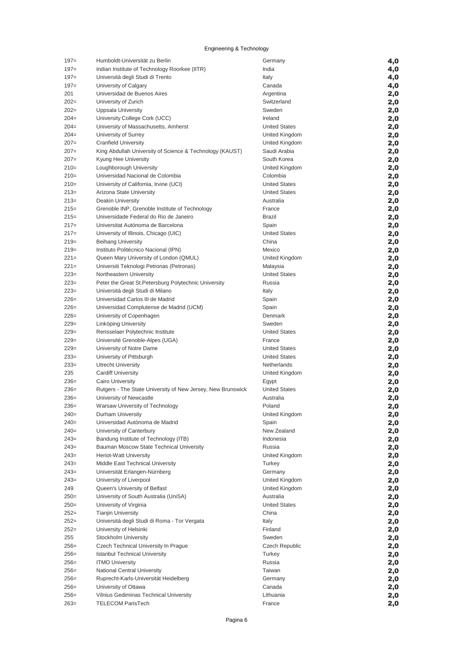| $197 =$ | Humboldt-Universität zu Berlin                              | Germany               | 4,0 |
|---------|-------------------------------------------------------------|-----------------------|-----|
| $197 =$ | Indian Institute of Technology Roorkee (IITR)               | India                 | 4,0 |
| $197 =$ | Università degli Studi di Trento                            | Italy                 | 4,0 |
| $197 =$ | University of Calgary                                       | Canada                | 4,0 |
| 201     | Universidad de Buenos Aires                                 | Argentina             | 2,0 |
| $202=$  | University of Zurich                                        | Switzerland           | 2,0 |
| $202 =$ | Uppsala University                                          | Sweden                | 2,0 |
| $204=$  | University College Cork (UCC)                               | Ireland               | 2,0 |
| $204=$  | University of Massachusetts, Amherst                        | <b>United States</b>  | 2,0 |
| $204=$  | University of Surrey                                        | United Kingdom        | 2,0 |
| $207=$  | <b>Cranfield University</b>                                 | United Kingdom        | 2,0 |
| $207=$  | King Abdullah University of Science & Technology (KAUST)    | Saudi Arabia          | 2,0 |
| $207=$  | Kyung Hee University                                        | South Korea           | 2,0 |
| $210=$  | Loughborough University                                     | United Kingdom        | 2,0 |
| $210=$  | Universidad Nacional de Colombia                            | Colombia              | 2,0 |
| $210=$  | University of California, Irvine (UCI)                      | <b>United States</b>  | 2,0 |
| $213=$  | Arizona State University                                    | <b>United States</b>  | 2,0 |
| $213=$  | Deakin University                                           | Australia             | 2,0 |
| $215=$  | Grenoble INP, Grenoble Institute of Technology              | France                | 2,0 |
| $215=$  | Universidade Federal do Rio de Janeiro                      | <b>Brazil</b>         | 2,0 |
| $217=$  | Universitat Autónoma de Barcelona                           | Spain                 | 2,0 |
| $217=$  | University of Illinois, Chicago (UIC)                       | <b>United States</b>  | 2,0 |
| $219=$  | <b>Beihang University</b>                                   | China                 | 2,0 |
| $219=$  | Instituto Politécnico Nacional (IPN)                        | Mexico                | 2,0 |
| $221=$  | Queen Mary University of London (QMUL)                      | United Kingdom        | 2,0 |
| $221=$  | Universiti Teknologi Petronas (Petronas)                    | Malaysia              | 2,0 |
| $223=$  | Northeastern University                                     | <b>United States</b>  | 2,0 |
| $223=$  | Peter the Great St. Petersburg Polytechnic University       | Russia                | 2,0 |
| $223=$  | Università degli Studi di Milano                            | Italy                 | 2,0 |
| $226=$  | Universidad Carlos III de Madrid                            | Spain                 | 2,0 |
| $226=$  | Universidad Complutense de Madrid (UCM)                     | Spain                 | 2,0 |
| $226=$  | University of Copenhagen                                    | Denmark               | 2,0 |
| $229=$  | Linköping University                                        | Sweden                | 2,0 |
| $229=$  | Rensselaer Polytechnic Institute                            | <b>United States</b>  | 2,0 |
| $229=$  | Université Grenoble-Alpes (UGA)                             | France                | 2,0 |
| $229=$  | University of Notre Dame                                    | <b>United States</b>  | 2,0 |
| $233=$  | University of Pittsburgh                                    | <b>United States</b>  | 2,0 |
| $233=$  | <b>Utrecht University</b>                                   | Netherlands           | 2,0 |
| 235     | <b>Cardiff University</b>                                   | United Kingdom        | 2,0 |
| $236=$  | Cairo University                                            | Egypt                 | 2,0 |
| $236=$  | Rutgers - The State University of New Jersey, New Brunswick | <b>United States</b>  | 2,0 |
| $236=$  | University of Newcastle                                     | Australia             | 2,0 |
| $236=$  | Warsaw University of Technology                             | Poland                | 2,0 |
| 240=    | Durham University                                           | United Kingdom        | 2,0 |
| $240=$  | Universidad Autónoma de Madrid                              | Spain                 | 2,0 |
| $240=$  | University of Canterbury                                    | New Zealand           | 2,0 |
| $243=$  | Bandung Institute of Technology (ITB)                       | Indonesia             | 2,0 |
| $243=$  | Bauman Moscow State Technical University                    | Russia                | 2,0 |
| $243=$  | Heriot-Watt University                                      | United Kingdom        | 2,0 |
| $243=$  | Middle East Technical University                            | Turkey                | 2,0 |
| $243=$  | Universität Erlangen-Nürnberg                               | Germany               | 2,0 |
| $243=$  | University of Liverpool                                     | United Kingdom        | 2,0 |
| 249     | Queen's University of Belfast                               | United Kingdom        | 2,0 |
| $250=$  | University of South Australia (UniSA)                       | Australia             | 2,0 |
| $250=$  | University of Virginia                                      | <b>United States</b>  | 2,0 |
| $252=$  | <b>Tianjin University</b>                                   | China                 | 2,0 |
| $252=$  | Universitá degli Studi di Roma - Tor Vergata                | Italy                 | 2,0 |
| $252=$  | University of Helsinki                                      | Finland               | 2,0 |
| 255     | Stockholm University                                        | Sweden                | 2,0 |
| $256=$  | Czech Technical University In Prague                        | <b>Czech Republic</b> | 2,0 |
| $256=$  | <b>Istanbul Technical University</b>                        | Turkey                | 2,0 |
| $256=$  | <b>ITMO University</b>                                      | Russia                | 2,0 |
| $256=$  | National Central University                                 | Taiwan                | 2,0 |
| $256=$  | Ruprecht-Karls-Universität Heidelberg                       | Germany               | 2,0 |
| $256=$  | University of Ottawa                                        | Canada                | 2,0 |
| $256=$  | Vilnius Gediminas Technical University                      | Lithuania             | 2,0 |
| $263=$  | <b>TELECOM ParisTech</b>                                    | France                | 2,0 |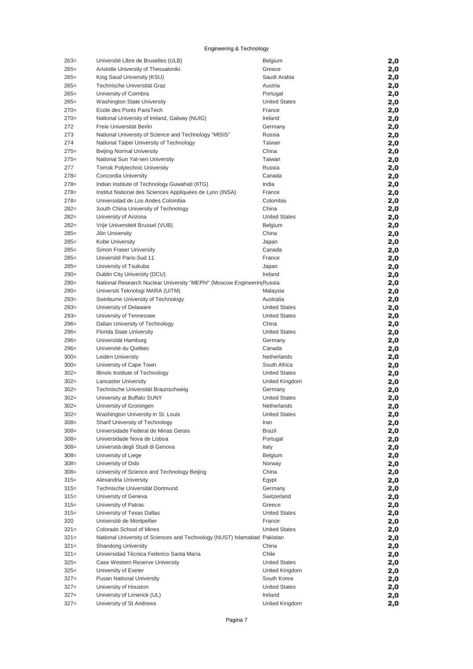| $263=$  | Université Libre de Bruxelles (ULB)                                      | Belgium              | 2,0 |
|---------|--------------------------------------------------------------------------|----------------------|-----|
| $265 =$ | Aristotle University of Thessaloniki                                     | Greece               | 2,0 |
| $265=$  | King Saud University (KSU)                                               | Saudi Arabia         | 2,0 |
| $265=$  |                                                                          |                      |     |
|         | Technische Universität Graz                                              | Austria              | 2,0 |
| $265=$  | University of Coimbra                                                    | Portugal             | 2,0 |
| $265=$  | <b>Washington State University</b>                                       | <b>United States</b> | 2,0 |
| $270=$  | Ecole des Ponts ParisTech                                                | France               | 2,0 |
| $270=$  | National University of Ireland, Galway (NUIG)                            | Ireland              | 2,0 |
|         |                                                                          |                      |     |
| 272     | Freie Universität Berlin                                                 | Germany              | 2,0 |
| 273     | National University of Science and Technology "MISIS"                    | Russia               | 2,0 |
| 274     | National Taipei University of Technology                                 | Taiwan               | 2,0 |
| $275=$  | <b>Beijing Normal University</b>                                         | China                | 2,0 |
|         |                                                                          |                      |     |
| $275=$  | National Sun Yat-sen University                                          | Taiwan               | 2,0 |
| 277     | <b>Tomsk Polytechnic University</b>                                      | Russia               | 2,0 |
| $278=$  | Concordia University                                                     | Canada               | 2,0 |
| $278=$  | Indian Institute of Technology Guwahati (IITG)                           | India                | 2,0 |
|         |                                                                          |                      |     |
| $278=$  | Institut National des Sciences Appliquées de Lyon (INSA)                 | France               | 2,0 |
| $278=$  | Universidad de Los Andes Colombia                                        | Colombia             | 2,0 |
| $282=$  | South China University of Technology                                     | China                | 2,0 |
| $282=$  | University of Arizona                                                    | <b>United States</b> | 2,0 |
| $282=$  | Vrije Universiteit Brussel (VUB)                                         | Belgium              |     |
|         |                                                                          |                      | 2,0 |
| $285=$  | Jilin University                                                         | China                | 2,0 |
| $285=$  | Kobe University                                                          | Japan                | 2,0 |
| $285=$  | <b>Simon Fraser University</b>                                           | Canada               | 2,0 |
| $285=$  | Université Paris-Sud 11                                                  | France               |     |
|         |                                                                          |                      | 2,0 |
| $285=$  | University of Tsukuba                                                    | Japan                | 2,0 |
| $290=$  | Dublin City University (DCU)                                             | Ireland              | 2,0 |
| $290=$  | National Research Nuclear University "MEPhl" (Moscow Engineerin(Russia   |                      | 2,0 |
| $290=$  | Universiti Teknologi MARA (UiTM)                                         | Malaysia             |     |
|         |                                                                          |                      | 2,0 |
| $293=$  | Swinburne University of Technology                                       | Australia            | 2,0 |
| $293=$  | University of Delaware                                                   | <b>United States</b> | 2,0 |
| $293=$  | University of Tennessee                                                  | <b>United States</b> | 2,0 |
| $296=$  | Dalian University of Technology                                          | China                | 2,0 |
|         |                                                                          |                      |     |
| $296=$  | Florida State University                                                 | <b>United States</b> | 2,0 |
| $296=$  | Universität Hamburg                                                      | Germany              | 2,0 |
| $296=$  | Université du Québec                                                     | Canada               | 2,0 |
| $300=$  | Leiden University                                                        | Netherlands          | 2,0 |
|         |                                                                          |                      |     |
| $300=$  | University of Cape Town                                                  | South Africa         | 2,0 |
| $302 =$ | Illinois Institute of Technology                                         | <b>United States</b> | 2,0 |
| $302 =$ | <b>Lancaster University</b>                                              | United Kingdom       | 2,0 |
| $302 =$ | Technische Universität Braunschweig                                      | Germany              | 2,0 |
|         |                                                                          |                      |     |
| $302 =$ | University at Buffalo SUNY                                               | <b>United States</b> | 2,0 |
| $302 =$ | University of Groningen                                                  | Netherlands          | 2,0 |
| $302 =$ | Washington University in St. Louis                                       | <b>United States</b> | 2,0 |
| $308 =$ | Sharif University of Technology                                          | Iran                 | 2,0 |
|         |                                                                          |                      |     |
| $308 =$ | Universidade Federal de Minas Gerais                                     | <b>Brazil</b>        | 2,0 |
| $308 =$ | Universidade Nova de Lisboa                                              | Portugal             | 2,0 |
| $308 =$ | Università degli Studi di Genova                                         | Italy                | 2,0 |
| $308 =$ | University of Liege                                                      | Belgium              | 2,0 |
|         | University of Oslo                                                       |                      |     |
| $308 =$ |                                                                          | Norway               | 2,0 |
| $308 =$ | University of Science and Technology Beijing                             | China                | 2,0 |
| $315=$  | Alexandria University                                                    | Egypt                | 2,0 |
| $315=$  | Technische Universität Dortmund                                          | Germany              | 2,0 |
| $315=$  | University of Geneva                                                     | Switzerland          |     |
|         |                                                                          |                      | 2,0 |
| $315=$  | University of Patras                                                     | Greece               | 2,0 |
| $315=$  | University of Texas Dallas                                               | <b>United States</b> | 2,0 |
| 320     | Université de Montpellier                                                | France               | 2,0 |
| $321 =$ | Colorado School of Mines                                                 | <b>United States</b> |     |
|         |                                                                          |                      | 2,0 |
| $321 =$ | National University of Sciences and Technology (NUST) Islamabad Pakistan |                      | 2,0 |
| $321 =$ | <b>Shandong University</b>                                               | China                | 2,0 |
| $321 =$ | Universidad Técnica Federico Santa María                                 | Chile                | 2,0 |
| $325=$  | Case Western Reserve University                                          | <b>United States</b> | 2,0 |
|         |                                                                          |                      |     |
| $325=$  | University of Exeter                                                     | United Kingdom       | 2,0 |
| $327=$  | <b>Pusan National University</b>                                         | South Korea          | 2,0 |
| $327=$  | University of Houston                                                    | <b>United States</b> | 2,0 |
| $327=$  | University of Limerick (UL)                                              | Ireland              | 2,0 |
|         |                                                                          |                      |     |
| $327 =$ | University of St Andrews                                                 | United Kingdom       | 2,0 |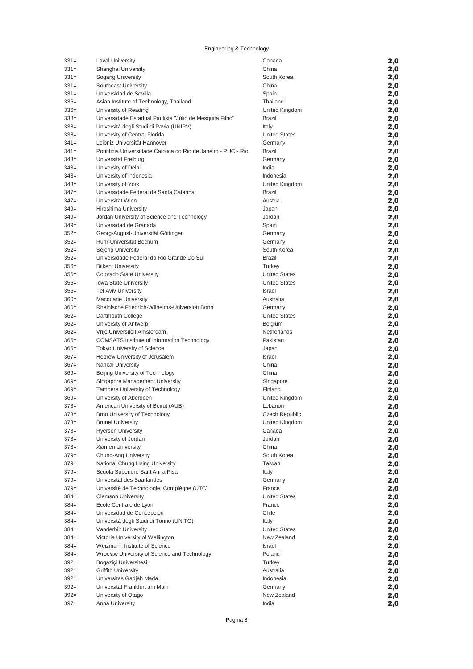| $331 =$ | <b>Laval University</b>                                        | Canada               | 2,0 |
|---------|----------------------------------------------------------------|----------------------|-----|
| $331=$  | Shanghai University                                            | China                | 2,0 |
| $331=$  | Sogang University                                              | South Korea          | 2,0 |
| $331=$  | Southeast University                                           | China                | 2,0 |
| $331 =$ | Universidad de Sevilla                                         | Spain                | 2,0 |
| $336=$  | Asian Institute of Technology, Thailand                        | Thailand             | 2,0 |
| $336=$  | University of Reading                                          | United Kingdom       | 2,0 |
| $338 =$ | Universidade Estadual Paulista "Júlio de Mesquita Filho"       | Brazil               | 2,0 |
| $338=$  | Università degli Studi di Pavia (UNIPV)                        | Italy                | 2,0 |
| $338=$  | University of Central Florida                                  | <b>United States</b> | 2,0 |
| $341 =$ | Leibniz Universität Hannover                                   | Germany              | 2,0 |
| $341 =$ | Pontificia Universidade Católica do Rio de Janeiro - PUC - Rio | <b>Brazil</b>        | 2,0 |
| $343=$  | Universität Freiburg                                           | Germany              | 2,0 |
| $343=$  | University of Delhi                                            | India                | 2,0 |
| $343=$  | University of Indonesia                                        | Indonesia            | 2,0 |
| $343=$  | University of York                                             | United Kingdom       | 2,0 |
| $347=$  | Universidade Federal de Santa Catarina                         | <b>Brazil</b>        | 2,0 |
| $347=$  | Universität Wien                                               | Austria              | 2,0 |
| $349=$  | Hiroshima University                                           | Japan                | 2,0 |
| $349=$  | Jordan University of Science and Technology                    | Jordan               | 2,0 |
| $349=$  | Universidad de Granada                                         | Spain                | 2,0 |
| $352=$  | Georg-August-Universität Göttingen                             | Germany              | 2,0 |
| $352=$  | Ruhr-Universität Bochum                                        | Germany              | 2,0 |
| $352=$  | Sejong University                                              | South Korea          | 2,0 |
| $352=$  | Universidade Federal do Rio Grande Do Sul                      | <b>Brazil</b>        | 2,0 |
| $356=$  | <b>Bilkent University</b>                                      | Turkey               | 2,0 |
| $356=$  | Colorado State University                                      | <b>United States</b> | 2,0 |
| $356=$  | Iowa State University                                          | <b>United States</b> | 2,0 |
| $356=$  | <b>Tel Aviv University</b>                                     | <b>Israel</b>        | 2,0 |
| $360=$  | <b>Macquarie University</b>                                    | Australia            | 2,0 |
| $360=$  | Rheinische Friedrich-Wilhelms-Universität Bonn                 | Germany              | 2,0 |
| $362=$  | Dartmouth College                                              | <b>United States</b> | 2,0 |
| $362=$  | University of Antwerp                                          | Belgium              | 2,0 |
| $362=$  | Vrije Universiteit Amsterdam                                   | Netherlands          | 2,0 |
| $365=$  | <b>COMSATS Institute of Information Technology</b>             | Pakistan             | 2,0 |
| $365=$  | Tokyo University of Science                                    | Japan                | 2,0 |
| $367=$  | Hebrew University of Jerusalem                                 | Israel               | 2,0 |
| $367=$  | Nankai University                                              | China                | 2,0 |
| $369=$  | Beijing University of Technology                               | China                | 2,0 |
| $369=$  | Singapore Management University                                | Singapore            | 2,0 |
| $369=$  | Tampere University of Technology                               | Finland              | 2,0 |
| $369=$  | University of Aberdeen                                         | United Kingdom       | 2,0 |
| $373=$  | American University of Beirut (AUB)                            | Lebanon              | 2,0 |
| $373=$  | Brno University of Technology                                  | Czech Republic       | 2,0 |
| $373=$  | <b>Brunel University</b>                                       | United Kingdom       | 2,0 |
| $373=$  | <b>Ryerson University</b>                                      | Canada               | 2,0 |
| $373=$  | University of Jordan                                           | Jordan               | 2,0 |
| $373=$  | Xiamen University                                              | China                | 2,0 |
| $379=$  | Chung-Ang University                                           | South Korea          | 2,0 |
| $379=$  | National Chung Hsing University                                | Taiwan               | 2,0 |
| $379=$  | Scuola Superiore Sant'Anna Pisa                                | Italy                | 2,0 |
| $379=$  | Universität des Saarlandes                                     | Germany              | 2,0 |
| $379=$  | Université de Technologie, Compiègne (UTC)                     | France               | 2,0 |
| $384 =$ | <b>Clemson University</b>                                      | <b>United States</b> | 2,0 |
| $384 =$ | Ecole Centrale de Lyon                                         | France               | 2,0 |
| $384 =$ | Universidad de Concepción                                      | Chile                | 2,0 |
| $384 =$ | Università degli Studi di Torino (UNITO)                       | Italy                | 2,0 |
| $384 =$ | Vanderbilt University                                          | <b>United States</b> | 2,0 |
| $384 =$ | Victoria University of Wellington                              | New Zealand          | 2,0 |
| $384 =$ | Weizmann Institute of Science                                  | Israel               | 2,0 |
| $384 =$ | Wrocław University of Science and Technology                   | Poland               | 2,0 |
| $392 =$ | Bogaziçi Üniversitesi                                          | Turkey               | 2,0 |
| $392 =$ | <b>Griffith University</b>                                     | Australia            | 2,0 |
| $392 =$ | Universitas Gadjah Mada                                        | Indonesia            | 2,0 |
| $392 =$ | Universität Frankfurt am Main                                  | Germany              | 2,0 |
| $392 =$ | University of Otago                                            | New Zealand          | 2,0 |
| 397     | Anna University                                                | India                | 2,0 |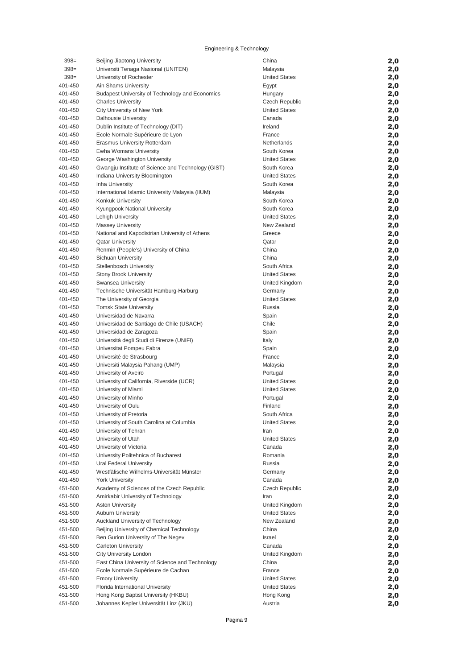| $398 =$            | Beijing Jiaotong University                                                     | China                                | 2,0        |
|--------------------|---------------------------------------------------------------------------------|--------------------------------------|------------|
| $398 =$            | Universiti Tenaga Nasional (UNITEN)                                             | Malaysia                             | 2,0        |
| $398 =$            | University of Rochester                                                         | <b>United States</b>                 | 2,0        |
| 401-450            | <b>Ain Shams University</b>                                                     | Egypt                                | 2,0        |
| 401-450            | <b>Budapest University of Technology and Economics</b>                          | Hungary                              | 2,0        |
| 401-450            | <b>Charles University</b>                                                       | Czech Republic                       | 2,0        |
| 401-450            | City University of New York                                                     | <b>United States</b>                 | 2,0        |
| 401-450            | <b>Dalhousie University</b>                                                     | Canada<br>Ireland                    | 2,0        |
| 401-450<br>401-450 | Dublin Institute of Technology (DIT)                                            | France                               | 2,0<br>2,0 |
| 401-450            | Ecole Normale Supérieure de Lyon<br>Erasmus University Rotterdam                | Netherlands                          | 2,0        |
| 401-450            | Ewha Womans University                                                          | South Korea                          | 2,0        |
| 401-450            | George Washington University                                                    | <b>United States</b>                 | 2,0        |
| 401-450            | Gwangju Institute of Science and Technology (GIST)                              | South Korea                          | 2,0        |
| 401-450            | Indiana University Bloomington                                                  | <b>United States</b>                 | 2,0        |
| 401-450            | Inha University                                                                 | South Korea                          | 2,0        |
| 401-450            | International Islamic University Malaysia (IIUM)                                | Malaysia                             | 2,0        |
| 401-450            | Konkuk University                                                               | South Korea                          | 2,0        |
| 401-450            | Kyungpook National University                                                   | South Korea                          | 2,0        |
| 401-450            | Lehigh University                                                               | <b>United States</b>                 | 2,0        |
| 401-450            | <b>Massey University</b>                                                        | New Zealand                          | 2,0        |
| 401-450            | National and Kapodistrian University of Athens                                  | Greece                               | 2,0        |
| 401-450            | <b>Oatar University</b>                                                         | Qatar                                | 2,0        |
| 401-450            | Renmin (People's) University of China                                           | China                                | 2,0        |
| 401-450            | Sichuan University<br>Stellenbosch University                                   | China                                | 2,0        |
| 401-450<br>401-450 | <b>Stony Brook University</b>                                                   | South Africa<br><b>United States</b> | 2,0<br>2,0 |
| 401-450            | Swansea University                                                              | United Kingdom                       | 2,0        |
| 401-450            | Technische Universität Hamburg-Harburg                                          | Germany                              | 2,0        |
| 401-450            | The University of Georgia                                                       | <b>United States</b>                 | 2,0        |
| 401-450            | <b>Tomsk State University</b>                                                   | Russia                               | 2,0        |
| 401-450            | Universidad de Navarra                                                          | Spain                                | 2,0        |
| 401-450            | Universidad de Santiago de Chile (USACH)                                        | Chile                                | 2,0        |
| 401-450            | Universidad de Zaragoza                                                         | Spain                                | 2,0        |
| 401-450            | Università degli Studi di Firenze (UNIFI)                                       | Italy                                | 2,0        |
| 401-450            | Universitat Pompeu Fabra                                                        | Spain                                | 2,0        |
| 401-450            | Université de Strasbourg                                                        | France                               | 2,0        |
| 401-450            | Universiti Malaysia Pahang (UMP)                                                | Malaysia                             | 2,0        |
| 401-450            | University of Aveiro                                                            | Portugal                             | 2,0        |
| 401-450            | University of California, Riverside (UCR)                                       | <b>United States</b>                 | 2,0        |
| 401-450<br>401-450 | University of Miami                                                             | <b>United States</b>                 | 2,0        |
| 401-450            | University of Minho<br>University of Oulu                                       | Portugal<br>Finland                  | 2,0<br>2,0 |
| 401-450            | University of Pretoria                                                          | South Africa                         | 2,0        |
| 401-450            | University of South Carolina at Columbia                                        | <b>United States</b>                 | 2,0        |
| 401-450            | University of Tehran                                                            | Iran                                 | 2,0        |
| 401-450            | University of Utah                                                              | <b>United States</b>                 | 2,0        |
| 401-450            | University of Victoria                                                          | Canada                               | 2,0        |
| 401-450            | University Politehnica of Bucharest                                             | Romania                              | 2,0        |
| 401-450            | Ural Federal University                                                         | Russia                               | 2,0        |
| 401-450            | Westfälische Wilhelms-Universität Münster                                       | Germany                              | 2,0        |
| 401-450            | <b>York University</b>                                                          | Canada                               | 2,0        |
| 451-500            | Academy of Sciences of the Czech Republic                                       | <b>Czech Republic</b>                | 2,0        |
| 451-500            | Amirkabir University of Technology                                              | Iran                                 | 2,0        |
| 451-500            | <b>Aston University</b>                                                         | United Kingdom                       | 2,0        |
| 451-500            | <b>Auburn University</b>                                                        | <b>United States</b>                 | 2,0        |
| 451-500            | Auckland University of Technology                                               | New Zealand                          | 2,0        |
| 451-500<br>451-500 | Beijing University of Chemical Technology<br>Ben Gurion University of The Negev | China<br><b>Israel</b>               | 2,0        |
| 451-500            | <b>Carleton University</b>                                                      | Canada                               | 2,0<br>2,0 |
| 451-500            | City University London                                                          | United Kingdom                       | 2,0        |
| 451-500            | East China University of Science and Technology                                 | China                                | 2,0        |
| 451-500            | Ecole Normale Supérieure de Cachan                                              | France                               | 2,0        |
| 451-500            | <b>Emory University</b>                                                         | <b>United States</b>                 | 2,0        |
| 451-500            | Florida International University                                                | <b>United States</b>                 | 2,0        |
| 451-500            | Hong Kong Baptist University (HKBU)                                             | Hong Kong                            | 2,0        |
| 451-500            | Johannes Kepler Universität Linz (JKU)                                          | Austria                              | 2,0        |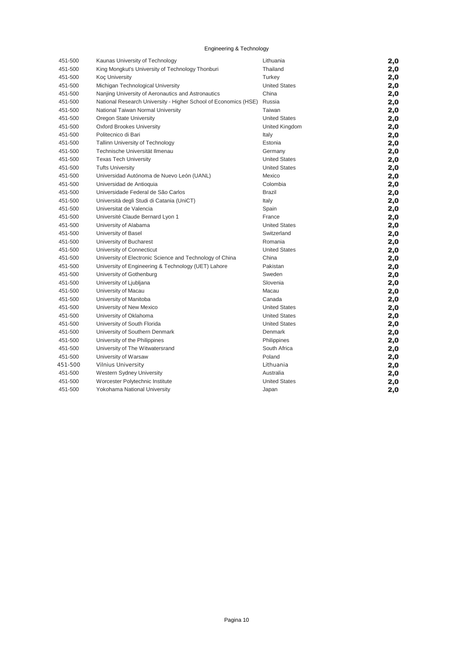| 451-500 | Kaunas University of Technology                                 | Lithuania            | 2,0 |
|---------|-----------------------------------------------------------------|----------------------|-----|
| 451-500 | King Mongkut's University of Technology Thonburi                | Thailand             | 2,0 |
| 451-500 | <b>Koç University</b>                                           | Turkey               | 2,0 |
| 451-500 | Michigan Technological University                               | <b>United States</b> | 2,0 |
| 451-500 | Nanjing University of Aeronautics and Astronautics              | China                | 2,0 |
| 451-500 | National Research University - Higher School of Economics (HSE) | Russia               | 2,0 |
| 451-500 | National Taiwan Normal University                               | Taiwan               | 2,0 |
| 451-500 | Oregon State University                                         | <b>United States</b> | 2,0 |
| 451-500 | <b>Oxford Brookes University</b>                                | United Kingdom       | 2,0 |
| 451-500 | Politecnico di Bari                                             | Italy                | 2,0 |
| 451-500 | <b>Tallinn University of Technology</b>                         | Estonia              | 2,0 |
| 451-500 | Technische Universität Ilmenau                                  | Germany              | 2,0 |
| 451-500 | <b>Texas Tech University</b>                                    | <b>United States</b> | 2,0 |
| 451-500 | <b>Tufts University</b>                                         | <b>United States</b> | 2,0 |
| 451-500 | Universidad Autónoma de Nuevo León (UANL)                       | Mexico               | 2,0 |
| 451-500 | Universidad de Antioquia                                        | Colombia             | 2,0 |
| 451-500 | Universidade Federal de São Carlos                              | <b>Brazil</b>        | 2,0 |
| 451-500 | Università degli Studi di Catania (UniCT)                       | Italy                | 2,0 |
| 451-500 | Universitat de Valencia                                         | Spain                | 2,0 |
| 451-500 | Université Claude Bernard Lyon 1                                | France               | 2,0 |
| 451-500 | University of Alabama                                           | <b>United States</b> | 2,0 |
| 451-500 | University of Basel                                             | Switzerland          | 2,0 |
| 451-500 | University of Bucharest                                         | Romania              | 2,0 |
| 451-500 | University of Connecticut                                       | <b>United States</b> | 2,0 |
| 451-500 | University of Electronic Science and Technology of China        | China                | 2,0 |
| 451-500 | University of Engineering & Technology (UET) Lahore             | Pakistan             | 2,0 |
| 451-500 | University of Gothenburg                                        | Sweden               | 2,0 |
| 451-500 | University of Ljubljana                                         | Slovenia             | 2,0 |
| 451-500 | University of Macau                                             | Macau                | 2,0 |
| 451-500 | University of Manitoba                                          | Canada               | 2,0 |
| 451-500 | University of New Mexico                                        | <b>United States</b> | 2,0 |
| 451-500 | University of Oklahoma                                          | <b>United States</b> | 2,0 |
| 451-500 | University of South Florida                                     | <b>United States</b> | 2,0 |
| 451-500 | University of Southern Denmark                                  | Denmark              | 2,0 |
| 451-500 | University of the Philippines                                   | Philippines          | 2,0 |
| 451-500 | University of The Witwatersrand                                 | South Africa         | 2,0 |
| 451-500 | University of Warsaw                                            | Poland               | 2,0 |
| 451-500 | <b>Vilnius University</b>                                       | Lithuania            | 2,0 |
| 451-500 | Western Sydney University                                       | Australia            | 2,0 |
| 451-500 | Worcester Polytechnic Institute                                 | <b>United States</b> | 2,0 |
| 451-500 | Yokohama National University                                    | Japan                | 2,0 |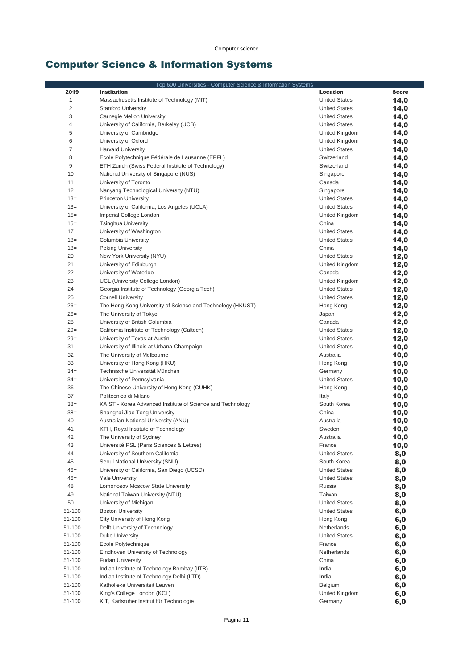# Computer Science & Information Systems

|                | Top 600 Universities - Computer Science & Information Systems                               |                      |              |
|----------------|---------------------------------------------------------------------------------------------|----------------------|--------------|
| 2019           | <b>Institution</b>                                                                          | Location             | <b>Score</b> |
| 1              | Massachusetts Institute of Technology (MIT)                                                 | <b>United States</b> | 14,0         |
| $\overline{c}$ | <b>Stanford University</b>                                                                  | <b>United States</b> | 14,0         |
| 3              | Carnegie Mellon University                                                                  | <b>United States</b> | 14,0         |
| 4              | University of California, Berkeley (UCB)                                                    | <b>United States</b> | 14,0         |
| 5              | University of Cambridge                                                                     | United Kingdom       | 14,0         |
| 6              | University of Oxford                                                                        | United Kingdom       | 14,0         |
| $\overline{7}$ | <b>Harvard University</b>                                                                   | <b>United States</b> | 14,0         |
| 8              | Ecole Polytechnique Fédérale de Lausanne (EPFL)                                             | Switzerland          | 14,0         |
| 9              | ETH Zurich (Swiss Federal Institute of Technology)                                          | Switzerland          | 14,0         |
| 10             | National University of Singapore (NUS)                                                      | Singapore            | 14,0         |
| 11             | University of Toronto                                                                       | Canada               | 14,0         |
| 12             | Nanyang Technological University (NTU)                                                      | Singapore            | 14,0         |
| $13=$          | <b>Princeton University</b>                                                                 | <b>United States</b> | 14,0         |
| $13=$          | University of California, Los Angeles (UCLA)                                                | <b>United States</b> | 14,0         |
| $15 =$         | Imperial College London                                                                     | United Kingdom       | 14,0         |
| $15 =$         | <b>Tsinghua University</b>                                                                  | China                | 14,0         |
| 17             | University of Washington                                                                    | <b>United States</b> | 14,0         |
| $18 =$         | Columbia University                                                                         | <b>United States</b> | 14,0         |
| $18=$          | Peking University                                                                           | China                | 14,0         |
| 20             | New York University (NYU)                                                                   | <b>United States</b> | 12,0         |
| 21             | University of Edinburgh                                                                     | United Kingdom       | 12,0         |
| 22             | University of Waterloo                                                                      | Canada               | 12,0         |
| 23             | UCL (University College London)                                                             | United Kingdom       | 12,0         |
| 24             | Georgia Institute of Technology (Georgia Tech)                                              | <b>United States</b> | 12,0         |
| 25             | <b>Cornell University</b>                                                                   | <b>United States</b> | 12,0         |
| $26=$          | The Hong Kong University of Science and Technology (HKUST)                                  | Hong Kong            | 12,0         |
| $26=$          | The University of Tokyo                                                                     | Japan                | 12,0         |
| 28             | University of British Columbia                                                              | Canada               | 12,0         |
| $29=$          | California Institute of Technology (Caltech)                                                | <b>United States</b> | 12,0         |
| $29=$          | University of Texas at Austin                                                               | <b>United States</b> | 12,0         |
| 31             | University of Illinois at Urbana-Champaign                                                  | <b>United States</b> | 10,0         |
| 32             | The University of Melbourne                                                                 | Australia            | 10,0         |
| 33             | University of Hong Kong (HKU)                                                               | Hong Kong            | 10,0         |
| $34 =$         | Technische Universität München                                                              | Germany              | 10,0         |
| $34 =$         | University of Pennsylvania                                                                  | <b>United States</b> | 10,0         |
| 36<br>37       | The Chinese University of Hong Kong (CUHK)<br>Politecnico di Milano                         | Hong Kong            | 10,0         |
| $38=$          |                                                                                             | Italy<br>South Korea | 10,0         |
| $38=$          | KAIST - Korea Advanced Institute of Science and Technology<br>Shanghai Jiao Tong University | China                | 10,0         |
| 40             | Australian National University (ANU)                                                        | Australia            | 10,0         |
| 41             | KTH, Royal Institute of Technology                                                          | Sweden               | 10,0         |
| 42             | The University of Sydney                                                                    | Australia            | 10,0<br>10,0 |
| 43             | Université PSL (Paris Sciences & Lettres)                                                   | France               | 10,0         |
| 44             | University of Southern California                                                           | <b>United States</b> | 8,0          |
| 45             | Seoul National University (SNU)                                                             | South Korea          | 8,0          |
| $46=$          | University of California, San Diego (UCSD)                                                  | <b>United States</b> | 8,0          |
| $46=$          | <b>Yale University</b>                                                                      | <b>United States</b> | 8,0          |
| 48             | Lomonosov Moscow State University                                                           | Russia               | 8,0          |
| 49             | National Taiwan University (NTU)                                                            | Taiwan               | 8,0          |
| 50             | University of Michigan                                                                      | <b>United States</b> | 8,0          |
| 51-100         | <b>Boston University</b>                                                                    | <b>United States</b> | 6,0          |
| 51-100         | City University of Hong Kong                                                                | Hong Kong            | 6,0          |
| 51-100         | Delft University of Technology                                                              | Netherlands          | 6,0          |
| 51-100         | <b>Duke University</b>                                                                      | <b>United States</b> | 6,0          |
| 51-100         | Ecole Polytechnique                                                                         | France               | 6,0          |
| 51-100         | Eindhoven University of Technology                                                          | Netherlands          | 6,0          |
| 51-100         | <b>Fudan University</b>                                                                     | China                | 6,0          |
| 51-100         | Indian Institute of Technology Bombay (IITB)                                                | India                | 6,0          |
| 51-100         | Indian Institute of Technology Delhi (IITD)                                                 | India                | 6,0          |
| 51-100         | Katholieke Universiteit Leuven                                                              | Belgium              | 6,0          |
| 51-100         | King's College London (KCL)                                                                 | United Kingdom       | 6,0          |
| 51-100         | KIT, Karlsruher Institut für Technologie                                                    | Germany              | 6,0          |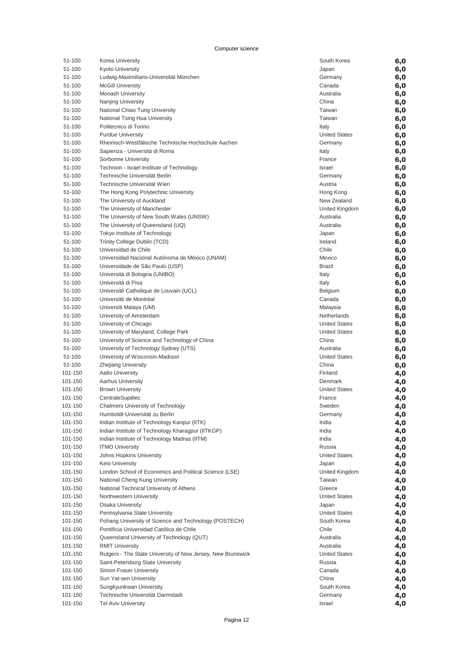| 51-100  | Korea University                                            | South Korea          | 6,0 |
|---------|-------------------------------------------------------------|----------------------|-----|
| 51-100  | <b>Kyoto University</b>                                     | Japan                | 6,0 |
| 51-100  | Ludwig-Maximilians-Universität München                      | Germany              | 6,0 |
| 51-100  | <b>McGill University</b>                                    | Canada               | 6,0 |
| 51-100  | <b>Monash University</b>                                    | Australia            | 6,0 |
| 51-100  | <b>Nanjing University</b>                                   | China                | 6,0 |
| 51-100  |                                                             | Taiwan               |     |
|         | National Chiao Tung University                              |                      | 6,0 |
| 51-100  | National Tsing Hua University                               | Taiwan               | 6,0 |
| 51-100  | Politecnico di Torino                                       | Italy                | 6,0 |
| 51-100  | <b>Purdue University</b>                                    | <b>United States</b> | 6,0 |
| 51-100  | Rheinisch-Westfälische Technische Hochschule Aachen         | Germany              | 6,0 |
| 51-100  | Sapienza - Università di Roma                               | Italy                | 6,0 |
| 51-100  | Sorbonne University                                         | France               | 6,0 |
|         |                                                             |                      |     |
| 51-100  | Technion - Israel Institute of Technology                   | Israel               | 6,0 |
| 51-100  | Technische Universität Berlin                               | Germany              | 6,0 |
| 51-100  | Technische Universität Wien                                 | Austria              | 6,0 |
| 51-100  | The Hong Kong Polytechnic University                        | Hong Kong            | 6,0 |
| 51-100  | The University of Auckland                                  | New Zealand          | 6,0 |
| 51-100  | The University of Manchester                                | United Kingdom       | 6,0 |
| 51-100  | The University of New South Wales (UNSW)                    | Australia            |     |
|         |                                                             |                      | 6,0 |
| 51-100  | The University of Queensland (UQ)                           | Australia            | 6,0 |
| 51-100  | Tokyo Institute of Technology                               | Japan                | 6,0 |
| 51-100  | Trinity College Dublin (TCD)                                | Ireland              | 6,0 |
| 51-100  | Universidad de Chile                                        | Chile                | 6,0 |
| 51-100  | Universidad Nacional Autónoma de México (UNAM)              | Mexico               | 6,0 |
| 51-100  | Universidade de São Paulo (USP)                             | <b>Brazil</b>        | 6,0 |
|         |                                                             |                      |     |
| 51-100  | Università di Bologna (UNIBO)                               | Italy                | 6,0 |
| 51-100  | Università di Pisa                                          | Italy                | 6,0 |
| 51-100  | Université Catholique de Louvain (UCL)                      | <b>Belgium</b>       | 6,0 |
| 51-100  | Université de Montréal                                      | Canada               | 6,0 |
| 51-100  | Universiti Malaya (UM)                                      | Malaysia             | 6,0 |
| 51-100  | University of Amsterdam                                     | Netherlands          | 6,0 |
| 51-100  | University of Chicago                                       | <b>United States</b> |     |
|         |                                                             |                      | 6,0 |
| 51-100  | University of Maryland, College Park                        | <b>United States</b> | 6,0 |
| 51-100  | University of Science and Technology of China               | China                | 6,0 |
| 51-100  | University of Technology Sydney (UTS)                       | Australia            | 6,0 |
| 51-100  | University of Wisconsin-Madison                             | <b>United States</b> | 6,0 |
| 51-100  | <b>Zhejiang University</b>                                  | China                | 6,0 |
| 101-150 | <b>Aalto University</b>                                     | Finland              |     |
|         |                                                             |                      | 4,0 |
| 101-150 | <b>Aarhus University</b>                                    | Denmark              | 4,0 |
| 101-150 | <b>Brown University</b>                                     | <b>United States</b> | 4,0 |
| 101-150 | CentraleSupélec                                             | France               | 4,0 |
| 101-150 | <b>Chalmers University of Technology</b>                    | Sweden               | 4,0 |
| 101-150 | Humboldt-Universität zu Berlin                              | Germany              | 4,0 |
| 101-150 | Indian Institute of Technology Kanpur (IITK)                | India                |     |
|         |                                                             |                      | 4,0 |
| 101-150 | Indian Institute of Technology Kharagpur (IITKGP)           | India                | 4,0 |
| 101-150 | Indian Institute of Technology Madras (IITM)                | India                | 4,0 |
| 101-150 | <b>ITMO University</b>                                      | Russia               | 4,0 |
| 101-150 | Johns Hopkins University                                    | <b>United States</b> | 4,0 |
| 101-150 | Keio University                                             | Japan                | 4,0 |
| 101-150 | London School of Economics and Political Science (LSE)      | United Kingdom       | 4,0 |
|         |                                                             |                      |     |
| 101-150 | National Cheng Kung University                              | Taiwan               | 4,0 |
| 101-150 | National Technical University of Athens                     | Greece               | 4,0 |
| 101-150 | Northwestern University                                     | <b>United States</b> | 4,0 |
| 101-150 | <b>Osaka University</b>                                     | Japan                | 4,0 |
| 101-150 | Pennsylvania State University                               | <b>United States</b> | 4,0 |
| 101-150 | Pohang University of Science and Technology (POSTECH)       | South Korea          | 4,0 |
|         |                                                             | Chile                |     |
| 101-150 | Pontificia Universidad Católica de Chile                    |                      | 4,0 |
| 101-150 | Queensland University of Technology (QUT)                   | Australia            | 4,0 |
| 101-150 | <b>RMIT University</b>                                      | Australia            | 4,0 |
| 101-150 | Rutgers - The State University of New Jersey, New Brunswick | <b>United States</b> | 4,0 |
| 101-150 | Saint-Petersburg State University                           | Russia               | 4,0 |
| 101-150 | Simon Fraser University                                     | Canada               | 4,0 |
| 101-150 | Sun Yat-sen University                                      | China                |     |
|         |                                                             |                      | 4,0 |
| 101-150 | Sungkyunkwan University                                     | South Korea          | 4,0 |
| 101-150 | Technische Universität Darmstadt                            | Germany              | 4,0 |
| 101-150 | <b>Tel Aviv University</b>                                  | Israel               | 4,0 |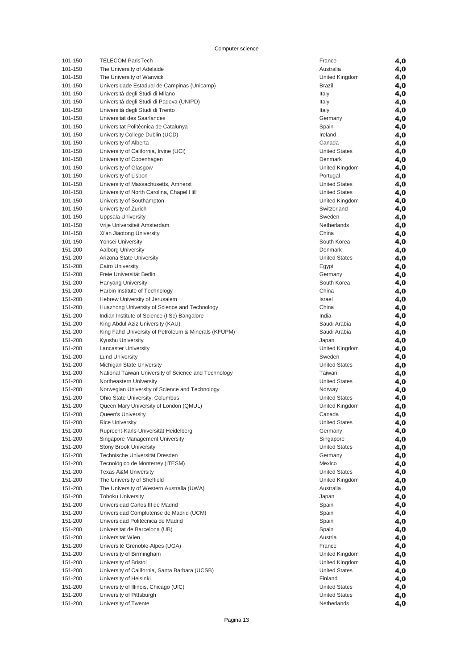| 101-150 | <b>TELECOM ParisTech</b>                             | France               | 4,0 |
|---------|------------------------------------------------------|----------------------|-----|
| 101-150 | The University of Adelaide                           | Australia            | 4,0 |
| 101-150 | The University of Warwick                            | United Kingdom       | 4,0 |
| 101-150 | Universidade Estadual de Campinas (Unicamp)          | Brazil               | 4,0 |
| 101-150 | Università degli Studi di Milano                     | Italy                | 4,0 |
|         |                                                      |                      |     |
| 101-150 | Università degli Studi di Padova (UNIPD)             | Italy                | 4,0 |
| 101-150 | Università degli Studi di Trento                     | Italy                | 4,0 |
| 101-150 | Universität des Saarlandes                           | Germany              | 4,0 |
| 101-150 | Universitat Politècnica de Catalunya                 | Spain                | 4,0 |
| 101-150 | University College Dublin (UCD)                      | Ireland              | 4,0 |
| 101-150 | University of Alberta                                | Canada               | 4,0 |
| 101-150 | University of California, Irvine (UCI)               | <b>United States</b> | 4,0 |
| 101-150 | University of Copenhagen                             | Denmark              | 4,0 |
| 101-150 | University of Glasgow                                | United Kingdom       | 4,0 |
| 101-150 | University of Lisbon                                 | Portugal             | 4,0 |
|         |                                                      |                      |     |
| 101-150 | University of Massachusetts, Amherst                 | <b>United States</b> | 4,0 |
| 101-150 | University of North Carolina, Chapel Hill            | <b>United States</b> | 4,0 |
| 101-150 | University of Southampton                            | United Kingdom       | 4,0 |
| 101-150 | University of Zurich                                 | Switzerland          | 4,0 |
| 101-150 | Uppsala University                                   | Sweden               | 4,0 |
| 101-150 | Vrije Universiteit Amsterdam                         | Netherlands          | 4,0 |
| 101-150 | Xi'an Jiaotong University                            | China                | 4,0 |
| 101-150 | Yonsei University                                    | South Korea          | 4,0 |
| 151-200 | <b>Aalborg University</b>                            | Denmark              | 4,0 |
| 151-200 | Arizona State University                             | <b>United States</b> | 4,0 |
| 151-200 | <b>Cairo University</b>                              | Egypt                | 4,0 |
| 151-200 | Freie Universität Berlin                             |                      |     |
|         |                                                      | Germany              | 4,0 |
| 151-200 | <b>Hanyang University</b>                            | South Korea          | 4,0 |
| 151-200 | Harbin Institute of Technology                       | China                | 4,0 |
| 151-200 | Hebrew University of Jerusalem                       | Israel               | 4,0 |
| 151-200 | Huazhong University of Science and Technology        | China                | 4,0 |
| 151-200 | Indian Institute of Science (IISc) Bangalore         | India                | 4,0 |
| 151-200 | King Abdul Aziz University (KAU)                     | Saudi Arabia         | 4,0 |
| 151-200 | King Fahd University of Petroleum & Minerals (KFUPM) | Saudi Arabia         | 4,0 |
| 151-200 | Kyushu University                                    | Japan                | 4,0 |
| 151-200 | <b>Lancaster University</b>                          | United Kingdom       | 4,0 |
| 151-200 | <b>Lund University</b>                               | Sweden               | 4,0 |
| 151-200 | Michigan State University                            | <b>United States</b> | 4,0 |
| 151-200 | National Taiwan University of Science and Technology | Taiwan               | 4,0 |
| 151-200 | Northeastern University                              | <b>United States</b> | 4,0 |
|         |                                                      |                      |     |
| 151-200 | Norwegian University of Science and Technology       | Norway               | 4,0 |
| 151-200 | Ohio State University, Columbus                      | <b>United States</b> | 4,0 |
| 151-200 | Queen Mary University of London (QMUL)               | United Kingdom       | 4,0 |
| 151-200 | Queen's University                                   | Canada               | 4,0 |
| 151-200 | <b>Rice University</b>                               | United States        | 4,0 |
| 151-200 | Ruprecht-Karls-Universität Heidelberg                | Germany              | 4,0 |
| 151-200 | Singapore Management University                      | Singapore            | 4,0 |
| 151-200 | <b>Stony Brook University</b>                        | <b>United States</b> | 4,0 |
| 151-200 | Technische Universität Dresden                       | Germany              | 4,0 |
| 151-200 | Tecnológico de Monterrey (ITESM)                     | Mexico               | 4,0 |
| 151-200 | <b>Texas A&amp;M University</b>                      | <b>United States</b> | 4,0 |
| 151-200 | The University of Sheffield                          | United Kingdom       | 4,0 |
|         |                                                      | Australia            |     |
| 151-200 | The University of Western Australia (UWA)            |                      | 4,0 |
| 151-200 | <b>Tohoku University</b>                             | Japan                | 4,0 |
| 151-200 | Universidad Carlos III de Madrid                     | Spain                | 4,0 |
| 151-200 | Universidad Complutense de Madrid (UCM)              | Spain                | 4,0 |
| 151-200 | Universidad Politécnica de Madrid                    | Spain                | 4,0 |
| 151-200 | Universitat de Barcelona (UB)                        | Spain                | 4,0 |
| 151-200 | Universität Wien                                     | Austria              | 4,0 |
| 151-200 | Université Grenoble-Alpes (UGA)                      | France               | 4,0 |
| 151-200 | University of Birmingham                             | United Kingdom       | 4,0 |
| 151-200 | University of Bristol                                | United Kingdom       | 4,0 |
| 151-200 | University of California, Santa Barbara (UCSB)       | <b>United States</b> | 4,0 |
| 151-200 | University of Helsinki                               | Finland              | 4,0 |
| 151-200 | University of Illinois, Chicago (UIC)                | <b>United States</b> | 4,0 |
| 151-200 | University of Pittsburgh                             | <b>United States</b> |     |
| 151-200 | University of Twente                                 | Netherlands          | 4,0 |
|         |                                                      |                      | 4,0 |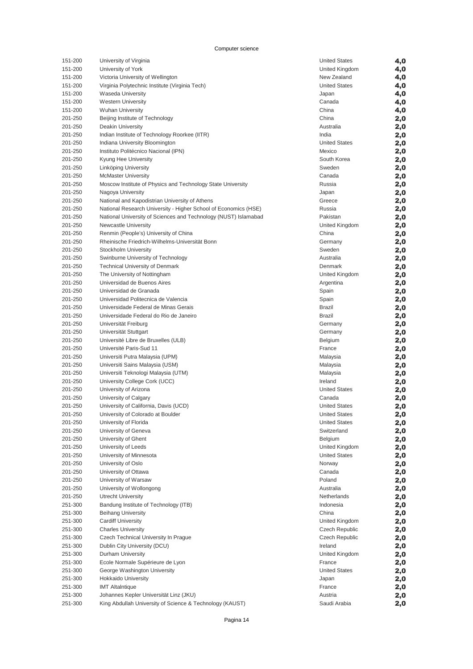| 151-200 | University of Virginia                                          | <b>United States</b> | 4,0 |
|---------|-----------------------------------------------------------------|----------------------|-----|
| 151-200 | University of York                                              | United Kingdom       | 4,0 |
| 151-200 | Victoria University of Wellington                               | New Zealand          | 4,0 |
| 151-200 | Virginia Polytechnic Institute (Virginia Tech)                  | <b>United States</b> | 4,0 |
|         |                                                                 |                      |     |
| 151-200 | <b>Waseda University</b>                                        | Japan                | 4,0 |
| 151-200 | <b>Western University</b>                                       | Canada               | 4,0 |
| 151-200 | <b>Wuhan University</b>                                         | China                | 4,0 |
| 201-250 | Beijing Institute of Technology                                 | China                | 2,0 |
| 201-250 | Deakin University                                               | Australia            | 2,0 |
| 201-250 | Indian Institute of Technology Roorkee (IITR)                   | India                | 2,0 |
| 201-250 | Indiana University Bloomington                                  | <b>United States</b> |     |
|         |                                                                 |                      | 2,0 |
| 201-250 | Instituto Politécnico Nacional (IPN)                            | Mexico               | 2,0 |
| 201-250 | Kyung Hee University                                            | South Korea          | 2,0 |
| 201-250 | Linköping University                                            | Sweden               | 2,0 |
| 201-250 | <b>McMaster University</b>                                      | Canada               | 2,0 |
| 201-250 | Moscow Institute of Physics and Technology State University     | Russia               | 2,0 |
| 201-250 | Nagoya University                                               | Japan                | 2,0 |
|         |                                                                 |                      |     |
| 201-250 | National and Kapodistrian University of Athens                  | Greece               | 2,0 |
| 201-250 | National Research University - Higher School of Economics (HSE) | Russia               | 2,0 |
| 201-250 | National University of Sciences and Technology (NUST) Islamabad | Pakistan             | 2,0 |
| 201-250 | <b>Newcastle University</b>                                     | United Kingdom       | 2,0 |
| 201-250 | Renmin (People's) University of China                           | China                | 2,0 |
| 201-250 | Rheinische Friedrich-Wilhelms-Universität Bonn                  | Germany              | 2,0 |
| 201-250 | Stockholm University                                            | Sweden               |     |
|         |                                                                 |                      | 2,0 |
| 201-250 | Swinburne University of Technology                              | Australia            | 2,0 |
| 201-250 | <b>Technical University of Denmark</b>                          | Denmark              | 2,0 |
| 201-250 | The University of Nottingham                                    | United Kingdom       | 2,0 |
| 201-250 | Universidad de Buenos Aires                                     | Argentina            | 2,0 |
| 201-250 | Universidad de Granada                                          | Spain                | 2,0 |
| 201-250 | Universidad Politecnica de Valencia                             | Spain                | 2,0 |
| 201-250 | Universidade Federal de Minas Gerais                            | <b>Brazil</b>        |     |
|         |                                                                 |                      | 2,0 |
| 201-250 | Universidade Federal do Rio de Janeiro                          | <b>Brazil</b>        | 2,0 |
| 201-250 | Universität Freiburg                                            | Germany              | 2,0 |
| 201-250 | Universität Stuttgart                                           | Germany              | 2,0 |
| 201-250 | Université Libre de Bruxelles (ULB)                             | Belgium              | 2,0 |
| 201-250 | Université Paris-Sud 11                                         | France               | 2,0 |
| 201-250 | Universiti Putra Malaysia (UPM)                                 | Malaysia             |     |
|         |                                                                 |                      | 2,0 |
| 201-250 | Universiti Sains Malaysia (USM)                                 | Malaysia             | 2,0 |
| 201-250 | Universiti Teknologi Malaysia (UTM)                             | Malaysia             | 2,0 |
| 201-250 | University College Cork (UCC)                                   | Ireland              | 2,0 |
| 201-250 | University of Arizona                                           | <b>United States</b> | 2,0 |
| 201-250 | University of Calgary                                           | Canada               | 2,0 |
| 201-250 | University of California, Davis (UCD)                           | <b>United States</b> | 2,0 |
|         |                                                                 |                      |     |
| 201-250 | University of Colorado at Boulder                               | <b>United States</b> | 2,0 |
| 201-250 | University of Florida                                           | <b>United States</b> | 2,0 |
| 201-250 | University of Geneva                                            | Switzerland          | 2,0 |
| 201-250 | University of Ghent                                             | Belgium              | 2,0 |
| 201-250 | University of Leeds                                             | United Kingdom       | 2,0 |
| 201-250 | University of Minnesota                                         | <b>United States</b> | 2,0 |
| 201-250 | University of Oslo                                              | Norway               | 2,0 |
|         |                                                                 |                      |     |
| 201-250 | University of Ottawa                                            | Canada               | 2,0 |
| 201-250 | University of Warsaw                                            | Poland               | 2,0 |
| 201-250 | University of Wollongong                                        | Australia            | 2,0 |
| 201-250 | <b>Utrecht University</b>                                       | Netherlands          | 2,0 |
| 251-300 | Bandung Institute of Technology (ITB)                           | Indonesia            | 2,0 |
| 251-300 | <b>Beihang University</b>                                       | China                | 2,0 |
| 251-300 | <b>Cardiff University</b>                                       | United Kingdom       |     |
|         |                                                                 |                      | 2,0 |
| 251-300 | <b>Charles University</b>                                       | Czech Republic       | 2,0 |
| 251-300 | Czech Technical University In Prague                            | Czech Republic       | 2,0 |
| 251-300 | Dublin City University (DCU)                                    | Ireland              | 2,0 |
| 251-300 | Durham University                                               | United Kingdom       | 2,0 |
| 251-300 | Ecole Normale Supérieure de Lyon                                | France               | 2,0 |
| 251-300 | George Washington University                                    | <b>United States</b> | 2,0 |
| 251-300 | <b>Hokkaido University</b>                                      |                      |     |
|         |                                                                 | Japan                | 2,0 |
| 251-300 | <b>IMT Altaintique</b>                                          | France               | 2,0 |
| 251-300 | Johannes Kepler Universität Linz (JKU)                          | Austria              | 2,0 |
| 251-300 | King Abdullah University of Science & Technology (KAUST)        | Saudi Arabia         | 2,0 |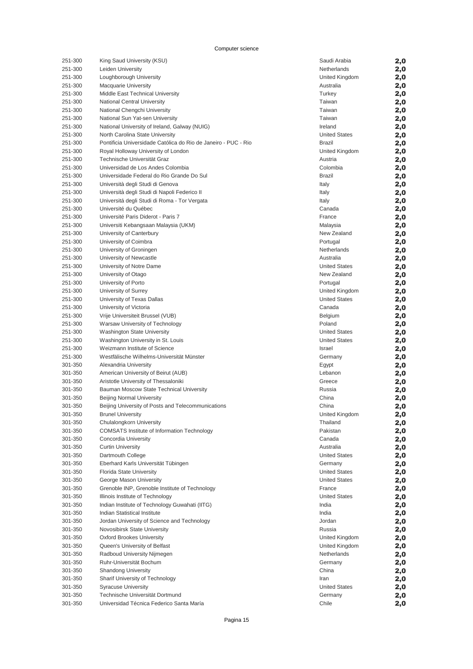| 251-300 | King Saud University (KSU)                                     | Saudi Arabia         | 2,0 |
|---------|----------------------------------------------------------------|----------------------|-----|
| 251-300 | Leiden University                                              | Netherlands          | 2,0 |
| 251-300 | Loughborough University                                        | United Kingdom       | 2,0 |
| 251-300 | <b>Macquarie University</b>                                    | Australia            | 2,0 |
| 251-300 | Middle East Technical University                               | Turkey               | 2,0 |
| 251-300 | National Central University                                    | Taiwan               | 2,0 |
| 251-300 | National Chengchi University                                   | Taiwan               | 2,0 |
| 251-300 | National Sun Yat-sen University                                | Taiwan               | 2,0 |
| 251-300 | National University of Ireland, Galway (NUIG)                  | Ireland              | 2,0 |
| 251-300 | North Carolina State University                                | <b>United States</b> | 2,0 |
| 251-300 | Pontificia Universidade Católica do Rio de Janeiro - PUC - Rio |                      |     |
|         |                                                                | <b>Brazil</b>        | 2,0 |
| 251-300 | Royal Holloway University of London                            | United Kingdom       | 2,0 |
| 251-300 | Technische Universität Graz                                    | Austria              | 2,0 |
| 251-300 | Universidad de Los Andes Colombia                              | Colombia             | 2,0 |
| 251-300 | Universidade Federal do Rio Grande Do Sul                      | <b>Brazil</b>        | 2,0 |
| 251-300 | Università degli Studi di Genova                               | Italy                | 2,0 |
| 251-300 | Università degli Studi di Napoli Federico II                   | Italy                | 2,0 |
| 251-300 | Universitá degli Studi di Roma - Tor Vergata                   | Italy                | 2,0 |
| 251-300 | Université du Québec                                           | Canada               | 2,0 |
| 251-300 | Université Paris Diderot - Paris 7                             | France               | 2,0 |
| 251-300 | Universiti Kebangsaan Malaysia (UKM)                           | Malaysia             | 2,0 |
| 251-300 | University of Canterbury                                       | New Zealand          | 2,0 |
| 251-300 | University of Coimbra                                          | Portugal             | 2,0 |
| 251-300 | University of Groningen                                        | Netherlands          | 2,0 |
| 251-300 | University of Newcastle                                        | Australia            | 2,0 |
| 251-300 | University of Notre Dame                                       | <b>United States</b> | 2,0 |
| 251-300 | University of Otago                                            | New Zealand          | 2,0 |
| 251-300 | University of Porto                                            | Portugal             | 2,0 |
| 251-300 | University of Surrey                                           | United Kingdom       |     |
| 251-300 |                                                                | <b>United States</b> | 2,0 |
|         | University of Texas Dallas                                     |                      | 2,0 |
| 251-300 | University of Victoria                                         | Canada               | 2,0 |
| 251-300 | Vrije Universiteit Brussel (VUB)                               | <b>Belgium</b>       | 2,0 |
| 251-300 | Warsaw University of Technology                                | Poland               | 2,0 |
| 251-300 | <b>Washington State University</b>                             | <b>United States</b> | 2,0 |
| 251-300 | Washington University in St. Louis                             | <b>United States</b> | 2,0 |
| 251-300 | Weizmann Institute of Science                                  | Israel               | 2,0 |
| 251-300 | Westfälische Wilhelms-Universität Münster                      | Germany              | 2,0 |
| 301-350 | Alexandria University                                          | Egypt                | 2,0 |
| 301-350 | American University of Beirut (AUB)                            | Lebanon              | 2,0 |
| 301-350 | Aristotle University of Thessaloniki                           | Greece               | 2,0 |
| 301-350 | Bauman Moscow State Technical University                       | Russia               | 2,0 |
| 301-350 | <b>Beijing Normal University</b>                               | China                | 2,0 |
| 301-350 | Beijing University of Posts and Telecommunications             | China                | 2,0 |
| 301-350 | <b>Brunel University</b>                                       | United Kingdom       | 2,0 |
| 301-350 | Chulalongkorn University                                       | Thailand             | 2,0 |
| 301-350 | <b>COMSATS Institute of Information Technology</b>             | Pakistan             | 2,0 |
| 301-350 | Concordia University                                           | Canada               | 2,0 |
| 301-350 | <b>Curtin University</b>                                       | Australia            | 2,0 |
| 301-350 | Dartmouth College                                              | <b>United States</b> | 2,0 |
| 301-350 | Eberhard Karls Universität Tübingen                            | Germany              | 2,0 |
| 301-350 | Florida State University                                       | <b>United States</b> | 2,0 |
| 301-350 | George Mason University                                        | <b>United States</b> | 2,0 |
| 301-350 | Grenoble INP, Grenoble Institute of Technology                 | France               | 2,0 |
| 301-350 | Illinois Institute of Technology                               | <b>United States</b> |     |
|         | Indian Institute of Technology Guwahati (IITG)                 | India                | 2,0 |
| 301-350 |                                                                |                      | 2,0 |
| 301-350 | Indian Statistical Institute                                   | India                | 2,0 |
| 301-350 | Jordan University of Science and Technology                    | Jordan               | 2,0 |
| 301-350 | Novosibirsk State University                                   | Russia               | 2,0 |
| 301-350 | <b>Oxford Brookes University</b>                               | United Kingdom       | 2,0 |
| 301-350 | Queen's University of Belfast                                  | United Kingdom       | 2,0 |
| 301-350 | Radboud University Nijmegen                                    | Netherlands          | 2,0 |
| 301-350 | Ruhr-Universität Bochum                                        | Germany              | 2,0 |
| 301-350 | <b>Shandong University</b>                                     | China                | 2,0 |
| 301-350 | Sharif University of Technology                                | Iran                 | 2,0 |
| 301-350 | <b>Syracuse University</b>                                     | <b>United States</b> | 2,0 |
| 301-350 | Technische Universität Dortmund                                | Germany              | 2,0 |
| 301-350 | Universidad Técnica Federico Santa María                       | Chile                | 2,0 |
|         |                                                                |                      |     |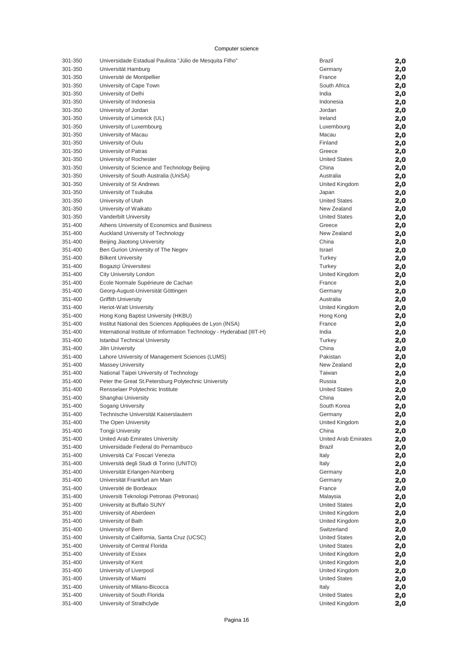| 301-350            | Universidade Estadual Paulista "Júlio de Mesquita Filho"                | <b>Brazil</b>                    | 2,0        |
|--------------------|-------------------------------------------------------------------------|----------------------------------|------------|
| 301-350            | Universität Hamburg                                                     | Germany                          | 2,0        |
| 301-350            | Université de Montpellier                                               | France                           | 2,0        |
| 301-350            | University of Cape Town                                                 | South Africa                     | 2,0        |
| 301-350            | University of Delhi                                                     | India                            | 2,0        |
| 301-350            | University of Indonesia                                                 | Indonesia                        | 2,0        |
| 301-350            | University of Jordan                                                    | Jordan                           | 2,0        |
| 301-350            | University of Limerick (UL)                                             | Ireland                          | 2,0        |
| 301-350            | University of Luxembourg                                                | Luxembourg                       | 2,0        |
| 301-350            | University of Macau                                                     | Macau                            | 2,0        |
| 301-350            | University of Oulu                                                      | Finland                          | 2,0        |
| 301-350<br>301-350 | University of Patras                                                    | Greece<br><b>United States</b>   | 2,0        |
| 301-350            | University of Rochester<br>University of Science and Technology Beijing | China                            | 2,0        |
| 301-350            | University of South Australia (UniSA)                                   | Australia                        | 2,0<br>2,0 |
| 301-350            | University of St Andrews                                                | United Kingdom                   | 2,0        |
| 301-350            | University of Tsukuba                                                   | Japan                            | 2,0        |
| 301-350            | University of Utah                                                      | <b>United States</b>             | 2,0        |
| 301-350            | University of Waikato                                                   | New Zealand                      | 2,0        |
| 301-350            | <b>Vanderbilt University</b>                                            | <b>United States</b>             | 2,0        |
| 351-400            | Athens University of Economics and Business                             | Greece                           | 2,0        |
| 351-400            | Auckland University of Technology                                       | New Zealand                      | 2,0        |
| 351-400            | Beijing Jiaotong University                                             | China                            | 2,0        |
| 351-400            | Ben Gurion University of The Negev                                      | Israel                           | 2,0        |
| 351-400            | <b>Bilkent University</b>                                               | Turkey                           | 2,0        |
| 351-400            | Bogazici Üniversitesi                                                   | Turkey                           | 2,0        |
| 351-400            | City University London                                                  | United Kingdom                   | 2,0        |
| 351-400            | Ecole Normale Supérieure de Cachan                                      | France                           | 2,0        |
| 351-400            | Georg-August-Universität Göttingen                                      | Germany                          | 2,0        |
| 351-400            | Griffith University                                                     | Australia                        | 2,0        |
| 351-400            | <b>Heriot-Watt University</b>                                           | United Kingdom                   | 2,0        |
| 351-400            | Hong Kong Baptist University (HKBU)                                     | Hong Kong                        | 2,0        |
| 351-400            | Institut National des Sciences Appliquées de Lyon (INSA)                | France                           | 2,0        |
| 351-400<br>351-400 | International Institute of Information Technology - Hyderabad (IIIT-H)  | India<br>Turkey                  | 2,0        |
| 351-400            | <b>Istanbul Technical University</b><br>Jilin University                | China                            | 2,0        |
| 351-400            | Lahore University of Management Sciences (LUMS)                         | Pakistan                         | 2,0<br>2,0 |
| 351-400            | <b>Massey University</b>                                                | New Zealand                      | 2,0        |
| 351-400            | National Taipei University of Technology                                | Taiwan                           | 2,0        |
| 351-400            | Peter the Great St. Petersburg Polytechnic University                   | Russia                           | 2,0        |
| 351-400            | Rensselaer Polytechnic Institute                                        | <b>United States</b>             | 2,0        |
| 351-400            | Shanghai University                                                     | China                            | 2,0        |
| 351-400            | Sogang University                                                       | South Korea                      | 2,0        |
| 351-400            | Technische Universität Kaiserslautern                                   | Germany                          | 2,0        |
| 351-400            | The Open University                                                     | United Kingdom                   | 2,0        |
| 351-400            | <b>Tongji University</b>                                                | China                            | 2,0        |
| 351-400            | United Arab Emirates University                                         | United Arab Emirates             | 2,0        |
| 351-400            | Universidade Federal do Pernambuco                                      | Brazil                           | 2,0        |
| 351-400            | Università Ca' Foscari Venezia                                          | Italy                            | 2,0        |
| 351-400            | Università degli Studi di Torino (UNITO)                                | Italy                            | 2,0        |
| 351-400            | Universität Erlangen-Nürnberg                                           | Germany                          | 2,0        |
| 351-400            | Universität Frankfurt am Main                                           | Germany                          | 2,0        |
| 351-400            | Université de Bordeaux                                                  | France                           | 2,0        |
| 351-400            | Universiti Teknologi Petronas (Petronas)                                | Malaysia                         | 2,0        |
| 351-400            | University at Buffalo SUNY                                              | <b>United States</b>             | 2,0        |
| 351-400<br>351-400 | University of Aberdeen<br>University of Bath                            | United Kingdom<br>United Kingdom | 2,0        |
| 351-400            | University of Bern                                                      | Switzerland                      | 2,0        |
| 351-400            | University of California, Santa Cruz (UCSC)                             | <b>United States</b>             | 2,0<br>2,0 |
| 351-400            | University of Central Florida                                           | <b>United States</b>             | 2,0        |
| 351-400            | University of Essex                                                     | United Kingdom                   | 2,0        |
| 351-400            | University of Kent                                                      | United Kingdom                   | 2,0        |
| 351-400            | University of Liverpool                                                 | United Kingdom                   | 2,0        |
| 351-400            | University of Miami                                                     | <b>United States</b>             | 2,0        |
| 351-400            | University of Milano-Bicocca                                            | Italy                            | 2,0        |
| 351-400            | University of South Florida                                             | <b>United States</b>             | 2,0        |
| 351-400            | University of Strathclyde                                               | United Kingdom                   | 2,0        |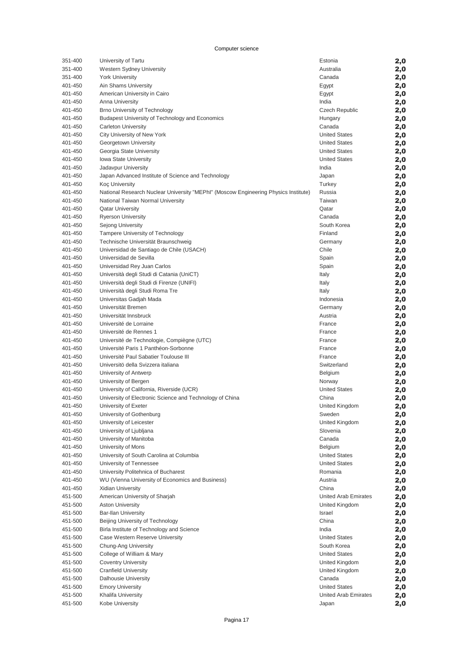| 351-400            | University of Tartu                                                                 | Estonia                                             | 2,0        |
|--------------------|-------------------------------------------------------------------------------------|-----------------------------------------------------|------------|
| 351-400            | Western Sydney University                                                           | Australia                                           | 2,0        |
| 351-400            | <b>York University</b>                                                              | Canada                                              | 2,0        |
| 401-450            | Ain Shams University                                                                | Egypt                                               | 2,0        |
| 401-450            | American University in Cairo                                                        | Egypt                                               | 2,0        |
| 401-450            | Anna University                                                                     | India                                               | 2,0        |
| 401-450            | Brno University of Technology                                                       | <b>Czech Republic</b>                               | 2,0        |
| 401-450            | Budapest University of Technology and Economics                                     | Hungary                                             | 2,0        |
| 401-450            | <b>Carleton University</b>                                                          | Canada                                              | 2,0        |
| 401-450            | City University of New York                                                         | <b>United States</b><br><b>United States</b>        | 2,0        |
| 401-450<br>401-450 | Georgetown University<br>Georgia State University                                   | <b>United States</b>                                | 2,0        |
| 401-450            | <b>Iowa State University</b>                                                        | <b>United States</b>                                | 2,0<br>2,0 |
| 401-450            | Jadavpur University                                                                 | India                                               | 2,0        |
| 401-450            | Japan Advanced Institute of Science and Technology                                  | Japan                                               | 2,0        |
| 401-450            | <b>Koç University</b>                                                               | Turkey                                              | 2,0        |
| 401-450            | National Research Nuclear University "MEPhl" (Moscow Engineering Physics Institute) | Russia                                              | 2,0        |
| 401-450            | National Taiwan Normal University                                                   | Taiwan                                              | 2,0        |
| 401-450            | <b>Qatar University</b>                                                             | Qatar                                               | 2,0        |
| 401-450            | <b>Ryerson University</b>                                                           | Canada                                              | 2,0        |
| 401-450            | Sejong University                                                                   | South Korea                                         | 2,0        |
| 401-450            | Tampere University of Technology                                                    | Finland                                             | 2,0        |
| 401-450            | Technische Universität Braunschweig                                                 | Germany                                             | 2,0        |
| 401-450            | Universidad de Santiago de Chile (USACH)                                            | Chile                                               | 2,0        |
| 401-450            | Universidad de Sevilla                                                              | Spain                                               | 2,0        |
| 401-450            | Universidad Rey Juan Carlos                                                         | Spain                                               | 2,0        |
| 401-450            | Università degli Studi di Catania (UniCT)                                           | Italy                                               | 2,0        |
| 401-450            | Università degli Studi di Firenze (UNIFI)                                           | Italy                                               | 2,0        |
| 401-450            | Università degli Studi Roma Tre                                                     | Italy                                               | 2,0        |
| 401-450            | Universitas Gadjah Mada<br>Universität Bremen                                       | Indonesia                                           | 2,0        |
| 401-450<br>401-450 | Universität Innsbruck                                                               | Germany<br>Austria                                  | 2,0        |
| 401-450            | Université de Lorraine                                                              | France                                              | 2,0<br>2,0 |
| 401-450            | Université de Rennes 1                                                              | France                                              | 2,0        |
| 401-450            | Université de Technologie, Compiègne (UTC)                                          | France                                              | 2,0        |
| 401-450            | Université Paris 1 Panthéon-Sorbonne                                                | France                                              | 2,0        |
| 401-450            | Université Paul Sabatier Toulouse III                                               | France                                              | 2,0        |
| 401-450            | Universitö della Svizzera italiana                                                  | Switzerland                                         | 2,0        |
| 401-450            | University of Antwerp                                                               | <b>Belgium</b>                                      | 2,0        |
| 401-450            | University of Bergen                                                                | Norway                                              | 2,0        |
| 401-450            | University of California, Riverside (UCR)                                           | <b>United States</b>                                | 2,0        |
| 401-450            | University of Electronic Science and Technology of China                            | China                                               | 2,0        |
| 401-450            | University of Exeter                                                                | United Kingdom                                      | 2,0        |
| 401-450            | University of Gothenburg                                                            | Sweden                                              | 2,0        |
| 401-450            | University of Leicester                                                             | United Kingdom                                      | 2,0        |
| 401-450            | University of Ljubljana                                                             | Slovenia                                            | 2,0        |
| 401-450            | University of Manitoba                                                              | Canada                                              | 2,0        |
| 401-450            | University of Mons                                                                  | <b>Belgium</b>                                      | 2,0        |
| 401-450<br>401-450 | University of South Carolina at Columbia<br>University of Tennessee                 | <b>United States</b><br><b>United States</b>        | 2,0        |
| 401-450            | University Politehnica of Bucharest                                                 | Romania                                             | 2,0<br>2,0 |
| 401-450            | WU (Vienna University of Economics and Business)                                    | Austria                                             | 2,0        |
| 401-450            | <b>Xidian University</b>                                                            | China                                               | 2,0        |
| 451-500            | American University of Sharjah                                                      | United Arab Emirates                                | 2,0        |
| 451-500            | <b>Aston University</b>                                                             | United Kingdom                                      | 2,0        |
| 451-500            | <b>Bar-Ilan University</b>                                                          | Israel                                              | 2,0        |
| 451-500            | Beijing University of Technology                                                    | China                                               | 2,0        |
| 451-500            | Birla Institute of Technology and Science                                           | India                                               | 2,0        |
| 451-500            | Case Western Reserve University                                                     | <b>United States</b>                                | 2,0        |
| 451-500            | Chung-Ang University                                                                | South Korea                                         | 2,0        |
| 451-500            | College of William & Mary                                                           | <b>United States</b>                                | 2,0        |
| 451-500            | <b>Coventry University</b>                                                          | United Kingdom                                      | 2,0        |
| 451-500            | <b>Cranfield University</b>                                                         | United Kingdom                                      | 2,0        |
| 451-500            | Dalhousie University                                                                | Canada                                              | 2,0        |
| 451-500            | <b>Emory University</b>                                                             | <b>United States</b><br><b>United Arab Emirates</b> | 2,0        |
| 451-500<br>451-500 | Khalifa University<br>Kobe University                                               | Japan                                               | 2,0        |
|                    |                                                                                     |                                                     | 2,0        |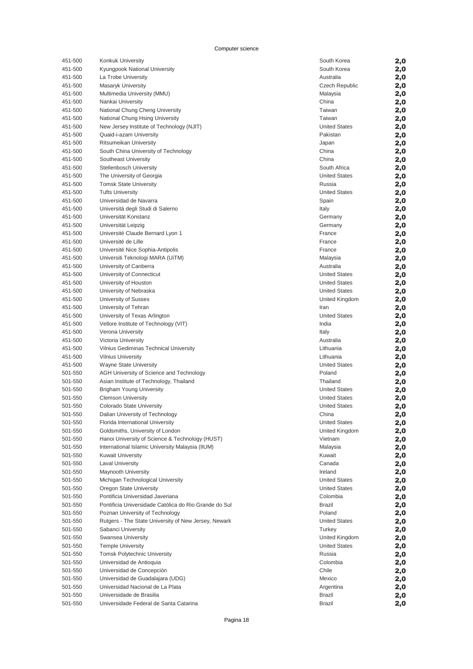|         | Konkuk University                                     | South Korea          | 2,0        |
|---------|-------------------------------------------------------|----------------------|------------|
| 451-500 | Kyungpook National University                         | South Korea          | 2,0        |
| 451-500 | La Trobe University                                   | Australia            | 2,0        |
| 451-500 | Masaryk University                                    | Czech Republic       | 2,0        |
| 451-500 | Multimedia University (MMU)                           | Malaysia             | 2,0        |
|         |                                                       | China                |            |
| 451-500 | Nankai University                                     |                      | 2,0        |
| 451-500 | National Chung Cheng University                       | Taiwan               | 2,0        |
| 451-500 | National Chung Hsing University                       | Taiwan               | 2,0        |
| 451-500 | New Jersey Institute of Technology (NJIT)             | <b>United States</b> | 2,0        |
| 451-500 | Quaid-i-azam University                               | Pakistan             | 2,0        |
| 451-500 | Ritsumeikan University                                | Japan                | 2,0        |
| 451-500 | South China University of Technology                  | China                | 2,0        |
| 451-500 | Southeast University                                  | China                | 2,0        |
| 451-500 | Stellenbosch University                               | South Africa         | 2,0        |
|         |                                                       |                      |            |
| 451-500 | The University of Georgia                             | <b>United States</b> | 2,0        |
| 451-500 | <b>Tomsk State University</b>                         | Russia               | 2,0        |
| 451-500 | <b>Tufts University</b>                               | <b>United States</b> | 2,0        |
| 451-500 | Universidad de Navarra                                | Spain                | 2,0        |
| 451-500 | Università degli Studi di Salerno                     | Italy                | 2,0        |
| 451-500 | Universität Konstanz                                  | Germany              | 2,0        |
| 451-500 | Universität Leipzig                                   | Germany              | 2,0        |
| 451-500 | Université Claude Bernard Lyon 1                      | France               | 2,0        |
| 451-500 | Université de Lille                                   | France               |            |
|         |                                                       |                      | 2,0        |
| 451-500 | Université Nice Sophia-Antipolis                      | France               | 2,0        |
| 451-500 | Universiti Teknologi MARA (UiTM)                      | Malaysia             | 2,0        |
| 451-500 | University of Canberra                                | Australia            | 2,0        |
| 451-500 | University of Connecticut                             | <b>United States</b> | 2,0        |
| 451-500 | University of Houston                                 | <b>United States</b> | 2,0        |
| 451-500 | University of Nebraska                                | <b>United States</b> | 2,0        |
| 451-500 | University of Sussex                                  | United Kingdom       | 2,0        |
| 451-500 | University of Tehran                                  | Iran                 | 2,0        |
| 451-500 |                                                       | <b>United States</b> |            |
|         | University of Texas Arlington                         |                      | 2,0        |
| 451-500 | Vellore Institute of Technology (VIT)                 | India                | 2,0        |
| 451-500 | Verona University                                     | Italy                | 2,0        |
| 451-500 | Victoria University                                   | Australia            | 2,0        |
|         |                                                       |                      |            |
| 451-500 | Vilnius Gediminas Technical University                | Lithuania            | 2,0        |
| 451-500 | <b>Vilnius University</b>                             | Lithuania            | 2,0        |
| 451-500 | <b>Wayne State University</b>                         | <b>United States</b> |            |
|         |                                                       |                      | 2,0        |
| 501-550 | AGH University of Science and Technology              | Poland               | 2,0        |
| 501-550 | Asian Institute of Technology, Thailand               | Thailand             | 2,0        |
| 501-550 | <b>Brigham Young University</b>                       | <b>United States</b> | 2,0        |
| 501-550 | <b>Clemson University</b>                             | <b>United States</b> | 2,0        |
| 501-550 | Colorado State University                             | <b>United States</b> | 2,0        |
| 501-550 | Dalian University of Technology                       | China                | 2,0        |
| 501-550 | Florida International University                      | <b>United States</b> | 2,0        |
| 501-550 | Goldsmiths, University of London                      | United Kingdom       | 2,0        |
| 501-550 | Hanoi University of Science & Technology (HUST)       | Vietnam              |            |
|         |                                                       |                      | 2,0        |
| 501-550 | International Islamic University Malaysia (IIUM)      | Malaysia             | 2,0        |
| 501-550 | <b>Kuwait University</b>                              | Kuwait               | 2,0        |
| 501-550 | <b>Laval University</b>                               | Canada               | 2,0        |
| 501-550 | Maynooth University                                   | Ireland              | 2,0        |
| 501-550 | Michigan Technological University                     | <b>United States</b> | 2,0        |
| 501-550 | Oregon State University                               | <b>United States</b> | 2,0        |
| 501-550 | Pontificia Universidad Javeriana                      | Colombia             | 2,0        |
| 501-550 | Pontificia Universidade Católica do Rio Grande do Sul | <b>Brazil</b>        |            |
| 501-550 | Poznan University of Technology                       | Poland               | 2,0        |
| 501-550 |                                                       | <b>United States</b> | 2,0        |
|         | Rutgers - The State University of New Jersey, Newark  |                      | 2,0        |
| 501-550 | Sabanci University                                    | Turkey               | 2,0        |
| 501-550 | Swansea University                                    | United Kingdom       | 2,0        |
| 501-550 | <b>Temple University</b>                              | <b>United States</b> | 2,0        |
| 501-550 | <b>Tomsk Polytechnic University</b>                   | Russia               | 2,0        |
| 501-550 | Universidad de Antioquia                              | Colombia             | 2,0        |
| 501-550 | Universidad de Concepción                             | Chile                | 2,0        |
| 501-550 | Universidad de Guadalajara (UDG)                      | Mexico               | 2,0        |
| 501-550 | Universidad Nacional de La Plata                      | Argentina            | 2,0        |
| 501-550 | Universidade de Brasilia                              | <b>Brazil</b>        |            |
| 501-550 | Universidade Federal de Santa Catarina                | <b>Brazil</b>        | 2,0<br>2,0 |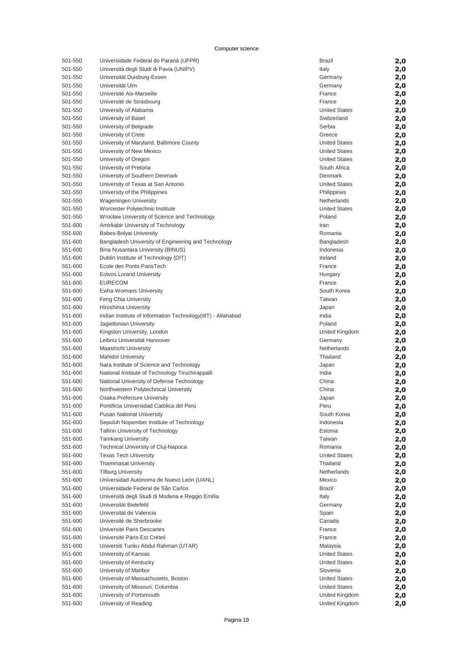| 501-550 | Universidade Federal do Paraná (UFPR)                        | Brazil               | 2,0 |
|---------|--------------------------------------------------------------|----------------------|-----|
| 501-550 | Università degli Studi di Pavia (UNIPV)                      | Italy                | 2,0 |
| 501-550 | Universität Duisburg-Essen                                   | Germany              | 2,0 |
| 501-550 | Universität Ulm                                              | Germany              | 2,0 |
| 501-550 | Université Aix-Marseille                                     | France               | 2,0 |
| 501-550 | Université de Strasbourg                                     | France               | 2,0 |
| 501-550 | University of Alabama                                        | <b>United States</b> | 2,0 |
| 501-550 | University of Basel                                          | Switzerland          | 2,0 |
| 501-550 | University of Belgrade                                       | Serbia               | 2,0 |
| 501-550 | University of Crete                                          | Greece               | 2,0 |
| 501-550 | University of Maryland, Baltimore County                     | <b>United States</b> | 2,0 |
| 501-550 | University of New Mexico                                     | <b>United States</b> | 2,0 |
| 501-550 | University of Oregon                                         | <b>United States</b> | 2,0 |
| 501-550 | University of Pretoria                                       | South Africa         | 2,0 |
| 501-550 | University of Southern Denmark                               | Denmark              | 2,0 |
| 501-550 | University of Texas at San Antonio                           | <b>United States</b> | 2,0 |
| 501-550 | University of the Philippines                                | Philippines          | 2,0 |
| 501-550 | <b>Wageningen University</b>                                 | Netherlands          | 2,0 |
| 501-550 | Worcester Polytechnic Institute                              | <b>United States</b> | 2,0 |
| 501-550 | Wrocław University of Science and Technology                 | Poland               | 2,0 |
| 551-600 | Amirkabir University of Technology                           | Iran                 | 2,0 |
| 551-600 | Babes-Bolyai University                                      | Romania              | 2,0 |
| 551-600 | Bangladesh University of Engineering and Technology          | Bangladesh           | 2,0 |
| 551-600 | Bina Nusantara University (BINUS)                            | Indonesia            | 2,0 |
| 551-600 | Dublin Institute of Technology (DIT)                         | Ireland              | 2,0 |
| 551-600 | Ecole des Ponts ParisTech                                    | France               | 2,0 |
| 551-600 | <b>Eotvos Lorand University</b>                              | Hungary              | 2,0 |
| 551-600 | <b>EURECOM</b>                                               | France               | 2,0 |
| 551-600 | Ewha Womans University                                       | South Korea          |     |
| 551-600 | Feng Chia University                                         | Taiwan               | 2,0 |
| 551-600 | Hiroshima University                                         |                      | 2,0 |
|         |                                                              | Japan<br>India       | 2,0 |
| 551-600 | Indian Institute of Information Technology(IIIT) - Allahabad | Poland               | 2,0 |
| 551-600 | Jagiellonian University                                      |                      | 2,0 |
| 551-600 | Kingston University, London                                  | United Kingdom       | 2,0 |
| 551-600 | Leibniz Universität Hannover                                 | Germany              | 2,0 |
| 551-600 | <b>Maastricht University</b>                                 | Netherlands          | 2,0 |
| 551-600 | <b>Mahidol University</b>                                    | Thailand             | 2,0 |
| 551-600 | Nara Institute of Science and Technology                     | Japan                | 2,0 |
| 551-600 | National Institute of Technology Tiruchirappalli             | India                | 2,0 |
| 551-600 | National University of Defense Technology                    | China                | 2,0 |
| 551-600 | Northwestern Polytechnical University                        | China                | 2,0 |
| 551-600 | Osaka Prefecture University                                  | Japan                | 2,0 |
| 551-600 | Pontificia Universidad Católica del Perú                     | Peru                 | 2,0 |
| 551-600 | Pusan National University                                    | South Korea          | 2,0 |
| 551-600 | Sepuluh Nopember Institute of Technology                     | Indonesia            | 2,0 |
| 551-600 | <b>Tallinn University of Technology</b>                      | Estonia              | 2,0 |
| 551-600 | <b>Tamkang University</b>                                    | Taiwan               | 2,0 |
| 551-600 | Technical University of Cluj-Napoca                          | Romania              | 2,0 |
| 551-600 | <b>Texas Tech University</b>                                 | <b>United States</b> | 2,0 |
| 551-600 | <b>Thammasat University</b>                                  | Thailand             | 2,0 |
| 551-600 | <b>Tilburg University</b>                                    | Netherlands          | 2,0 |
| 551-600 | Universidad Autónoma de Nuevo León (UANL)                    | Mexico               | 2,0 |
| 551-600 | Universidade Federal de São Carlos                           | <b>Brazil</b>        | 2,0 |
| 551-600 | Università degli Studi di Modena e Reggio Emilia             | Italy                | 2,0 |
| 551-600 | Universität Bielefeld                                        | Germany              | 2,0 |
| 551-600 | Universitat de Valencia                                      | Spain                | 2,0 |
| 551-600 | Université de Sherbrooke                                     | Canada               | 2,0 |
| 551-600 | Université Paris Descartes                                   | France               | 2,0 |
| 551-600 | Université Paris-Est Créteil                                 | France               | 2,0 |
| 551-600 | Universiti Tunku Abdul Rahman (UTAR)                         | Malaysia             | 2,0 |
| 551-600 | University of Kansas                                         | <b>United States</b> | 2,0 |
| 551-600 | University of Kentucky                                       | <b>United States</b> | 2,0 |
| 551-600 | University of Maribor                                        | Slovenia             | 2,0 |
| 551-600 | University of Massachusetts, Boston                          | <b>United States</b> | 2,0 |
| 551-600 | University of Missouri, Columbia                             | <b>United States</b> | 2,0 |
| 551-600 | University of Portsmouth                                     | United Kingdom       | 2,0 |
| 551-600 | University of Reading                                        | United Kingdom       | 2,0 |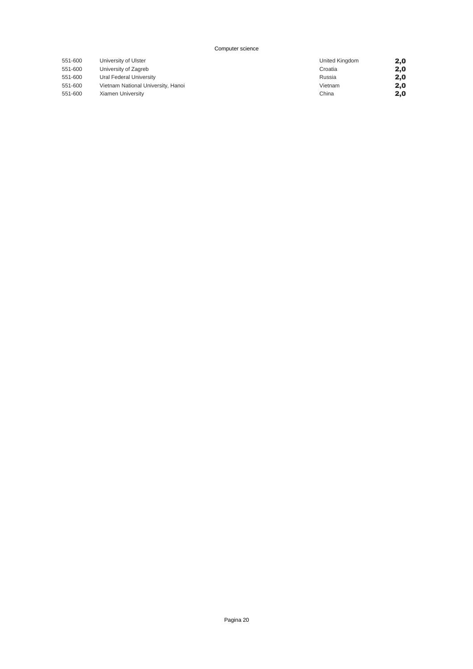| 551-600 | University of Ulster               | United Kingdom | 2,0 |
|---------|------------------------------------|----------------|-----|
| 551-600 | University of Zagreb               | Croatia        | 2,0 |
| 551-600 | Ural Federal University            | Russia         | 2,0 |
| 551-600 | Vietnam National University, Hanoi | Vietnam        | 2,0 |
| 551-600 | Xiamen University                  | China          | 2,0 |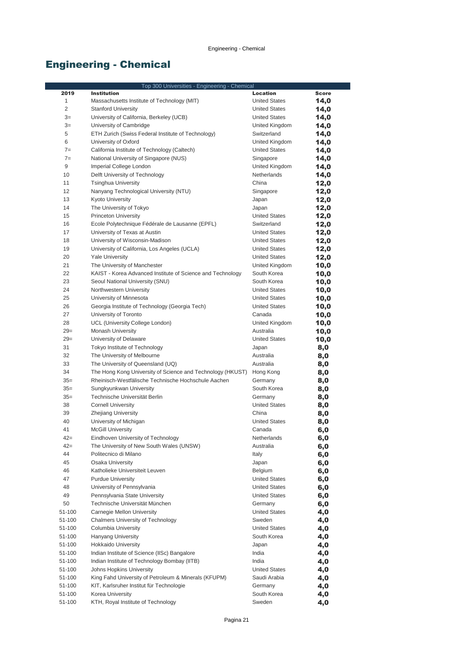|                | Top 300 Universities - Engineering - Chemical              |                      |       |
|----------------|------------------------------------------------------------|----------------------|-------|
| 2019           | <b>Institution</b>                                         | <b>Location</b>      | Score |
| 1              | Massachusetts Institute of Technology (MIT)                | <b>United States</b> | 14,0  |
| $\overline{c}$ | <b>Stanford University</b>                                 | <b>United States</b> | 14,0  |
| $3=$           | University of California, Berkeley (UCB)                   | <b>United States</b> | 14,0  |
| $3=$           | University of Cambridge                                    | United Kingdom       | 14,0  |
| 5              | ETH Zurich (Swiss Federal Institute of Technology)         | Switzerland          | 14,0  |
| 6              | University of Oxford                                       | United Kingdom       | 14,0  |
| $7=$           | California Institute of Technology (Caltech)               | <b>United States</b> | 14,0  |
| $7=$           | National University of Singapore (NUS)                     | Singapore            | 14,0  |
| 9              | Imperial College London                                    | United Kingdom       | 14,0  |
| 10             | Delft University of Technology                             | Netherlands          | 14,0  |
| 11             | <b>Tsinghua University</b>                                 | China                | 12,0  |
| 12             | Nanyang Technological University (NTU)                     | Singapore            | 12,0  |
| 13             | <b>Kyoto University</b>                                    | Japan                | 12,0  |
| 14             | The University of Tokyo                                    | Japan                | 12,0  |
| 15             | <b>Princeton University</b>                                | <b>United States</b> | 12,0  |
| 16             | Ecole Polytechnique Fédérale de Lausanne (EPFL)            | Switzerland          | 12,0  |
| 17             | University of Texas at Austin                              | <b>United States</b> | 12,0  |
| 18             | University of Wisconsin-Madison                            | <b>United States</b> | 12,0  |
| 19             | University of California, Los Angeles (UCLA)               | <b>United States</b> | 12,0  |
| 20             | <b>Yale University</b>                                     | <b>United States</b> | 12,0  |
| 21             | The University of Manchester                               | United Kingdom       | 10,0  |
| 22             | KAIST - Korea Advanced Institute of Science and Technology | South Korea          | 10,0  |
| 23             | Seoul National University (SNU)                            | South Korea          | 10,0  |
| 24             | Northwestern University                                    | <b>United States</b> | 10,0  |
| 25             | University of Minnesota                                    | <b>United States</b> | 10,0  |
| 26             | Georgia Institute of Technology (Georgia Tech)             | <b>United States</b> | 10,0  |
| 27             | University of Toronto                                      | Canada               | 10,0  |
| 28             | UCL (University College London)                            | United Kingdom       | 10,0  |
| $29=$          | <b>Monash University</b>                                   | Australia            | 10,0  |
| $29=$          | University of Delaware                                     | <b>United States</b> | 10,0  |
| 31             | Tokyo Institute of Technology                              | Japan                | 8,0   |
| 32             | The University of Melbourne                                | Australia            | 8,0   |
| 33             | The University of Queensland (UQ)                          | Australia            | 8,0   |
| 34             | The Hong Kong University of Science and Technology (HKUST) | Hong Kong            | 8,0   |
| $35=$          | Rheinisch-Westfälische Technische Hochschule Aachen        | Germany              | 8,0   |
| $35=$          | Sungkyunkwan University                                    | South Korea          | 8,0   |
| $35=$          | Technische Universität Berlin                              | Germany              | 8,0   |
| 38             | <b>Cornell University</b>                                  | <b>United States</b> | 8,0   |
| 39             | Zhejiang University                                        | China                | 8,0   |
| 40             | University of Michigan                                     | <b>United States</b> | 8,0   |
| 41             | <b>McGill University</b>                                   | Canada               | 6,0   |
| 42=            | Eindhoven University of Technology                         | Netherlands          | 6,0   |
| $42 =$         | The University of New South Wales (UNSW)                   | Australia            | 6,0   |
| 44             | Politecnico di Milano                                      | Italy                | 6,0   |
| 45             | Osaka University                                           | Japan                | 6,0   |
| 46             | Katholieke Universiteit Leuven                             | Belgium              | 6,0   |
| 47             | <b>Purdue University</b>                                   | <b>United States</b> | 6,0   |
| 48             | University of Pennsylvania                                 | <b>United States</b> | 6,0   |
| 49             | Pennsylvania State University                              | <b>United States</b> | 6,0   |
| 50             | Technische Universität München                             | Germany              | 6,0   |
| 51-100         | Carnegie Mellon University                                 | <b>United States</b> | 4,0   |
| 51-100         | Chalmers University of Technology                          | Sweden               | 4,0   |
| 51-100         | Columbia University                                        | <b>United States</b> | 4,0   |
| 51-100         | <b>Hanyang University</b>                                  | South Korea          | 4,0   |
| 51-100         | <b>Hokkaido University</b>                                 | Japan                | 4,0   |
| 51-100         | Indian Institute of Science (IISc) Bangalore               | India                | 4,0   |
| 51-100         | Indian Institute of Technology Bombay (IITB)               | India                | 4,0   |
| 51-100         | Johns Hopkins University                                   | <b>United States</b> | 4,0   |
| 51-100         | King Fahd University of Petroleum & Minerals (KFUPM)       | Saudi Arabia         | 4,0   |
| 51-100         | KIT, Karlsruher Institut für Technologie                   | Germany              | 4,0   |
| 51-100         | Korea University                                           | South Korea          | 4,0   |
| 51-100         | KTH, Royal Institute of Technology                         | Sweden               | 4,0   |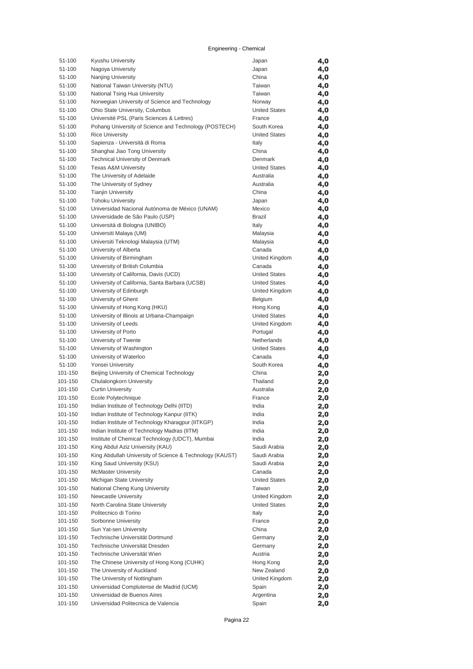| 51-100             | Kyushu University                                                         | Japan                           | 4,0        |
|--------------------|---------------------------------------------------------------------------|---------------------------------|------------|
| 51-100             | Nagoya University                                                         | Japan                           | 4,0        |
| 51-100             | Nanjing University                                                        | China                           | 4,0        |
| 51-100             | National Taiwan University (NTU)                                          | Taiwan                          | 4,0        |
| 51-100             | National Tsing Hua University                                             | Taiwan                          | 4,0        |
| 51-100             | Norwegian University of Science and Technology                            | Norway                          | 4,0        |
| 51-100             | Ohio State University, Columbus                                           | <b>United States</b>            | 4,0        |
| 51-100             | Université PSL (Paris Sciences & Lettres)                                 | France                          | 4,0        |
| 51-100             | Pohang University of Science and Technology (POSTECH)                     | South Korea                     | 4,0        |
| 51-100             | <b>Rice University</b>                                                    | <b>United States</b>            | 4,0        |
| 51-100             | Sapienza - Università di Roma                                             | Italy                           | 4,0        |
| 51-100             | Shanghai Jiao Tong University                                             | China                           | 4,0        |
| 51-100<br>51-100   | <b>Technical University of Denmark</b><br><b>Texas A&amp;M University</b> | Denmark<br><b>United States</b> | 4,0        |
| 51-100             | The University of Adelaide                                                | Australia                       | 4,0        |
| 51-100             | The University of Sydney                                                  | Australia                       | 4,0<br>4,0 |
| 51-100             | <b>Tianjin University</b>                                                 | China                           | 4,0        |
| 51-100             | <b>Tohoku University</b>                                                  | Japan                           | 4,0        |
| 51-100             | Universidad Nacional Autónoma de México (UNAM)                            | Mexico                          | 4,0        |
| 51-100             | Universidade de São Paulo (USP)                                           | <b>Brazil</b>                   | 4,0        |
| 51-100             | Università di Bologna (UNIBO)                                             | Italy                           | 4,0        |
| 51-100             | Universiti Malaya (UM)                                                    | Malaysia                        | 4,0        |
| 51-100             | Universiti Teknologi Malaysia (UTM)                                       | Malaysia                        | 4,0        |
| 51-100             | University of Alberta                                                     | Canada                          | 4,0        |
| 51-100             | University of Birmingham                                                  | United Kingdom                  | 4,0        |
| 51-100             | University of British Columbia                                            | Canada                          | 4,0        |
| 51-100             | University of California, Davis (UCD)                                     | <b>United States</b>            | 4,0        |
| 51-100             | University of California, Santa Barbara (UCSB)                            | <b>United States</b>            | 4,0        |
| 51-100             | University of Edinburgh                                                   | United Kingdom                  | 4,0        |
| 51-100             | University of Ghent                                                       | Belgium                         | 4,0        |
| 51-100             | University of Hong Kong (HKU)                                             | Hong Kong                       | 4,0        |
| 51-100             | University of Illinois at Urbana-Champaign                                | <b>United States</b>            | 4,0        |
| 51-100             | University of Leeds                                                       | United Kingdom                  | 4,0        |
| 51-100             | University of Porto                                                       | Portugal                        | 4,0        |
| 51-100             | University of Twente                                                      | <b>Netherlands</b>              | 4,0        |
| 51-100             | University of Washington                                                  | <b>United States</b>            | 4,0        |
| 51-100             | University of Waterloo                                                    | Canada                          | 4,0        |
| 51-100             | Yonsei University                                                         | South Korea                     | 4,0        |
| 101-150            | Beijing University of Chemical Technology                                 | China<br>Thailand               | 2,0        |
| 101-150<br>101-150 | Chulalongkorn University<br><b>Curtin University</b>                      | Australia                       | 2,0        |
| 101-150            | Ecole Polytechnique                                                       | France                          | 2,0<br>2,0 |
| 101-150            | Indian Institute of Technology Delhi (IITD)                               | India                           | 2,0        |
| 101-150            | Indian Institute of Technology Kanpur (IITK)                              | India                           | 2,0        |
| 101-150            | Indian Institute of Technology Kharagpur (IITKGP)                         | India                           | 2,0        |
| 101-150            | Indian Institute of Technology Madras (IITM)                              | India                           | 2,0        |
| 101-150            | Institute of Chemical Technology (UDCT), Mumbai                           | India                           | 2,0        |
| 101-150            | King Abdul Aziz University (KAU)                                          | Saudi Arabia                    | 2,0        |
| 101-150            | King Abdullah University of Science & Technology (KAUST)                  | Saudi Arabia                    | 2,0        |
| 101-150            | King Saud University (KSU)                                                | Saudi Arabia                    | 2,0        |
| 101-150            | <b>McMaster University</b>                                                | Canada                          | 2,0        |
| 101-150            | Michigan State University                                                 | <b>United States</b>            | 2,0        |
| 101-150            | National Cheng Kung University                                            | Taiwan                          | 2,0        |
| 101-150            | Newcastle University                                                      | United Kingdom                  | 2,0        |
| 101-150            | North Carolina State University                                           | <b>United States</b>            | 2,0        |
| 101-150            | Politecnico di Torino                                                     | Italy                           | 2,0        |
| 101-150            | Sorbonne University                                                       | France                          | 2,0        |
| 101-150            | Sun Yat-sen University                                                    | China                           | 2,0        |
| 101-150            | Technische Universität Dortmund                                           | Germany                         | 2,0        |
| 101-150            | Technische Universität Dresden                                            | Germany                         | 2,0        |
| 101-150            | Technische Universität Wien                                               | Austria                         | 2,0        |
| 101-150<br>101-150 | The Chinese University of Hong Kong (CUHK)<br>The University of Auckland  | Hong Kong<br>New Zealand        | 2,0        |
| 101-150            | The University of Nottingham                                              | United Kingdom                  | 2,0<br>2,0 |
| 101-150            | Universidad Complutense de Madrid (UCM)                                   | Spain                           | 2,0        |
| 101-150            | Universidad de Buenos Aires                                               | Argentina                       | 2,0        |
| 101-150            | Universidad Politecnica de Valencia                                       | Spain                           | 2,0        |
|                    |                                                                           |                                 |            |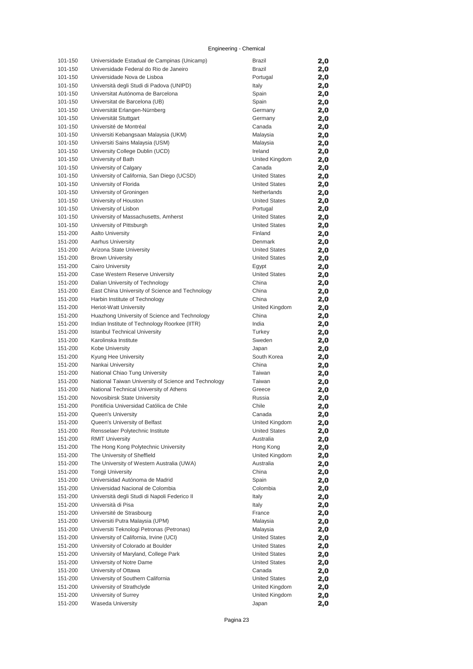| 101-150            | Universidade Estadual de Campinas (Unicamp)                 | <b>Brazil</b>            | 2,0        |
|--------------------|-------------------------------------------------------------|--------------------------|------------|
| 101-150            | Universidade Federal do Rio de Janeiro                      | <b>Brazil</b>            | 2,0        |
| 101-150            | Universidade Nova de Lisboa                                 | Portugal                 | 2,0        |
| 101-150            | Università degli Studi di Padova (UNIPD)                    | Italy                    | 2,0        |
| 101-150            | Universitat Autónoma de Barcelona                           | Spain                    | 2,0        |
| 101-150            | Universitat de Barcelona (UB)                               | Spain                    | 2,0        |
| 101-150            | Universität Erlangen-Nürnberg                               | Germany                  | 2,0        |
| 101-150            | Universität Stuttgart                                       | Germany                  | 2,0        |
| 101-150            | Université de Montréal                                      | Canada                   | 2,0        |
| 101-150            | Universiti Kebangsaan Malaysia (UKM)                        | Malaysia                 | 2,0        |
| 101-150            | Universiti Sains Malaysia (USM)                             | Malaysia                 | 2,0        |
| 101-150            | University College Dublin (UCD)                             | Ireland                  | 2,0        |
| 101-150<br>101-150 | University of Bath<br>University of Calgary                 | United Kingdom<br>Canada | 2,0        |
| 101-150            | University of California, San Diego (UCSD)                  | <b>United States</b>     | 2,0<br>2,0 |
| 101-150            | University of Florida                                       | <b>United States</b>     | 2,0        |
| 101-150            | University of Groningen                                     | Netherlands              | 2,0        |
| 101-150            | University of Houston                                       | <b>United States</b>     | 2,0        |
| 101-150            | University of Lisbon                                        | Portugal                 | 2,0        |
| 101-150            | University of Massachusetts, Amherst                        | <b>United States</b>     | 2,0        |
| 101-150            | University of Pittsburgh                                    | <b>United States</b>     | 2,0        |
| 151-200            | <b>Aalto University</b>                                     | Finland                  | 2,0        |
| 151-200            | <b>Aarhus University</b>                                    | Denmark                  | 2,0        |
| 151-200            | Arizona State University                                    | <b>United States</b>     | 2,0        |
| 151-200            | <b>Brown University</b>                                     | <b>United States</b>     | 2,0        |
| 151-200            | Cairo University                                            | Egypt                    | 2,0        |
| 151-200            | Case Western Reserve University                             | <b>United States</b>     | 2,0        |
| 151-200            | Dalian University of Technology                             | China                    | 2,0        |
| 151-200            | East China University of Science and Technology             | China                    | 2,0        |
| 151-200            | Harbin Institute of Technology                              | China                    | 2,0        |
| 151-200            | <b>Heriot-Watt University</b>                               | United Kingdom           | 2,0        |
| 151-200            | Huazhong University of Science and Technology               | China                    | 2,0        |
| 151-200            | Indian Institute of Technology Roorkee (IITR)               | India                    | 2,0        |
| 151-200            | <b>Istanbul Technical University</b>                        | Turkey                   | 2,0        |
| 151-200<br>151-200 | Karolinska Institute<br>Kobe University                     | Sweden                   | 2,0        |
| 151-200            | Kyung Hee University                                        | Japan<br>South Korea     | 2,0<br>2,0 |
| 151-200            | Nankai University                                           | China                    | 2,0        |
| 151-200            | National Chiao Tung University                              | Taiwan                   | 2,0        |
| 151-200            | National Taiwan University of Science and Technology        | Taiwan                   | 2,0        |
| 151-200            | National Technical University of Athens                     | Greece                   | 2,0        |
| 151-200            | Novosibirsk State University                                | Russia                   | 2,0        |
| 151-200            | Pontificia Universidad Católica de Chile                    | Chile                    | 2,0        |
| 151-200            | Queen's University                                          | Canada                   | 2,0        |
| 151-200            | Queen's University of Belfast                               | United Kingdom           | 2,0        |
| 151-200            | Rensselaer Polytechnic Institute                            | <b>United States</b>     | 2,0        |
| 151-200            | <b>RMIT University</b>                                      | Australia                | 2,0        |
| 151-200            | The Hong Kong Polytechnic University                        | Hong Kong                | 2,0        |
| 151-200            | The University of Sheffield                                 | United Kingdom           | 2,0        |
| 151-200            | The University of Western Australia (UWA)                   | Australia                | 2,0        |
| 151-200            | <b>Tongji University</b>                                    | China                    | 2,0        |
| 151-200            | Universidad Autónoma de Madrid                              | Spain                    | 2,0        |
| 151-200            | Universidad Nacional de Colombia                            | Colombia                 | 2,0        |
| 151-200            | Università degli Studi di Napoli Federico II                | Italy                    | 2,0        |
| 151-200            | Università di Pisa                                          | Italy                    | 2,0        |
| 151-200<br>151-200 | Université de Strasbourg<br>Universiti Putra Malaysia (UPM) | France<br>Malaysia       | 2,0<br>2,0 |
| 151-200            | Universiti Teknologi Petronas (Petronas)                    | Malaysia                 | 2,0        |
| 151-200            | University of California, Irvine (UCI)                      | <b>United States</b>     | 2,0        |
| 151-200            | University of Colorado at Boulder                           | United States            | 2,0        |
| 151-200            | University of Maryland, College Park                        | United States            | 2,0        |
| 151-200            | University of Notre Dame                                    | <b>United States</b>     | 2,0        |
| 151-200            | University of Ottawa                                        | Canada                   | 2,0        |
| 151-200            | University of Southern California                           | <b>United States</b>     | 2,0        |
| 151-200            | University of Strathclyde                                   | United Kingdom           | 2,0        |
| 151-200            | University of Surrey                                        | United Kingdom           | 2,0        |
| 151-200            | Waseda University                                           | Japan                    | 2,0        |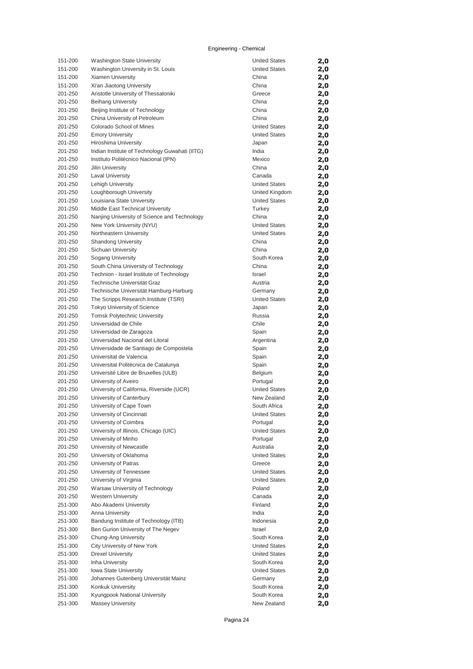| 151-200            | <b>Washington State University</b>                             | <b>United States</b>           | 2,0        |
|--------------------|----------------------------------------------------------------|--------------------------------|------------|
| 151-200            | Washington University in St. Louis                             | <b>United States</b>           | 2,0        |
| 151-200            | Xiamen University                                              | China                          | 2,0        |
| 151-200            | Xi'an Jiaotong University                                      | China                          | 2,0        |
| 201-250            | Aristotle University of Thessaloniki                           | Greece                         | 2,0        |
| 201-250            | <b>Beihang University</b>                                      | China                          | 2,0        |
| 201-250            | Beijing Institute of Technology                                | China                          | 2,0        |
| 201-250            | China University of Petroleum                                  | China                          | 2,0        |
| 201-250            | Colorado School of Mines                                       | <b>United States</b>           | 2,0        |
| 201-250            | <b>Emory University</b>                                        | <b>United States</b>           | 2,0        |
| 201-250            | Hiroshima University                                           | Japan                          | 2,0        |
| 201-250            | Indian Institute of Technology Guwahati (IITG)                 | India                          | 2,0        |
| 201-250            | Instituto Politécnico Nacional (IPN)                           | Mexico                         | 2,0        |
| 201-250            | <b>Jilin University</b>                                        | China                          | 2,0        |
| 201-250            | <b>Laval University</b>                                        | Canada                         | 2,0        |
| 201-250            | Lehigh University                                              | <b>United States</b>           | 2,0        |
| 201-250            | Loughborough University                                        | United Kingdom                 | 2,0        |
| 201-250<br>201-250 | Louisiana State University<br>Middle East Technical University | <b>United States</b><br>Turkey | 2,0        |
| 201-250            | Nanjing University of Science and Technology                   | China                          | 2,0        |
| 201-250            | New York University (NYU)                                      | <b>United States</b>           | 2,0        |
| 201-250            | Northeastern University                                        | <b>United States</b>           | 2,0        |
| 201-250            | <b>Shandong University</b>                                     | China                          | 2,0<br>2,0 |
| 201-250            | Sichuan University                                             | China                          | 2,0        |
| 201-250            | Sogang University                                              | South Korea                    | 2,0        |
| 201-250            | South China University of Technology                           | China                          | 2,0        |
| 201-250            | Technion - Israel Institute of Technology                      | Israel                         | 2,0        |
| 201-250            | Technische Universität Graz                                    | Austria                        | 2,0        |
| 201-250            | Technische Universität Hamburg-Harburg                         | Germany                        | 2,0        |
| 201-250            | The Scripps Research Institute (TSRI)                          | <b>United States</b>           | 2,0        |
| 201-250            | Tokyo University of Science                                    | Japan                          | 2,0        |
| 201-250            | <b>Tomsk Polytechnic University</b>                            | Russia                         | 2,0        |
| 201-250            | Universidad de Chile                                           | Chile                          | 2,0        |
| 201-250            | Universidad de Zaragoza                                        | Spain                          | 2,0        |
| 201-250            | Universidad Nacional del Litoral                               | Argentina                      | 2,0        |
| 201-250            | Universidade de Santiago de Compostela                         | Spain                          | 2,0        |
| 201-250            | Universitat de Valencia                                        | Spain                          | 2,0        |
| 201-250            | Universitat Politècnica de Catalunya                           | Spain                          | 2,0        |
| 201-250            | Université Libre de Bruxelles (ULB)                            | Belgium                        | 2,0        |
| 201-250            | University of Aveiro                                           | Portugal                       | 2,0        |
| 201-250            | University of California, Riverside (UCR)                      | <b>United States</b>           | 2,0        |
| 201-250            | University of Canterbury                                       | New Zealand                    | 2,0        |
| 201-250            | University of Cape Town                                        | South Africa                   | 2,0        |
| 201-250            | University of Cincinnati                                       | <b>United States</b>           | 2,0        |
| 201-250            | University of Coimbra                                          | Portugal                       | 2,0        |
| 201-250            | University of Illinois, Chicago (UIC)                          | <b>United States</b>           | 2,0        |
| 201-250            | University of Minho                                            | Portugal                       | 2,0        |
| 201-250            | University of Newcastle                                        | Australia                      | 2,0        |
| 201-250            | University of Oklahoma                                         | <b>United States</b>           | 2,0        |
| 201-250            | University of Patras                                           | Greece                         | 2,0        |
| 201-250            | University of Tennessee                                        | <b>United States</b>           | 2,0        |
| 201-250            | University of Virginia                                         | <b>United States</b>           | 2,0        |
| 201-250            | Warsaw University of Technology                                | Poland                         | 2,0        |
| 201-250            | <b>Western University</b><br>Abo Akademi University            | Canada<br>Finland              | 2,0        |
| 251-300<br>251-300 | <b>Anna University</b>                                         | India                          | 2,0        |
| 251-300            | Bandung Institute of Technology (ITB)                          | Indonesia                      | 2,0<br>2,0 |
| 251-300            | Ben Gurion University of The Negev                             | Israel                         |            |
| 251-300            | Chung-Ang University                                           | South Korea                    | 2,0<br>2,0 |
| 251-300            | City University of New York                                    | <b>United States</b>           | 2,0        |
| 251-300            | <b>Drexel University</b>                                       | <b>United States</b>           | 2,0        |
| 251-300            | Inha University                                                | South Korea                    | 2,0        |
| 251-300            | Iowa State University                                          | <b>United States</b>           | 2,0        |
| 251-300            | Johannes Gutenberg Universität Mainz                           | Germany                        | 2,0        |
| 251-300            | Konkuk University                                              | South Korea                    | 2,0        |
| 251-300            | Kyungpook National University                                  | South Korea                    | 2,0        |
| 251-300            | <b>Massey University</b>                                       | New Zealand                    | 2,0        |
|                    |                                                                |                                |            |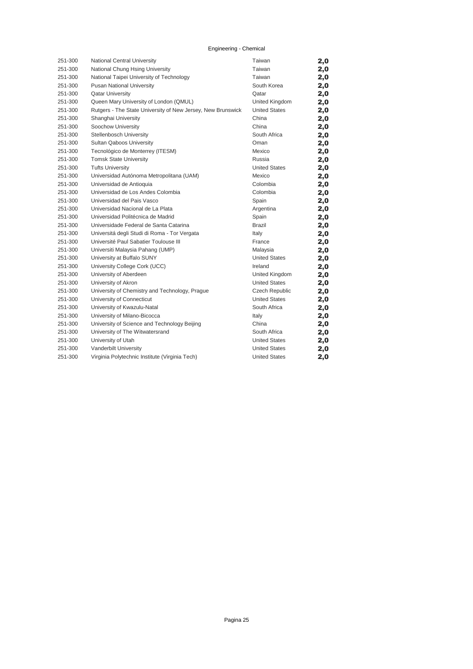| 251-300 | National Central University                                 | Taiwan                | 2,0 |
|---------|-------------------------------------------------------------|-----------------------|-----|
| 251-300 | National Chung Hsing University                             | Taiwan                | 2,0 |
| 251-300 | National Taipei University of Technology                    | Taiwan                | 2,0 |
| 251-300 | <b>Pusan National University</b>                            | South Korea           | 2,0 |
| 251-300 | <b>Qatar University</b>                                     | Oatar                 | 2,0 |
| 251-300 | Queen Mary University of London (QMUL)                      | United Kingdom        | 2,0 |
| 251-300 | Rutgers - The State University of New Jersey, New Brunswick | <b>United States</b>  | 2,0 |
| 251-300 | Shanghai University                                         | China                 | 2,0 |
| 251-300 | Soochow University                                          | China                 | 2,0 |
| 251-300 | Stellenbosch University                                     | South Africa          | 2,0 |
| 251-300 | Sultan Qaboos University                                    | Oman                  | 2,0 |
| 251-300 | Tecnológico de Monterrey (ITESM)                            | Mexico                | 2,0 |
| 251-300 | <b>Tomsk State University</b>                               | Russia                | 2,0 |
| 251-300 | <b>Tufts University</b>                                     | <b>United States</b>  | 2,0 |
| 251-300 | Universidad Autónoma Metropolitana (UAM)                    | Mexico                | 2,0 |
| 251-300 | Universidad de Antioquia                                    | Colombia              | 2,0 |
| 251-300 | Universidad de Los Andes Colombia                           | Colombia              | 2,0 |
| 251-300 | Universidad del Pais Vasco                                  | Spain                 | 2,0 |
| 251-300 | Universidad Nacional de La Plata                            | Argentina             | 2,0 |
| 251-300 | Universidad Politécnica de Madrid                           | Spain                 | 2,0 |
| 251-300 | Universidade Federal de Santa Catarina                      | <b>Brazil</b>         | 2,0 |
| 251-300 | Universitá degli Studi di Roma - Tor Vergata                | Italy                 | 2,0 |
| 251-300 | Université Paul Sabatier Toulouse III                       | France                | 2,0 |
| 251-300 | Universiti Malaysia Pahang (UMP)                            | Malaysia              | 2,0 |
| 251-300 | University at Buffalo SUNY                                  | <b>United States</b>  | 2,0 |
| 251-300 | University College Cork (UCC)                               | Ireland               | 2,0 |
| 251-300 | University of Aberdeen                                      | United Kingdom        | 2,0 |
| 251-300 | University of Akron                                         | <b>United States</b>  | 2,0 |
| 251-300 | University of Chemistry and Technology, Prague              | <b>Czech Republic</b> | 2,0 |
| 251-300 | University of Connecticut                                   | <b>United States</b>  | 2,0 |
| 251-300 | University of Kwazulu-Natal                                 | South Africa          | 2,0 |
| 251-300 | University of Milano-Bicocca                                | Italy                 | 2,0 |
| 251-300 | University of Science and Technology Beijing                | China                 | 2,0 |
| 251-300 | University of The Witwatersrand                             | South Africa          | 2,0 |
| 251-300 | University of Utah                                          | <b>United States</b>  | 2,0 |
| 251-300 | Vanderbilt University                                       | <b>United States</b>  | 2,0 |
| 251-300 | Virginia Polytechnic Institute (Virginia Tech)              | <b>United States</b>  | 2,0 |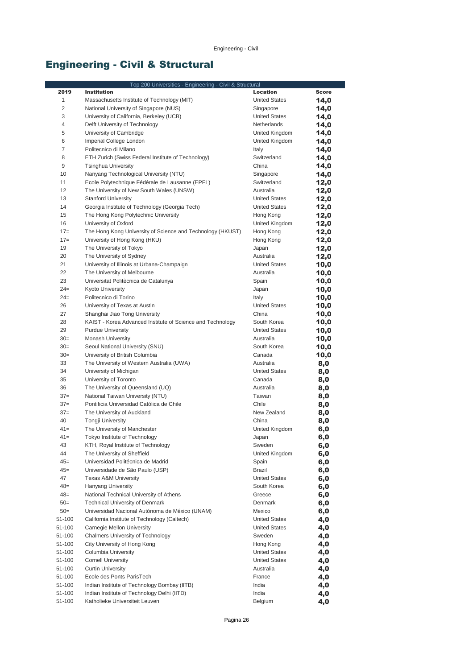## Engineering - Civil & Structural

|                | Top 200 Universities - Engineering - Civil & Structural                                |                                     |              |
|----------------|----------------------------------------------------------------------------------------|-------------------------------------|--------------|
| 2019           | <b>Institution</b>                                                                     | Location                            | <b>Score</b> |
| 1              | Massachusetts Institute of Technology (MIT)                                            | <b>United States</b>                | 14,0         |
| $\overline{2}$ | National University of Singapore (NUS)                                                 | Singapore                           | 14,0         |
| 3              | University of California, Berkeley (UCB)                                               | <b>United States</b>                | 14,0         |
| 4              | Delft University of Technology                                                         | Netherlands                         | 14,0         |
| 5              | University of Cambridge                                                                | United Kingdom                      | 14,0         |
| 6              | Imperial College London                                                                | United Kingdom                      | 14,0         |
| 7              | Politecnico di Milano                                                                  | Italy                               | 14,0         |
| 8              | ETH Zurich (Swiss Federal Institute of Technology)                                     | Switzerland                         | 14,0         |
| 9              | <b>Tsinghua University</b>                                                             | China                               | 14,0         |
| 10             | Nanyang Technological University (NTU)                                                 | Singapore                           | 14,0         |
| 11             | Ecole Polytechnique Fédérale de Lausanne (EPFL)                                        | Switzerland                         | 12,0         |
| 12             | The University of New South Wales (UNSW)                                               | Australia                           | 12,0         |
| 13             | <b>Stanford University</b>                                                             | <b>United States</b>                | 12,0         |
| 14             | Georgia Institute of Technology (Georgia Tech)                                         | <b>United States</b>                | 12,0         |
| 15             | The Hong Kong Polytechnic University                                                   | Hong Kong                           | 12,0         |
| 16             | University of Oxford                                                                   | United Kingdom                      | 12,0         |
| $17=$          | The Hong Kong University of Science and Technology (HKUST)                             | Hong Kong                           | 12,0         |
| $17=$          | University of Hong Kong (HKU)                                                          | Hong Kong                           | 12,0         |
| 19             | The University of Tokyo                                                                | Japan                               | 12,0         |
| 20             | The University of Sydney                                                               | Australia                           | 12,0         |
| 21             | University of Illinois at Urbana-Champaign                                             | <b>United States</b>                | 10,0         |
| 22             | The University of Melbourne                                                            | Australia                           | 10,0         |
| 23             | Universitat Politècnica de Catalunya                                                   | Spain                               | 10,0         |
| $24=$          | <b>Kyoto University</b>                                                                | Japan                               | 10,0         |
| $24=$          | Politecnico di Torino                                                                  | Italy                               | 10,0         |
| 26             | University of Texas at Austin                                                          | <b>United States</b>                | 10,0         |
| 27             | Shanghai Jiao Tong University                                                          | China                               | 10,0         |
| 28<br>29       | KAIST - Korea Advanced Institute of Science and Technology<br><b>Purdue University</b> | South Korea<br><b>United States</b> | 10,0<br>10,0 |
| $30=$          | Monash University                                                                      | Australia                           | 10,0         |
| $30=$          | Seoul National University (SNU)                                                        | South Korea                         | 10,0         |
| $30=$          | University of British Columbia                                                         | Canada                              | 10,0         |
| 33             | The University of Western Australia (UWA)                                              | Australia                           | 8,0          |
| 34             | University of Michigan                                                                 | <b>United States</b>                | 8,0          |
| 35             | University of Toronto                                                                  | Canada                              | 8,0          |
| 36             | The University of Queensland (UQ)                                                      | Australia                           | 8,0          |
| $37 =$         | National Taiwan University (NTU)                                                       | Taiwan                              | 8,0          |
| $37 =$         | Pontificia Universidad Católica de Chile                                               | Chile                               | 8,0          |
| $37 =$         | The University of Auckland                                                             | New Zealand                         | 8,0          |
| 40             | <b>Tongji University</b>                                                               | China                               | 8,0          |
| $41 =$         | The University of Manchester                                                           | United Kingdom                      | 6,0          |
| 41=            | Tokyo Institute of Technology                                                          | Japan                               | 6,0          |
| 43             | KTH, Royal Institute of Technology                                                     | Sweden                              | 6,0          |
| 44             | The University of Sheffield                                                            | United Kingdom                      | 6,0          |
| $45 =$         | Universidad Politécnica de Madrid                                                      | Spain                               | 6,0          |
| $45 =$         | Universidade de São Paulo (USP)                                                        | <b>Brazil</b>                       | 6,0          |
| 47             | <b>Texas A&amp;M University</b>                                                        | <b>United States</b>                | 6,0          |
| $48 =$         | <b>Hanyang University</b>                                                              | South Korea                         | 6,0          |
| $48 =$         | National Technical University of Athens                                                | Greece                              | 6,0          |
| $50=$          | <b>Technical University of Denmark</b>                                                 | Denmark                             | 6,0          |
| $50=$          | Universidad Nacional Autónoma de México (UNAM)                                         | Mexico                              | 6,0          |
| 51-100         | California Institute of Technology (Caltech)                                           | <b>United States</b>                | 4,0          |
| 51-100         | Carnegie Mellon University                                                             | <b>United States</b>                | 4,0          |
| 51-100         | Chalmers University of Technology                                                      | Sweden                              | 4,0          |
| 51-100         | City University of Hong Kong                                                           | Hong Kong                           | 4,0          |
| 51-100         | Columbia University                                                                    | <b>United States</b>                | 4,0          |
| 51-100         | <b>Cornell University</b>                                                              | <b>United States</b>                | 4,0          |
| 51-100         | <b>Curtin University</b>                                                               | Australia                           | 4,0          |
| 51-100         | Ecole des Ponts ParisTech                                                              | France                              | 4,0          |
| 51-100         | Indian Institute of Technology Bombay (IITB)                                           | India                               | 4,0          |
| 51-100         | Indian Institute of Technology Delhi (IITD)<br>Katholieke Universiteit Leuven          | India                               | 4,0          |
| 51-100         |                                                                                        | Belgium                             | 4,0          |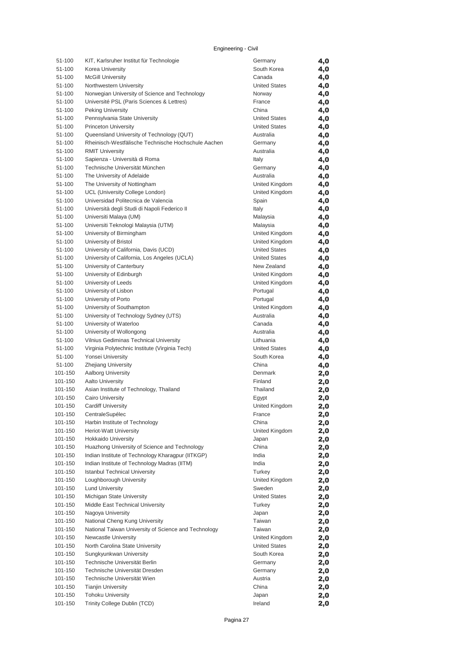### Engineering - Civil

| 51-100  | KIT, Karlsruher Institut für Technologie             | Germany              | 4,0 |
|---------|------------------------------------------------------|----------------------|-----|
|         |                                                      |                      |     |
| 51-100  | Korea University                                     | South Korea          | 4,0 |
| 51-100  | <b>McGill University</b>                             | Canada               | 4,0 |
| 51-100  | Northwestern University                              | <b>United States</b> | 4,0 |
| 51-100  | Norwegian University of Science and Technology       | Norway               | 4,0 |
| 51-100  | Université PSL (Paris Sciences & Lettres)            | France               | 4,0 |
|         | Peking University                                    | China                |     |
| 51-100  |                                                      |                      | 4,0 |
| 51-100  | Pennsylvania State University                        | <b>United States</b> | 4,0 |
| 51-100  | <b>Princeton University</b>                          | <b>United States</b> | 4,0 |
| 51-100  | Queensland University of Technology (QUT)            | Australia            | 4,0 |
| 51-100  | Rheinisch-Westfälische Technische Hochschule Aachen  | Germany              | 4,0 |
|         |                                                      | Australia            |     |
| 51-100  | <b>RMIT University</b>                               |                      | 4,0 |
| 51-100  | Sapienza - Università di Roma                        | Italy                | 4,0 |
| 51-100  | Technische Universität München                       | Germany              | 4,0 |
| 51-100  | The University of Adelaide                           | Australia            | 4,0 |
| 51-100  | The University of Nottingham                         | United Kingdom       | 4,0 |
| 51-100  | UCL (University College London)                      | United Kingdom       |     |
|         |                                                      |                      | 4,0 |
| 51-100  | Universidad Politecnica de Valencia                  | Spain                | 4,0 |
| 51-100  | Università degli Studi di Napoli Federico II         | Italy                | 4,0 |
| 51-100  | Universiti Malaya (UM)                               | Malaysia             | 4,0 |
| 51-100  | Universiti Teknologi Malaysia (UTM)                  | Malaysia             | 4,0 |
| 51-100  | University of Birmingham                             | United Kingdom       |     |
|         |                                                      |                      | 4,0 |
| 51-100  | University of Bristol                                | United Kingdom       | 4,0 |
| 51-100  | University of California, Davis (UCD)                | <b>United States</b> | 4,0 |
| 51-100  | University of California, Los Angeles (UCLA)         | <b>United States</b> | 4,0 |
| 51-100  | University of Canterbury                             | New Zealand          | 4,0 |
| 51-100  | University of Edinburgh                              | United Kingdom       | 4,0 |
|         |                                                      |                      |     |
| 51-100  | University of Leeds                                  | United Kingdom       | 4,0 |
| 51-100  | University of Lisbon                                 | Portugal             | 4,0 |
| 51-100  | University of Porto                                  | Portugal             | 4,0 |
| 51-100  | University of Southampton                            | United Kingdom       | 4,0 |
| 51-100  | University of Technology Sydney (UTS)                | Australia            | 4,0 |
|         |                                                      |                      |     |
| 51-100  | University of Waterloo                               | Canada               | 4,0 |
| 51-100  | University of Wollongong                             | Australia            | 4,0 |
| 51-100  | Vilnius Gediminas Technical University               | Lithuania            | 4,0 |
| 51-100  | Virginia Polytechnic Institute (Virginia Tech)       | <b>United States</b> | 4,0 |
| 51-100  | Yonsei University                                    | South Korea          | 4,0 |
| 51-100  | <b>Zhejiang University</b>                           | China                |     |
|         |                                                      |                      | 4,0 |
| 101-150 | Aalborg University                                   | Denmark              | 2,0 |
| 101-150 | <b>Aalto University</b>                              | Finland              | 2,0 |
| 101-150 | Asian Institute of Technology, Thailand              | Thailand             | 2,0 |
| 101-150 | <b>Cairo University</b>                              | Egypt                | 2,0 |
| 101-150 | <b>Cardiff University</b>                            | United Kingdom       |     |
|         |                                                      |                      | 2,0 |
| 101-150 | CentraleSupélec                                      | France               | 2,0 |
| 101-150 | Harbin Institute of Technology                       | China                | 2,0 |
| 101-150 | Heriot-Watt University                               | United Kingdom       | 2,0 |
| 101-150 | <b>Hokkaido University</b>                           | Japan                | 2,0 |
| 101-150 | Huazhong University of Science and Technology        | China                | 2,0 |
|         |                                                      |                      |     |
| 101-150 | Indian Institute of Technology Kharagpur (IITKGP)    | India                | 2,0 |
| 101-150 | Indian Institute of Technology Madras (IITM)         | India                | 2,0 |
| 101-150 | <b>Istanbul Technical University</b>                 | Turkey               | 2,0 |
| 101-150 | Loughborough University                              | United Kingdom       | 2,0 |
| 101-150 | <b>Lund University</b>                               | Sweden               | 2,0 |
|         | Michigan State University                            | <b>United States</b> |     |
| 101-150 |                                                      |                      | 2,0 |
| 101-150 | Middle East Technical University                     | Turkey               | 2,0 |
| 101-150 | Nagoya University                                    | Japan                | 2,0 |
| 101-150 | National Cheng Kung University                       | Taiwan               | 2,0 |
| 101-150 | National Taiwan University of Science and Technology | Taiwan               | 2,0 |
| 101-150 | Newcastle University                                 | United Kingdom       |     |
|         |                                                      |                      | 2,0 |
| 101-150 | North Carolina State University                      | <b>United States</b> | 2,0 |
| 101-150 | Sungkyunkwan University                              | South Korea          | 2,0 |
| 101-150 | Technische Universität Berlin                        | Germany              | 2,0 |
| 101-150 | Technische Universität Dresden                       | Germany              | 2,0 |
| 101-150 | Technische Universität Wien                          | Austria              |     |
|         |                                                      |                      | 2,0 |
| 101-150 | <b>Tianjin University</b>                            | China                | 2,0 |
| 101-150 | <b>Tohoku University</b>                             | Japan                | 2,0 |
| 101-150 | Trinity College Dublin (TCD)                         | Ireland              | 2,0 |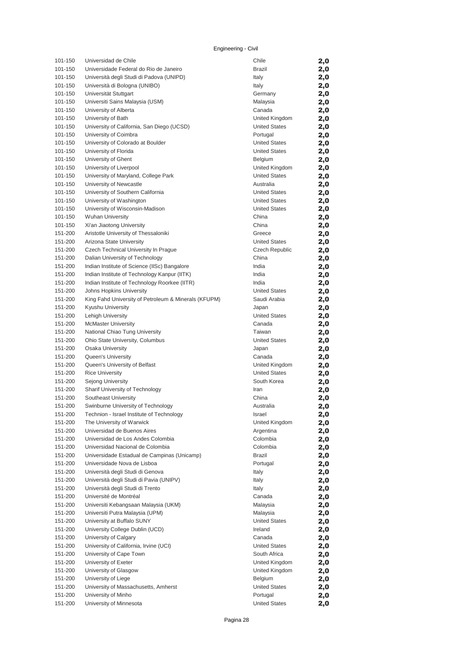### Engineering - Civil

| 101-150 | Universidad de Chile                                 | Chile                | 2,0        |
|---------|------------------------------------------------------|----------------------|------------|
| 101-150 | Universidade Federal do Rio de Janeiro               | <b>Brazil</b>        | 2,0        |
| 101-150 | Università degli Studi di Padova (UNIPD)             | Italy                | 2,0        |
| 101-150 | Università di Bologna (UNIBO)                        | Italy                | 2,0        |
| 101-150 | Universität Stuttgart                                | Germany              | 2,0        |
| 101-150 | Universiti Sains Malaysia (USM)                      | Malaysia             | 2,0        |
| 101-150 | University of Alberta                                | Canada               | 2,0        |
| 101-150 | University of Bath                                   | United Kingdom       | 2,0        |
| 101-150 | University of California, San Diego (UCSD)           | <b>United States</b> | 2,0        |
| 101-150 | University of Coimbra                                | Portugal             | 2,0        |
| 101-150 | University of Colorado at Boulder                    | <b>United States</b> | 2,0        |
| 101-150 | University of Florida                                | <b>United States</b> | 2,0        |
| 101-150 | University of Ghent                                  | Belgium              | 2,0        |
| 101-150 | University of Liverpool                              | United Kingdom       | 2,0        |
| 101-150 | University of Maryland, College Park                 | <b>United States</b> | 2,0        |
| 101-150 | University of Newcastle                              | Australia            | 2,0        |
| 101-150 | University of Southern California                    | <b>United States</b> | 2,0        |
| 101-150 | University of Washington                             | <b>United States</b> | 2,0        |
| 101-150 | University of Wisconsin-Madison                      | <b>United States</b> | 2,0        |
| 101-150 | <b>Wuhan University</b>                              | China                | 2,0        |
| 101-150 | Xi'an Jiaotong University                            | China                | 2,0        |
| 151-200 | Aristotle University of Thessaloniki                 | Greece               | 2,0        |
| 151-200 | Arizona State University                             | <b>United States</b> | 2,0        |
| 151-200 | Czech Technical University In Prague                 | Czech Republic       | 2,0        |
| 151-200 | Dalian University of Technology                      | China                | 2,0        |
| 151-200 | Indian Institute of Science (IISc) Bangalore         | India                | 2,0        |
| 151-200 | Indian Institute of Technology Kanpur (IITK)         | India                | 2,0        |
| 151-200 | Indian Institute of Technology Roorkee (IITR)        | India                | 2,0        |
| 151-200 | Johns Hopkins University                             | <b>United States</b> | 2,0        |
| 151-200 | King Fahd University of Petroleum & Minerals (KFUPM) | Saudi Arabia         | 2,0        |
| 151-200 | Kyushu University                                    | Japan                | 2,0        |
| 151-200 | Lehigh University                                    | <b>United States</b> | 2,0        |
| 151-200 | <b>McMaster University</b>                           | Canada               | 2,0        |
| 151-200 | National Chiao Tung University                       | Taiwan               | 2,0        |
| 151-200 | Ohio State University, Columbus                      | <b>United States</b> |            |
| 151-200 | <b>Osaka University</b>                              | Japan                | 2,0<br>2,0 |
| 151-200 | Queen's University                                   | Canada               | 2,0        |
| 151-200 | Queen's University of Belfast                        | United Kingdom       | 2,0        |
| 151-200 | <b>Rice University</b>                               | <b>United States</b> | 2,0        |
| 151-200 | Sejong University                                    | South Korea          | 2,0        |
| 151-200 | Sharif University of Technology                      | Iran                 | 2,0        |
| 151-200 | Southeast University                                 | China                | 2,0        |
| 151-200 | Swinburne University of Technology                   | Australia            | 2,0        |
| 151-200 | Technion - Israel Institute of Technology            | Israel               |            |
| 151-200 | The University of Warwick                            | United Kingdom       | 2,0        |
| 151-200 | Universidad de Buenos Aires                          | Argentina            | 2,0<br>2,0 |
| 151-200 | Universidad de Los Andes Colombia                    | Colombia             | 2,0        |
| 151-200 | Universidad Nacional de Colombia                     | Colombia             | 2,0        |
| 151-200 | Universidade Estadual de Campinas (Unicamp)          | <b>Brazil</b>        | 2,0        |
| 151-200 | Universidade Nova de Lisboa                          | Portugal             |            |
| 151-200 | Università degli Studi di Genova                     | Italy                | 2,0        |
| 151-200 | Università degli Studi di Pavia (UNIPV)              | Italy                | 2,0<br>2,0 |
| 151-200 | Università degli Studi di Trento                     | Italy                |            |
| 151-200 | Université de Montréal                               | Canada               | 2,0        |
| 151-200 | Universiti Kebangsaan Malaysia (UKM)                 | Malaysia             | 2,0<br>2,0 |
| 151-200 | Universiti Putra Malaysia (UPM)                      | Malaysia             | 2,0        |
| 151-200 | University at Buffalo SUNY                           | <b>United States</b> |            |
| 151-200 | University College Dublin (UCD)                      | Ireland              | 2,0        |
| 151-200 | University of Calgary                                | Canada               | 2,0        |
| 151-200 | University of California, Irvine (UCI)               | <b>United States</b> | 2,0        |
| 151-200 | University of Cape Town                              | South Africa         | 2,0<br>2,0 |
| 151-200 | University of Exeter                                 | United Kingdom       | 2,0        |
| 151-200 | University of Glasgow                                | United Kingdom       | 2,0        |
| 151-200 | University of Liege                                  | Belgium              | 2,0        |
| 151-200 | University of Massachusetts, Amherst                 | <b>United States</b> | 2,0        |
| 151-200 | University of Minho                                  | Portugal             | 2,0        |
| 151-200 | University of Minnesota                              | <b>United States</b> | 2,0        |
|         |                                                      |                      |            |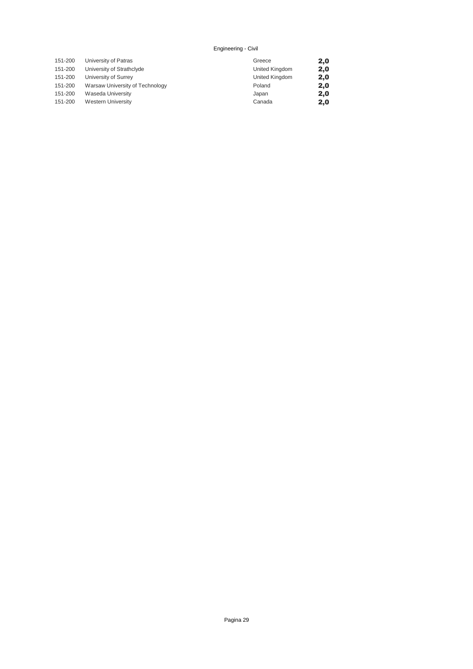#### Engineering - Civil

| 151-200 | University of Patras            | Greece         | 2,0 |
|---------|---------------------------------|----------------|-----|
| 151-200 | University of Strathclyde       | United Kingdom | 2,0 |
| 151-200 | University of Surrey            | United Kingdom | 2,0 |
| 151-200 | Warsaw University of Technology | Poland         | 2,0 |
| 151-200 | Waseda University               | Japan          | 2,0 |
| 151-200 | <b>Western University</b>       | Canada         | 2,0 |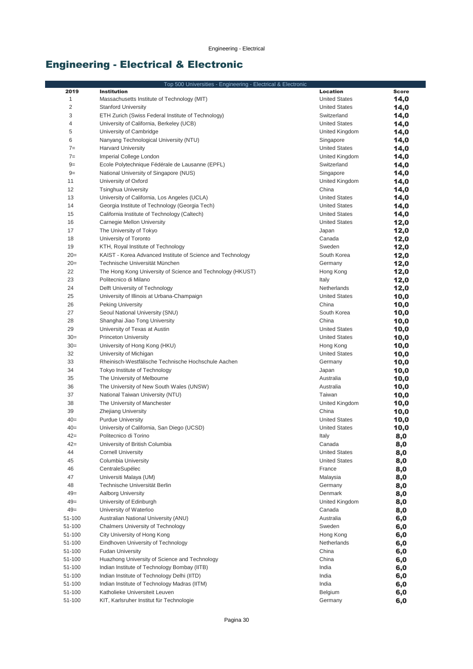# Engineering - Electrical & Electronic

|                | Top 500 Universities - Engineering - Electrical & Electronic |                      |              |
|----------------|--------------------------------------------------------------|----------------------|--------------|
| 2019           | <b>Institution</b>                                           | <b>Location</b>      | <b>Score</b> |
| $\mathbf{1}$   | Massachusetts Institute of Technology (MIT)                  | <b>United States</b> | 14,0         |
| $\overline{c}$ | <b>Stanford University</b>                                   | <b>United States</b> | 14,0         |
| 3              | ETH Zurich (Swiss Federal Institute of Technology)           | Switzerland          | 14,0         |
| 4              | University of California, Berkeley (UCB)                     | <b>United States</b> | 14,0         |
| 5              | University of Cambridge                                      | United Kingdom       | 14,0         |
| $6\,$          | Nanyang Technological University (NTU)                       | Singapore            | 14,0         |
| $7=$           | <b>Harvard University</b>                                    | <b>United States</b> | 14,0         |
| $7=$           | Imperial College London                                      | United Kingdom       | 14,0         |
| $9=$           | Ecole Polytechnique Fédérale de Lausanne (EPFL)              | Switzerland          | 14,0         |
| $9=$           | National University of Singapore (NUS)                       | Singapore            | 14,0         |
| 11             | University of Oxford                                         | United Kingdom       | 14,0         |
| 12             | <b>Tsinghua University</b>                                   | China                | 14,0         |
| 13             | University of California, Los Angeles (UCLA)                 | <b>United States</b> | 14,0         |
| 14             | Georgia Institute of Technology (Georgia Tech)               | <b>United States</b> | 14,0         |
| 15             | California Institute of Technology (Caltech)                 | <b>United States</b> | 14,0         |
| 16             | Carnegie Mellon University                                   | <b>United States</b> | 12,0         |
| 17             | The University of Tokyo                                      | Japan                | 12,0         |
| 18             | University of Toronto                                        | Canada               | 12,0         |
| 19             | KTH, Royal Institute of Technology                           | Sweden               | 12,0         |
| $20=$          | KAIST - Korea Advanced Institute of Science and Technology   | South Korea          | 12,0         |
| $20=$          | Technische Universität München                               | Germany              | 12,0         |
| 22             | The Hong Kong University of Science and Technology (HKUST)   | Hong Kong            | 12,0         |
| 23             | Politecnico di Milano                                        | Italy                | 12,0         |
| 24             | Delft University of Technology                               | Netherlands          | 12,0         |
| 25             | University of Illinois at Urbana-Champaign                   | <b>United States</b> | 10,0         |
| 26             | <b>Peking University</b>                                     | China                | 10,0         |
| 27             | Seoul National University (SNU)                              | South Korea          | 10,0         |
| 28             | Shanghai Jiao Tong University                                | China                | 10,0         |
| 29             | University of Texas at Austin                                | <b>United States</b> | 10,0         |
| $30=$          | <b>Princeton University</b>                                  | <b>United States</b> | 10,0         |
| $30=$          | University of Hong Kong (HKU)                                | Hong Kong            | 10,0         |
| 32             | University of Michigan                                       | <b>United States</b> | 10,0         |
| 33             | Rheinisch-Westfälische Technische Hochschule Aachen          | Germany              | 10,0         |
| 34             | Tokyo Institute of Technology                                | Japan                | 10,0         |
| 35             | The University of Melbourne                                  | Australia            | 10,0         |
| 36             | The University of New South Wales (UNSW)                     | Australia            | 10,0         |
| 37             | National Taiwan University (NTU)                             | Taiwan               | 10,0         |
| 38             | The University of Manchester                                 | United Kingdom       | 10,0         |
| 39             | Zhejiang University                                          | China                | 10,0         |
| $40=$          | <b>Purdue University</b>                                     | <b>United States</b> | 10,0         |
| $40=$          | University of California, San Diego (UCSD)                   | <b>United States</b> | 10,0         |
| $42 =$         | Politecnico di Torino                                        | Italy                | 8,0          |
| $42 =$         | University of British Columbia                               | Canada               | 8,0          |
| 44             | <b>Cornell University</b>                                    | <b>United States</b> | 8,0          |
| 45             | Columbia University                                          | <b>United States</b> | 8,0          |
| 46             | CentraleSupélec                                              | France               | 8,0          |
| 47             | Universiti Malaya (UM)                                       | Malaysia             | 8,0          |
| 48             | Technische Universität Berlin                                | Germany              | 8,0          |
| $49=$          | Aalborg University                                           | Denmark              | 8,0          |
| $49=$          | University of Edinburgh                                      | United Kingdom       | 8,0          |
| $49=$          | University of Waterloo                                       | Canada               | 8,0          |
| 51-100         | Australian National University (ANU)                         | Australia            | 6,0          |
| 51-100         | <b>Chalmers University of Technology</b>                     | Sweden               | 6,0          |
| 51-100         | City University of Hong Kong                                 | Hong Kong            | 6,0          |
| 51-100         | Eindhoven University of Technology                           | Netherlands          | 6,0          |
| 51-100         | <b>Fudan University</b>                                      | China                | 6,0          |
| 51-100         | Huazhong University of Science and Technology                | China                | 6,0          |
| 51-100         | Indian Institute of Technology Bombay (IITB)                 | India                | 6,0          |
| 51-100         | Indian Institute of Technology Delhi (IITD)                  | India                | 6,0          |
| 51-100         | Indian Institute of Technology Madras (IITM)                 | India                | 6,0          |
| 51-100         | Katholieke Universiteit Leuven                               | Belgium              | 6,0          |
| 51-100         | KIT, Karlsruher Institut für Technologie                     | Germany              | 6,0          |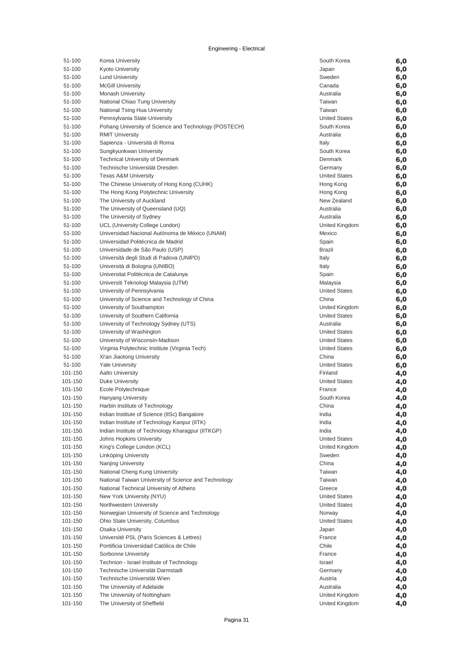| 51-100  | Korea University                                      | South Korea          | 6,0 |
|---------|-------------------------------------------------------|----------------------|-----|
| 51-100  | Kyoto University                                      | Japan                | 6,0 |
| 51-100  | <b>Lund University</b>                                | Sweden               | 6,0 |
| 51-100  | <b>McGill University</b>                              | Canada               | 6,0 |
| 51-100  | <b>Monash University</b>                              | Australia            |     |
|         |                                                       |                      | 6,0 |
| 51-100  | National Chiao Tung University                        | Taiwan               | 6,0 |
| 51-100  | National Tsing Hua University                         | Taiwan               | 6,0 |
| 51-100  | Pennsylvania State University                         | <b>United States</b> | 6,0 |
| 51-100  | Pohang University of Science and Technology (POSTECH) | South Korea          | 6,0 |
| 51-100  | <b>RMIT University</b>                                | Australia            | 6,0 |
| 51-100  | Sapienza - Università di Roma                         | Italy                | 6,0 |
| 51-100  | Sungkyunkwan University                               | South Korea          | 6,0 |
| 51-100  | <b>Technical University of Denmark</b>                | Denmark              | 6,0 |
| 51-100  | Technische Universität Dresden                        | Germany              | 6,0 |
|         |                                                       |                      |     |
| 51-100  | <b>Texas A&amp;M University</b>                       | <b>United States</b> | 6,0 |
| 51-100  | The Chinese University of Hong Kong (CUHK)            | Hong Kong            | 6,0 |
| 51-100  | The Hong Kong Polytechnic University                  | Hong Kong            | 6,0 |
| 51-100  | The University of Auckland                            | New Zealand          | 6,0 |
| 51-100  | The University of Queensland (UQ)                     | Australia            | 6,0 |
| 51-100  | The University of Sydney                              | Australia            | 6,0 |
| 51-100  | UCL (University College London)                       | United Kingdom       | 6,0 |
| 51-100  | Universidad Nacional Autónoma de México (UNAM)        | Mexico               | 6,0 |
| 51-100  | Universidad Politécnica de Madrid                     | Spain                | 6,0 |
| 51-100  | Universidade de São Paulo (USP)                       | <b>Brazil</b>        | 6,0 |
| 51-100  | Università degli Studi di Padova (UNIPD)              | Italy                | 6,0 |
|         |                                                       |                      |     |
| 51-100  | Università di Bologna (UNIBO)                         | Italy                | 6,0 |
| 51-100  | Universitat Politècnica de Catalunya                  | Spain                | 6,0 |
| 51-100  | Universiti Teknologi Malaysia (UTM)                   | Malaysia             | 6,0 |
| 51-100  | University of Pennsylvania                            | <b>United States</b> | 6,0 |
| 51-100  | University of Science and Technology of China         | China                | 6,0 |
| 51-100  | University of Southampton                             | United Kingdom       | 6,0 |
| 51-100  | University of Southern California                     | <b>United States</b> | 6,0 |
| 51-100  | University of Technology Sydney (UTS)                 | Australia            | 6,0 |
| 51-100  | University of Washington                              | <b>United States</b> | 6,0 |
| 51-100  | University of Wisconsin-Madison                       | <b>United States</b> | 6,0 |
| 51-100  | Virginia Polytechnic Institute (Virginia Tech)        | <b>United States</b> | 6,0 |
| 51-100  | Xi'an Jiaotong University                             | China                | 6,0 |
| 51-100  | <b>Yale University</b>                                | <b>United States</b> | 6,0 |
| 101-150 | <b>Aalto University</b>                               | Finland              | 4,0 |
|         |                                                       | <b>United States</b> |     |
| 101-150 | Duke University                                       |                      | 4,0 |
| 101-150 | Ecole Polytechnique                                   | France               | 4,0 |
| 101-150 | <b>Hanyang University</b>                             | South Korea          | 4,0 |
| 101-150 | Harbin Institute of Technology                        | China                | 4,0 |
| 101-150 | Indian Institute of Science (IISc) Bangalore          | India                | 4,0 |
| 101-150 | Indian Institute of Technology Kanpur (IITK)          | India                | 4,0 |
| 101-150 | Indian Institute of Technology Kharagpur (IITKGP)     | India                | 4,0 |
| 101-150 | Johns Hopkins University                              | <b>United States</b> | 4,0 |
| 101-150 | King's College London (KCL)                           | United Kingdom       | 4,0 |
| 101-150 | Linköping University                                  | Sweden               | 4,0 |
| 101-150 | Nanjing University                                    | China                | 4,0 |
| 101-150 | National Cheng Kung University                        | Taiwan               | 4,0 |
| 101-150 | National Taiwan University of Science and Technology  | Taiwan               |     |
|         |                                                       |                      | 4,0 |
| 101-150 | National Technical University of Athens               | Greece               | 4,0 |
| 101-150 | New York University (NYU)                             | <b>United States</b> | 4,0 |
| 101-150 | Northwestern University                               | <b>United States</b> | 4,0 |
| 101-150 | Norwegian University of Science and Technology        | Norway               | 4,0 |
| 101-150 | Ohio State University, Columbus                       | <b>United States</b> | 4,0 |
| 101-150 | Osaka University                                      | Japan                | 4,0 |
| 101-150 | Université PSL (Paris Sciences & Lettres)             | France               | 4,0 |
| 101-150 | Pontificia Universidad Católica de Chile              | Chile                | 4,0 |
| 101-150 | Sorbonne University                                   | France               | 4,0 |
| 101-150 | Technion - Israel Institute of Technology             | Israel               | 4,0 |
| 101-150 | Technische Universität Darmstadt                      | Germany              | 4,0 |
| 101-150 | Technische Universität Wien                           | Austria              | 4,0 |
| 101-150 | The University of Adelaide                            | Australia            |     |
|         |                                                       |                      | 4,0 |
| 101-150 | The University of Nottingham                          | United Kingdom       | 4,0 |
| 101-150 | The University of Sheffield                           | United Kingdom       | 4,0 |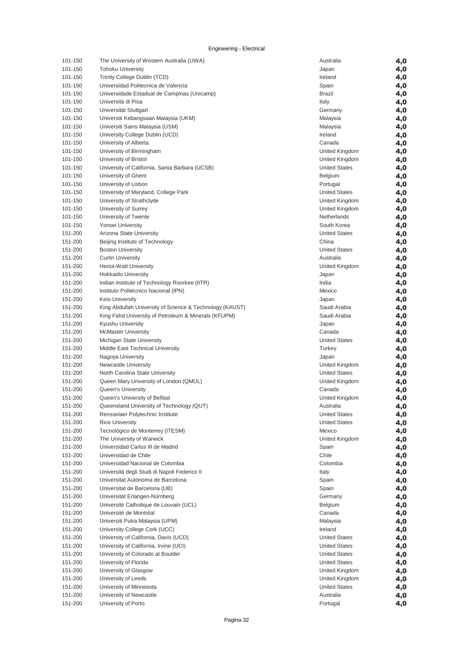| 101-150            | The University of Western Australia (UWA)                | Australia            | 4,0        |
|--------------------|----------------------------------------------------------|----------------------|------------|
| 101-150            | <b>Tohoku University</b>                                 | Japan                | 4,0        |
| 101-150            | Trinity College Dublin (TCD)                             | Ireland              | 4,0        |
| 101-150            | Universidad Politecnica de Valencia                      | Spain                | 4,0        |
| 101-150            | Universidade Estadual de Campinas (Unicamp)              | <b>Brazil</b>        | 4,0        |
| 101-150            | Università di Pisa                                       | Italy                | 4,0        |
| 101-150            | Universität Stuttgart                                    | Germany              | 4,0        |
| 101-150            | Universiti Kebangsaan Malaysia (UKM)                     | Malaysia             | 4,0        |
| 101-150            | Universiti Sains Malaysia (USM)                          | Malaysia             | 4,0        |
| 101-150            | University College Dublin (UCD)                          | Ireland              | 4,0        |
| 101-150            | University of Alberta                                    | Canada               | 4,0        |
| 101-150            | University of Birmingham                                 | United Kingdom       | 4,0        |
| 101-150            | University of Bristol                                    | United Kingdom       | 4,0        |
| 101-150            | University of California, Santa Barbara (UCSB)           | <b>United States</b> | 4,0        |
| 101-150            | University of Ghent                                      | Belgium              | 4,0        |
| 101-150            | University of Lisbon                                     | Portugal             | 4,0        |
| 101-150            | University of Maryland, College Park                     | <b>United States</b> | 4,0        |
| 101-150            | University of Strathclyde                                | United Kingdom       | 4,0        |
| 101-150            | University of Surrey                                     | United Kingdom       | 4,0        |
| 101-150            | University of Twente                                     | Netherlands          | 4,0        |
| 101-150            | Yonsei University                                        | South Korea          | 4,0        |
| 151-200            | Arizona State University                                 | <b>United States</b> | 4,0        |
| 151-200            | Beijing Institute of Technology                          | China                | 4,0        |
| 151-200            | <b>Boston University</b>                                 | <b>United States</b> | 4,0        |
| 151-200            | <b>Curtin University</b>                                 | Australia            | 4,0        |
| 151-200            | <b>Heriot-Watt University</b>                            | United Kingdom       | 4,0        |
| 151-200            | <b>Hokkaido University</b>                               | Japan                | 4,0        |
| 151-200            | Indian Institute of Technology Roorkee (IITR)            | India                | 4,0        |
| 151-200            | Instituto Politécnico Nacional (IPN)                     | Mexico               | 4,0        |
| 151-200            | <b>Keio University</b>                                   | Japan                | 4,0        |
| 151-200            | King Abdullah University of Science & Technology (KAUST) | Saudi Arabia         | 4,0        |
| 151-200            | King Fahd University of Petroleum & Minerals (KFUPM)     | Saudi Arabia         | 4,0        |
| 151-200            | Kyushu University                                        | Japan                | 4,0        |
| 151-200            | <b>McMaster University</b>                               | Canada               | 4,0        |
| 151-200            | Michigan State University                                | <b>United States</b> | 4,0        |
| 151-200            | Middle East Technical University                         | Turkey               | 4,0        |
| 151-200            | Nagoya University                                        | Japan                | 4,0        |
| 151-200            | <b>Newcastle University</b>                              | United Kingdom       | 4,0        |
| 151-200            | North Carolina State University                          | <b>United States</b> | 4,0        |
| 151-200            | Queen Mary University of London (QMUL)                   | United Kingdom       | 4,0        |
| 151-200            | <b>Queen's University</b>                                | Canada               | 4,0        |
| 151-200            | Queen's University of Belfast                            | United Kingdom       | 4,0        |
| 151-200            | Queensland University of Technology (QUT)                | Australia            | 4,0        |
| 151-200            | Rensselaer Polytechnic Institute                         | <b>United States</b> |            |
| 151-200            | <b>Rice University</b>                                   | <b>United States</b> | 4,0<br>4,0 |
| 151-200            | Tecnológico de Monterrey (ITESM)                         | Mexico               |            |
| 151-200            | The University of Warwick                                | United Kingdom       | 4,0        |
| 151-200            | Universidad Carlos III de Madrid                         |                      | 4,0        |
| 151-200            | Universidad de Chile                                     | Spain<br>Chile       | 4,0        |
| 151-200            | Universidad Nacional de Colombia                         | Colombia             | 4,0        |
|                    | Università degli Studi di Napoli Federico II             |                      | 4,0        |
| 151-200<br>151-200 | Universitat Autónoma de Barcelona                        | Italy                | 4,0        |
|                    |                                                          | Spain                | 4,0        |
| 151-200<br>151-200 | Universitat de Barcelona (UB)                            | Spain                | 4,0        |
|                    | Universität Erlangen-Nürnberg                            | Germany              | 4,0        |
| 151-200            | Université Catholique de Louvain (UCL)                   | <b>Belgium</b>       | 4,0        |
| 151-200            | Université de Montréal                                   | Canada               | 4,0        |
| 151-200            | Universiti Putra Malaysia (UPM)                          | Malaysia             | 4,0        |
| 151-200            | University College Cork (UCC)                            | Ireland              | 4,0        |
| 151-200            | University of California, Davis (UCD)                    | <b>United States</b> | 4,0        |
| 151-200            | University of California, Irvine (UCI)                   | <b>United States</b> | 4,0        |
| 151-200            | University of Colorado at Boulder                        | <b>United States</b> | 4,0        |
| 151-200            | University of Florida                                    | <b>United States</b> | 4,0        |
| 151-200            | University of Glasgow                                    | United Kingdom       | 4,0        |
| 151-200            | University of Leeds                                      | United Kingdom       | 4,0        |
| 151-200            | University of Minnesota                                  | <b>United States</b> | 4,0        |
| 151-200            | University of Newcastle                                  | Australia            | 4,0        |
| 151-200            | University of Porto                                      | Portugal             | 4,0        |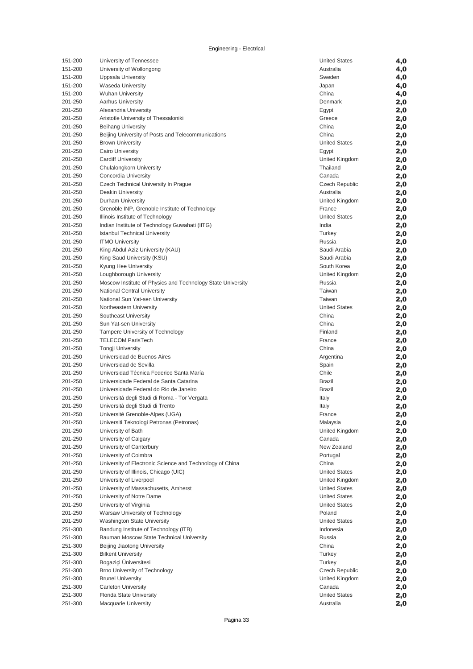| 151-200            | University of Tennessee                                     | <b>United States</b>  | 4,0 |
|--------------------|-------------------------------------------------------------|-----------------------|-----|
| 151-200            | University of Wollongong                                    | Australia             | 4,0 |
| 151-200            | Uppsala University                                          | Sweden                | 4,0 |
| 151-200            | Waseda University                                           | Japan                 | 4,0 |
| 151-200            | <b>Wuhan University</b>                                     | China                 | 4,0 |
| 201-250            | <b>Aarhus University</b>                                    | Denmark               | 2,0 |
| 201-250            | Alexandria University                                       | Egypt                 | 2,0 |
| 201-250            | Aristotle University of Thessaloniki                        | Greece                | 2,0 |
| 201-250            | <b>Beihang University</b>                                   | China                 | 2,0 |
| 201-250            | Beijing University of Posts and Telecommunications          | China                 | 2,0 |
| 201-250            | <b>Brown University</b>                                     | <b>United States</b>  | 2,0 |
| 201-250            | Cairo University                                            | Egypt                 | 2,0 |
| 201-250            | <b>Cardiff University</b>                                   | United Kingdom        | 2,0 |
| 201-250            | Chulalongkorn University                                    | Thailand              | 2,0 |
| 201-250            | Concordia University                                        | Canada                | 2,0 |
| 201-250            | Czech Technical University In Prague                        | Czech Republic        | 2,0 |
| 201-250            | <b>Deakin University</b>                                    | Australia             | 2,0 |
| 201-250            | Durham University                                           | United Kingdom        | 2,0 |
| 201-250            | Grenoble INP, Grenoble Institute of Technology              | France                | 2,0 |
| 201-250            | Illinois Institute of Technology                            | <b>United States</b>  | 2,0 |
| 201-250            | Indian Institute of Technology Guwahati (IITG)              | India                 | 2,0 |
| 201-250            | <b>Istanbul Technical University</b>                        | Turkey                | 2,0 |
| 201-250            | <b>ITMO University</b>                                      | Russia                | 2,0 |
| 201-250            | King Abdul Aziz University (KAU)                            | Saudi Arabia          | 2,0 |
| 201-250            | King Saud University (KSU)                                  | Saudi Arabia          | 2,0 |
| 201-250            | Kyung Hee University                                        | South Korea           | 2,0 |
| 201-250            | Loughborough University                                     | United Kingdom        | 2,0 |
| 201-250            | Moscow Institute of Physics and Technology State University | Russia                | 2,0 |
| 201-250            | National Central University                                 | Taiwan                |     |
| 201-250            | National Sun Yat-sen University                             | Taiwan                | 2,0 |
| 201-250            |                                                             | <b>United States</b>  | 2,0 |
|                    | Northeastern University                                     | China                 | 2,0 |
| 201-250            | Southeast University                                        |                       | 2,0 |
| 201-250<br>201-250 | Sun Yat-sen University                                      | China                 | 2,0 |
|                    | Tampere University of Technology                            | Finland               | 2,0 |
| 201-250            | <b>TELECOM ParisTech</b>                                    | France                | 2,0 |
| 201-250            | <b>Tongji University</b>                                    | China                 | 2,0 |
| 201-250            | Universidad de Buenos Aires                                 | Argentina             | 2,0 |
| 201-250            | Universidad de Sevilla                                      | Spain                 | 2,0 |
| 201-250            | Universidad Técnica Federico Santa María                    | Chile                 | 2,0 |
| 201-250            | Universidade Federal de Santa Catarina                      | Brazil                | 2,0 |
| 201-250            | Universidade Federal do Rio de Janeiro                      | Brazil                | 2,0 |
| 201-250            | Universitá degli Studi di Roma - Tor Vergata                | Italy                 | 2,0 |
| 201-250            | Università degli Studi di Trento                            | Italy                 | 2,0 |
| 201-250            | Université Grenoble-Alpes (UGA)                             | France                | 2,0 |
| 201-250            | Universiti Teknologi Petronas (Petronas)                    | Malaysia              | 2,0 |
| 201-250            | University of Bath                                          | United Kingdom        | 2,0 |
| 201-250            | University of Calgary                                       | Canada                | 2,0 |
| 201-250            | University of Canterbury                                    | New Zealand           | 2,0 |
| 201-250            | University of Coimbra                                       | Portugal              | 2,0 |
| 201-250            | University of Electronic Science and Technology of China    | China                 | 2,0 |
| 201-250            | University of Illinois, Chicago (UIC)                       | <b>United States</b>  | 2,0 |
| 201-250            | University of Liverpool                                     | United Kingdom        | 2,0 |
| 201-250            | University of Massachusetts, Amherst                        | <b>United States</b>  | 2,0 |
| 201-250            | University of Notre Dame                                    | <b>United States</b>  | 2,0 |
| 201-250            | University of Virginia                                      | <b>United States</b>  | 2,0 |
| 201-250            | Warsaw University of Technology                             | Poland                | 2,0 |
| 201-250            | <b>Washington State University</b>                          | <b>United States</b>  | 2,0 |
| 251-300            | Bandung Institute of Technology (ITB)                       | Indonesia             | 2,0 |
| 251-300            | Bauman Moscow State Technical University                    | Russia                | 2,0 |
| 251-300            | Beijing Jiaotong University                                 | China                 | 2,0 |
| 251-300            | <b>Bilkent University</b>                                   | Turkey                | 2,0 |
| 251-300            | Bogaziçi Üniversitesi                                       | Turkey                | 2,0 |
| 251-300            | Brno University of Technology                               | <b>Czech Republic</b> | 2,0 |
| 251-300            | <b>Brunel University</b>                                    | United Kingdom        | 2,0 |
| 251-300            | <b>Carleton University</b>                                  | Canada                | 2,0 |
| 251-300            | Florida State University                                    | <b>United States</b>  | 2,0 |
| 251-300            | <b>Macquarie University</b>                                 | Australia             | 2,0 |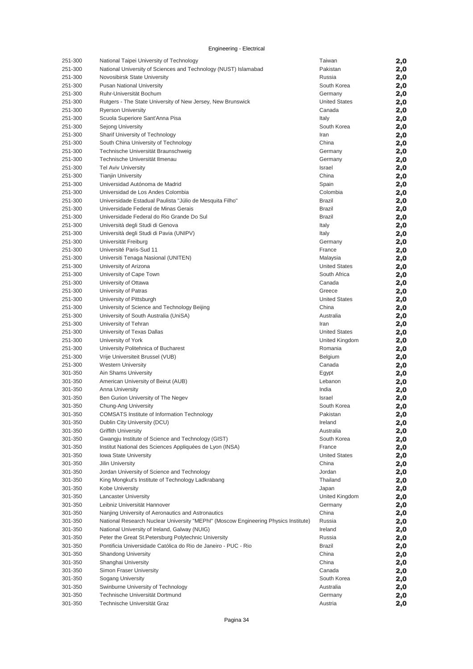| 251-300            | National Taipei University of Technology                                            | Taiwan                   | 2,0        |
|--------------------|-------------------------------------------------------------------------------------|--------------------------|------------|
| 251-300            | National University of Sciences and Technology (NUST) Islamabad                     | Pakistan                 | 2,0        |
| 251-300            | Novosibirsk State University                                                        | Russia                   | 2,0        |
| 251-300            | <b>Pusan National University</b>                                                    | South Korea              | 2,0        |
| 251-300            | Ruhr-Universität Bochum                                                             | Germany                  | 2,0        |
| 251-300            | Rutgers - The State University of New Jersey, New Brunswick                         | <b>United States</b>     | 2,0        |
| 251-300            | <b>Ryerson University</b>                                                           | Canada                   | 2,0        |
| 251-300            | Scuola Superiore Sant'Anna Pisa                                                     | Italy                    | 2,0        |
| 251-300<br>251-300 | Sejong University                                                                   | South Korea              | 2,0        |
| 251-300            | Sharif University of Technology<br>South China University of Technology             | Iran<br>China            | 2,0        |
| 251-300            | Technische Universität Braunschweig                                                 | Germany                  | 2,0<br>2,0 |
| 251-300            | Technische Universität Ilmenau                                                      | Germany                  | 2,0        |
| 251-300            | <b>Tel Aviv University</b>                                                          | Israel                   | 2,0        |
| 251-300            | <b>Tianjin University</b>                                                           | China                    | 2,0        |
| 251-300            | Universidad Autónoma de Madrid                                                      | Spain                    | 2,0        |
| 251-300            | Universidad de Los Andes Colombia                                                   | Colombia                 | 2,0        |
| 251-300            | Universidade Estadual Paulista "Júlio de Mesquita Filho"                            | <b>Brazil</b>            | 2,0        |
| 251-300            | Universidade Federal de Minas Gerais                                                | <b>Brazil</b>            | 2,0        |
| 251-300            | Universidade Federal do Rio Grande Do Sul                                           | <b>Brazil</b>            | 2,0        |
| 251-300            | Università degli Studi di Genova                                                    | Italy                    | 2,0        |
| 251-300            | Università degli Studi di Pavia (UNIPV)                                             | Italy                    | 2,0        |
| 251-300            | Universität Freiburg                                                                | Germany                  | 2,0        |
| 251-300            | Université Paris-Sud 11                                                             | France                   | 2,0        |
| 251-300            | Universiti Tenaga Nasional (UNITEN)                                                 | Malaysia                 | 2,0        |
| 251-300            | University of Arizona                                                               | <b>United States</b>     | 2,0        |
| 251-300            | University of Cape Town                                                             | South Africa             | 2,0        |
| 251-300<br>251-300 | University of Ottawa                                                                | Canada<br>Greece         | 2,0        |
| 251-300            | University of Patras<br>University of Pittsburgh                                    | <b>United States</b>     | 2,0        |
| 251-300            | University of Science and Technology Beijing                                        | China                    | 2,0<br>2,0 |
| 251-300            | University of South Australia (UniSA)                                               | Australia                | 2,0        |
| 251-300            | University of Tehran                                                                | Iran                     | 2,0        |
| 251-300            | University of Texas Dallas                                                          | <b>United States</b>     | 2,0        |
| 251-300            | University of York                                                                  | United Kingdom           | 2,0        |
| 251-300            | University Politehnica of Bucharest                                                 | Romania                  | 2,0        |
| 251-300            | Vrije Universiteit Brussel (VUB)                                                    | Belgium                  | 2,0        |
| 251-300            | <b>Western University</b>                                                           | Canada                   | 2,0        |
| 301-350            | Ain Shams University                                                                | Egypt                    | 2,0        |
| 301-350            | American University of Beirut (AUB)                                                 | Lebanon                  | 2,0        |
| 301-350            | <b>Anna University</b>                                                              | India                    | 2,0        |
| 301-350            | Ben Gurion University of The Negev                                                  | Israel                   | 2,0        |
| 301-350            | Chung-Ang University                                                                | South Korea              | 2,0        |
| 301-350            | <b>COMSATS Institute of Information Technology</b>                                  | Pakistan                 | 2,0        |
| 301-350            | Dublin City University (DCU)                                                        | Ireland                  | 2,0        |
| 301-350<br>301-350 | <b>Griffith University</b><br>Gwangju Institute of Science and Technology (GIST)    | Australia<br>South Korea | 2,0        |
| 301-350            | Institut National des Sciences Appliquées de Lyon (INSA)                            | France                   | 2,0<br>2,0 |
| 301-350            | <b>Iowa State University</b>                                                        | <b>United States</b>     | 2,0        |
| 301-350            | <b>Jilin University</b>                                                             | China                    | 2,0        |
| 301-350            | Jordan University of Science and Technology                                         | Jordan                   | 2,0        |
| 301-350            | King Mongkut's Institute of Technology Ladkrabang                                   | Thailand                 | 2,0        |
| 301-350            | Kobe University                                                                     | Japan                    | 2,0        |
| 301-350            | <b>Lancaster University</b>                                                         | United Kingdom           | 2,0        |
| 301-350            | Leibniz Universität Hannover                                                        | Germany                  | 2,0        |
| 301-350            | Nanjing University of Aeronautics and Astronautics                                  | China                    | 2,0        |
| 301-350            | National Research Nuclear University "MEPhl" (Moscow Engineering Physics Institute) | Russia                   | 2,0        |
| 301-350            | National University of Ireland, Galway (NUIG)                                       | Ireland                  | 2,0        |
| 301-350            | Peter the Great St. Petersburg Polytechnic University                               | Russia                   | 2,0        |
| 301-350            | Pontificia Universidade Católica do Rio de Janeiro - PUC - Rio                      | <b>Brazil</b>            | 2,0        |
| 301-350            | <b>Shandong University</b>                                                          | China                    | 2,0        |
| 301-350            | Shanghai University                                                                 | China                    | 2,0        |
| 301-350            | Simon Fraser University                                                             | Canada                   | 2,0        |
| 301-350            | Sogang University                                                                   | South Korea              | 2,0        |
| 301-350<br>301-350 | Swinburne University of Technology<br>Technische Universität Dortmund               | Australia<br>Germany     | 2,0        |
| 301-350            | Technische Universität Graz                                                         | Austria                  | 2,0        |
|                    |                                                                                     |                          | 2,0        |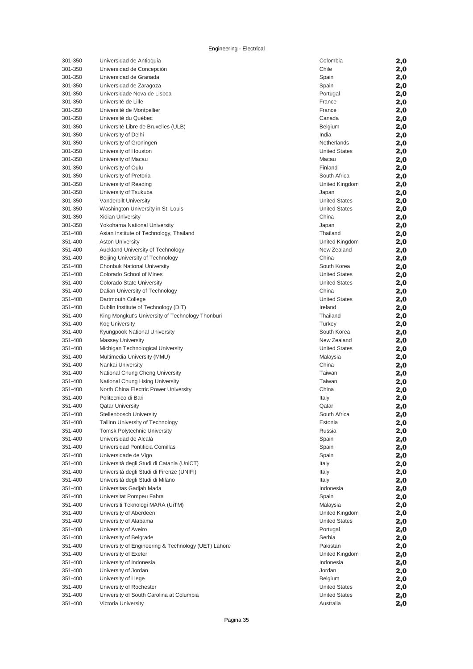| 301-350 | Universidad de Antioquia                            | Colombia             | 2,0 |
|---------|-----------------------------------------------------|----------------------|-----|
| 301-350 | Universidad de Concepción                           | Chile                | 2,0 |
| 301-350 | Universidad de Granada                              | Spain                | 2,0 |
| 301-350 | Universidad de Zaragoza                             | Spain                | 2,0 |
| 301-350 | Universidade Nova de Lisboa                         | Portugal             | 2,0 |
| 301-350 | Université de Lille                                 | France               | 2,0 |
| 301-350 | Université de Montpellier                           | France               | 2,0 |
| 301-350 | Université du Québec                                | Canada               | 2,0 |
| 301-350 | Université Libre de Bruxelles (ULB)                 | <b>Belgium</b>       | 2,0 |
| 301-350 | University of Delhi                                 | India                | 2,0 |
| 301-350 | University of Groningen                             | Netherlands          | 2,0 |
| 301-350 | University of Houston                               | <b>United States</b> | 2,0 |
| 301-350 | University of Macau                                 | Macau                | 2,0 |
| 301-350 | University of Oulu                                  | Finland              | 2,0 |
| 301-350 | University of Pretoria                              | South Africa         | 2,0 |
| 301-350 | University of Reading                               | United Kingdom       | 2,0 |
| 301-350 | University of Tsukuba                               | Japan                | 2,0 |
| 301-350 | <b>Vanderbilt University</b>                        | <b>United States</b> | 2,0 |
| 301-350 | Washington University in St. Louis                  | <b>United States</b> | 2,0 |
| 301-350 | <b>Xidian University</b>                            | China                | 2,0 |
| 301-350 | Yokohama National University                        | Japan                | 2,0 |
| 351-400 | Asian Institute of Technology, Thailand             | Thailand             | 2,0 |
| 351-400 | <b>Aston University</b>                             | United Kingdom       | 2,0 |
| 351-400 | Auckland University of Technology                   | New Zealand          | 2,0 |
| 351-400 | Beijing University of Technology                    | China                | 2,0 |
| 351-400 | <b>Chonbuk National University</b>                  | South Korea          | 2,0 |
| 351-400 | Colorado School of Mines                            | <b>United States</b> | 2,0 |
| 351-400 | Colorado State University                           | <b>United States</b> | 2,0 |
| 351-400 | Dalian University of Technology                     | China                | 2,0 |
| 351-400 | Dartmouth College                                   | <b>United States</b> | 2,0 |
| 351-400 | Dublin Institute of Technology (DIT)                | Ireland              | 2,0 |
| 351-400 | King Mongkut's University of Technology Thonburi    | Thailand             | 2,0 |
| 351-400 | <b>Koç University</b>                               | Turkey               | 2,0 |
| 351-400 | Kyungpook National University                       | South Korea          | 2,0 |
| 351-400 | <b>Massey University</b>                            | New Zealand          | 2,0 |
| 351-400 | Michigan Technological University                   | <b>United States</b> | 2,0 |
| 351-400 | Multimedia University (MMU)                         | Malaysia             | 2,0 |
| 351-400 | Nankai University                                   | China                | 2,0 |
| 351-400 | National Chung Cheng University                     | Taiwan               | 2,0 |
| 351-400 | National Chung Hsing University                     | Taiwan               | 2,0 |
| 351-400 | North China Electric Power University               | China                | 2,0 |
| 351-400 | Politecnico di Bari                                 | Italy                | 2,0 |
| 351-400 | <b>Qatar University</b>                             | Qatar                | 2,0 |
| 351-400 | Stellenbosch University                             | South Africa         | 2,0 |
| 351-400 | Tallinn University of Technology                    | Estonia              | 2,0 |
| 351-400 | <b>Tomsk Polytechnic University</b>                 | Russia               | 2,0 |
| 351-400 | Universidad de Alcalá                               | Spain                | 2,0 |
| 351-400 | Universidad Pontificia Comillas                     | Spain                | 2,0 |
| 351-400 | Universidade de Vigo                                | Spain                | 2,0 |
| 351-400 | Università degli Studi di Catania (UniCT)           | Italy                | 2,0 |
| 351-400 | Università degli Studi di Firenze (UNIFI)           | Italy                | 2,0 |
| 351-400 | Università degli Studi di Milano                    | Italy                | 2,0 |
| 351-400 | Universitas Gadjah Mada                             | Indonesia            | 2,0 |
| 351-400 | Universitat Pompeu Fabra                            | Spain                | 2,0 |
| 351-400 | Universiti Teknologi MARA (UiTM)                    | Malaysia             | 2,0 |
| 351-400 | University of Aberdeen                              | United Kingdom       | 2,0 |
| 351-400 | University of Alabama                               | <b>United States</b> | 2,0 |
| 351-400 | University of Aveiro                                | Portugal             | 2,0 |
| 351-400 | University of Belgrade                              | Serbia               | 2,0 |
| 351-400 | University of Engineering & Technology (UET) Lahore | Pakistan             | 2,0 |
| 351-400 | University of Exeter                                | United Kingdom       | 2,0 |
| 351-400 | University of Indonesia                             | Indonesia            | 2,0 |
| 351-400 | University of Jordan                                | Jordan               | 2,0 |
| 351-400 | University of Liege                                 | <b>Belgium</b>       | 2,0 |
| 351-400 | University of Rochester                             | <b>United States</b> | 2,0 |
| 351-400 | University of South Carolina at Columbia            | <b>United States</b> | 2,0 |
| 351-400 | Victoria University                                 | Australia            | 2,0 |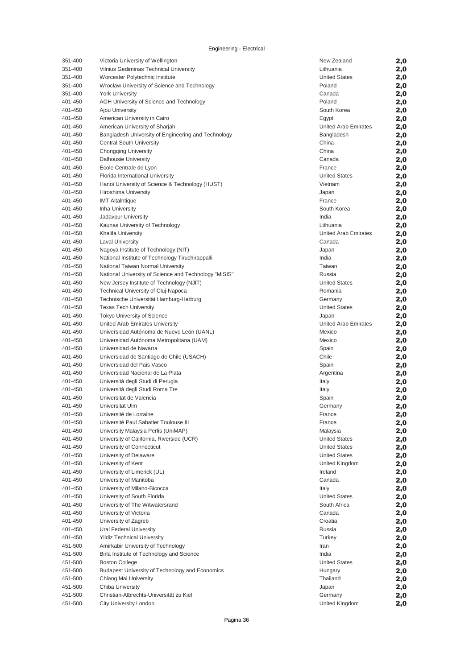| 351-400 | Victoria University of Wellington                     | New Zealand                   | 2,0 |
|---------|-------------------------------------------------------|-------------------------------|-----|
| 351-400 | Vilnius Gediminas Technical University                | Lithuania                     | 2,0 |
| 351-400 | Worcester Polytechnic Institute                       | <b>United States</b>          | 2,0 |
| 351-400 | Wrocław University of Science and Technology          | Poland                        | 2,0 |
| 351-400 | <b>York University</b>                                | Canada                        | 2,0 |
| 401-450 | AGH University of Science and Technology              | Poland                        | 2,0 |
| 401-450 | Ajou University                                       | South Korea                   | 2,0 |
| 401-450 | American University in Cairo                          |                               |     |
| 401-450 |                                                       | Egypt<br>United Arab Emirates | 2,0 |
|         | American University of Sharjah                        |                               | 2,0 |
| 401-450 | Bangladesh University of Engineering and Technology   | Bangladesh                    | 2,0 |
| 401-450 | Central South University                              | China                         | 2,0 |
| 401-450 | <b>Chongqing University</b>                           | China                         | 2,0 |
| 401-450 | <b>Dalhousie University</b>                           | Canada                        | 2,0 |
| 401-450 | Ecole Centrale de Lyon                                | France                        | 2,0 |
| 401-450 | Florida International University                      | <b>United States</b>          | 2,0 |
| 401-450 | Hanoi University of Science & Technology (HUST)       | Vietnam                       | 2,0 |
| 401-450 | Hiroshima University                                  | Japan                         | 2,0 |
| 401-450 | <b>IMT Altaintique</b>                                | France                        | 2,0 |
| 401-450 | Inha University                                       | South Korea                   | 2,0 |
| 401-450 | Jadavpur University                                   | India                         | 2,0 |
| 401-450 | Kaunas University of Technology                       | Lithuania                     | 2,0 |
| 401-450 | Khalifa University                                    | <b>United Arab Emirates</b>   | 2,0 |
| 401-450 | <b>Laval University</b>                               | Canada                        | 2,0 |
| 401-450 | Nagoya Institute of Technology (NIT)                  | Japan                         | 2,0 |
| 401-450 | National Institute of Technology Tiruchirappalli      | India                         | 2,0 |
|         |                                                       |                               |     |
| 401-450 | National Taiwan Normal University                     | Taiwan                        | 2,0 |
| 401-450 | National University of Science and Technology "MISIS" | Russia                        | 2,0 |
| 401-450 | New Jersey Institute of Technology (NJIT)             | <b>United States</b>          | 2,0 |
| 401-450 | Technical University of Cluj-Napoca                   | Romania                       | 2,0 |
| 401-450 | Technische Universität Hamburg-Harburg                | Germany                       | 2,0 |
| 401-450 | <b>Texas Tech University</b>                          | <b>United States</b>          | 2,0 |
| 401-450 | <b>Tokyo University of Science</b>                    | Japan                         | 2,0 |
| 401-450 | United Arab Emirates University                       | United Arab Emirates          | 2,0 |
| 401-450 | Universidad Autónoma de Nuevo León (UANL)             | Mexico                        | 2,0 |
| 401-450 | Universidad Autónoma Metropolitana (UAM)              | Mexico                        | 2,0 |
| 401-450 | Universidad de Navarra                                | Spain                         | 2,0 |
| 401-450 | Universidad de Santiago de Chile (USACH)              | Chile                         | 2,0 |
| 401-450 | Universidad del Pais Vasco                            | Spain                         | 2,0 |
| 401-450 | Universidad Nacional de La Plata                      | Argentina                     | 2,0 |
| 401-450 | Università degli Studi di Perugia                     | Italy                         | 2,0 |
| 401-450 | Università degli Studi Roma Tre                       | Italy                         | 2,0 |
| 401-450 | Universitat de Valencia                               | Spain                         | 2,0 |
| 401-450 | Universität Ulm                                       | Germany                       | 2,0 |
| 401-450 | Université de Lorraine                                |                               |     |
|         | Université Paul Sabatier Toulouse III                 | France<br>France              | 2,0 |
| 401-450 |                                                       |                               | 2,0 |
| 401-450 | University Malaysia Perlis (UniMAP)                   | Malaysia                      | 2,0 |
| 401-450 | University of California, Riverside (UCR)             | <b>United States</b>          | 2,0 |
| 401-450 | University of Connecticut                             | <b>United States</b>          | 2,0 |
| 401-450 | University of Delaware                                | <b>United States</b>          | 2,0 |
| 401-450 | University of Kent                                    | United Kingdom                | 2,0 |
| 401-450 | University of Limerick (UL)                           | Ireland                       | 2,0 |
| 401-450 | University of Manitoba                                | Canada                        | 2,0 |
| 401-450 | University of Milano-Bicocca                          | Italy                         | 2,0 |
| 401-450 | University of South Florida                           | <b>United States</b>          | 2,0 |
| 401-450 | University of The Witwatersrand                       | South Africa                  | 2,0 |
| 401-450 | University of Victoria                                | Canada                        | 2,0 |
| 401-450 | University of Zagreb                                  | Croatia                       | 2,0 |
| 401-450 | Ural Federal University                               | Russia                        | 2,0 |
| 401-450 | <b>Yildiz Technical University</b>                    | Turkey                        | 2,0 |
| 451-500 | Amirkabir University of Technology                    | Iran                          | 2,0 |
| 451-500 | Birla Institute of Technology and Science             | India                         | 2,0 |
| 451-500 | <b>Boston College</b>                                 | <b>United States</b>          | 2,0 |
| 451-500 | Budapest University of Technology and Economics       | Hungary                       |     |
| 451-500 | Chiang Mai University                                 | Thailand                      | 2,0 |
|         |                                                       |                               | 2,0 |
| 451-500 | Chiba University                                      | Japan                         | 2,0 |
| 451-500 | Christian-Albrechts-Universität zu Kiel               | Germany                       | 2,0 |
| 451-500 | City University London                                | United Kingdom                | 2,0 |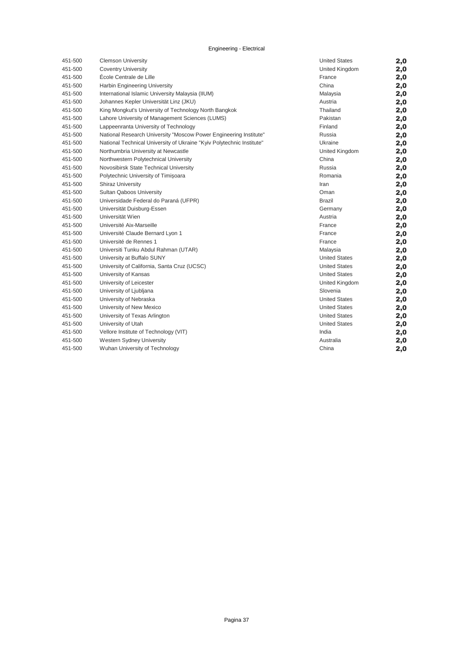| 451-500 | <b>Clemson University</b>                                             | <b>United States</b> | 2,0 |
|---------|-----------------------------------------------------------------------|----------------------|-----|
| 451-500 | <b>Coventry University</b>                                            | United Kingdom       | 2,0 |
| 451-500 | École Centrale de Lille                                               | France               | 2,0 |
| 451-500 | <b>Harbin Engineering University</b>                                  | China                | 2,0 |
| 451-500 | International Islamic University Malaysia (IIUM)                      | Malaysia             | 2,0 |
| 451-500 | Johannes Kepler Universität Linz (JKU)                                | Austria              | 2,0 |
| 451-500 | King Mongkut's University of Technology North Bangkok                 | Thailand             | 2,0 |
| 451-500 | Lahore University of Management Sciences (LUMS)                       | Pakistan             | 2,0 |
| 451-500 | Lappeenranta University of Technology                                 | Finland              | 2,0 |
| 451-500 | National Research University "Moscow Power Engineering Institute"     | Russia               | 2,0 |
| 451-500 | National Technical University of Ukraine "Kyiv Polytechnic Institute" | Ukraine              | 2,0 |
| 451-500 | Northumbria University at Newcastle                                   | United Kingdom       | 2,0 |
| 451-500 | Northwestern Polytechnical University                                 | China                | 2,0 |
| 451-500 | Novosibirsk State Technical University                                | Russia               | 2,0 |
| 451-500 | Polytechnic University of Timisoara                                   | Romania              | 2,0 |
| 451-500 | <b>Shiraz University</b>                                              | Iran                 | 2,0 |
| 451-500 | Sultan Qaboos University                                              | Oman                 | 2,0 |
| 451-500 | Universidade Federal do Paraná (UFPR)                                 | Brazil               | 2,0 |
| 451-500 | Universität Duisburg-Essen                                            | Germany              | 2,0 |
| 451-500 | Universität Wien                                                      | Austria              | 2,0 |
| 451-500 | Université Aix-Marseille                                              | France               | 2,0 |
| 451-500 | Université Claude Bernard Lyon 1                                      | France               | 2,0 |
| 451-500 | Université de Rennes 1                                                | France               | 2,0 |
| 451-500 | Universiti Tunku Abdul Rahman (UTAR)                                  | Malaysia             | 2,0 |
| 451-500 | University at Buffalo SUNY                                            | <b>United States</b> | 2,0 |
| 451-500 | University of California, Santa Cruz (UCSC)                           | <b>United States</b> | 2,0 |
| 451-500 | University of Kansas                                                  | <b>United States</b> | 2,0 |
| 451-500 | University of Leicester                                               | United Kingdom       | 2,0 |
| 451-500 | University of Ljubljana                                               | Slovenia             | 2,0 |
| 451-500 | University of Nebraska                                                | <b>United States</b> | 2,0 |
| 451-500 | University of New Mexico                                              | <b>United States</b> | 2,0 |
| 451-500 | University of Texas Arlington                                         | <b>United States</b> | 2,0 |
| 451-500 | University of Utah                                                    | <b>United States</b> | 2,0 |
| 451-500 | Vellore Institute of Technology (VIT)                                 | India                | 2,0 |
| 451-500 | Western Sydney University                                             | Australia            | 2,0 |
| 451-500 | Wuhan University of Technology                                        | China                | 2,0 |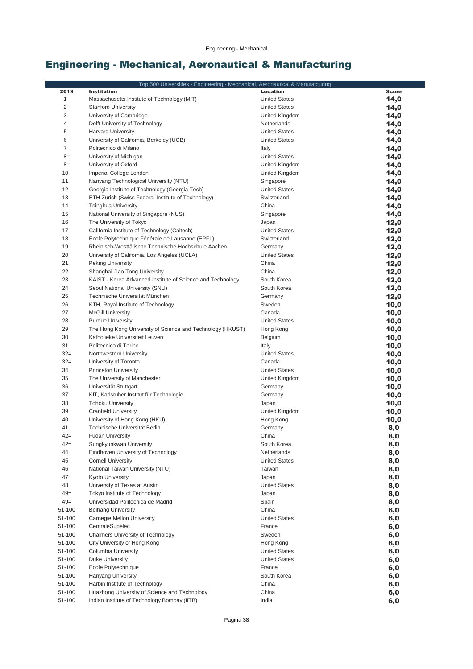## Engineering - Mechanical, Aeronautical & Manufacturing

|                | Top 500 Universities - Engineering - Mechanical, Aeronautical & Manufacturing |                      |              |
|----------------|-------------------------------------------------------------------------------|----------------------|--------------|
| 2019           | <b>Institution</b>                                                            | Location             | <b>Score</b> |
| $\mathbf 1$    | Massachusetts Institute of Technology (MIT)                                   | <b>United States</b> | 14,0         |
| $\overline{c}$ | <b>Stanford University</b>                                                    | <b>United States</b> | 14,0         |
| 3              | University of Cambridge                                                       | United Kingdom       | 14,0         |
| 4              | Delft University of Technology                                                | Netherlands          | 14,0         |
| 5              | <b>Harvard University</b>                                                     | <b>United States</b> | 14,0         |
| 6              | University of California, Berkeley (UCB)                                      | <b>United States</b> | 14,0         |
| 7              | Politecnico di Milano                                                         | Italy                | 14,0         |
| $8=$           | University of Michigan                                                        | <b>United States</b> | 14,0         |
| $8=$           | University of Oxford                                                          | United Kingdom       | 14,0         |
| 10             | Imperial College London                                                       | United Kingdom       | 14,0         |
| 11             | Nanyang Technological University (NTU)                                        | Singapore            | 14,0         |
| 12             | Georgia Institute of Technology (Georgia Tech)                                | <b>United States</b> | 14,0         |
| 13             | ETH Zurich (Swiss Federal Institute of Technology)                            | Switzerland          | 14,0         |
| 14             | <b>Tsinghua University</b>                                                    | China                | 14,0         |
| 15             | National University of Singapore (NUS)                                        | Singapore            | 14,0         |
| 16             | The University of Tokyo                                                       | Japan                | 12,0         |
| 17             | California Institute of Technology (Caltech)                                  | <b>United States</b> | 12,0         |
| 18             | Ecole Polytechnique Fédérale de Lausanne (EPFL)                               | Switzerland          | 12,0         |
| 19             | Rheinisch-Westfälische Technische Hochschule Aachen                           | Germany              | 12,0         |
| 20             | University of California, Los Angeles (UCLA)                                  | <b>United States</b> | 12,0         |
| 21             | <b>Peking University</b>                                                      | China                | 12,0         |
| 22             | Shanghai Jiao Tong University                                                 | China                | 12,0         |
| 23             | KAIST - Korea Advanced Institute of Science and Technology                    | South Korea          | 12,0         |
| 24             | Seoul National University (SNU)                                               | South Korea          | 12,0         |
| 25             | Technische Universität München                                                | Germany              | 12,0         |
| 26<br>27       | KTH, Royal Institute of Technology                                            | Sweden<br>Canada     | 10,0         |
| 28             | <b>McGill University</b><br><b>Purdue University</b>                          | <b>United States</b> | 10,0         |
| 29             | The Hong Kong University of Science and Technology (HKUST)                    | Hong Kong            | 10,0<br>10,0 |
| 30             | Katholieke Universiteit Leuven                                                | Belgium              | 10,0         |
| 31             | Politecnico di Torino                                                         | Italy                | 10,0         |
| $32 =$         | Northwestern University                                                       | <b>United States</b> | 10,0         |
| $32 =$         | University of Toronto                                                         | Canada               | 10,0         |
| 34             | <b>Princeton University</b>                                                   | <b>United States</b> | 10,0         |
| 35             | The University of Manchester                                                  | United Kingdom       | 10,0         |
| 36             | Universität Stuttgart                                                         | Germany              | 10,0         |
| 37             | KIT, Karlsruher Institut für Technologie                                      | Germany              | 10,0         |
| 38             | <b>Tohoku University</b>                                                      | Japan                | 10,0         |
| 39             | Cranfield University                                                          | United Kingdom       | 10,0         |
| 40             | University of Hong Kong (HKU)                                                 | Hong Kong            | 10,0         |
| 41             | Technische Universität Berlin                                                 | Germany              | 8,0          |
| 42=            | <b>Fudan University</b>                                                       | China                | 8,0          |
| $42 =$         | Sungkyunkwan University                                                       | South Korea          | 8,0          |
| 44             | Eindhoven University of Technology                                            | Netherlands          | 8,0          |
| 45             | <b>Cornell University</b>                                                     | <b>United States</b> | 8,0          |
| 46             | National Taiwan University (NTU)                                              | Taiwan               | 8,0          |
| 47             | Kyoto University                                                              | Japan                | 8,0          |
| 48             | University of Texas at Austin                                                 | <b>United States</b> | 8,0          |
| $49 =$         | Tokyo Institute of Technology                                                 | Japan                | 8,0          |
| $49=$          | Universidad Politécnica de Madrid                                             | Spain                | 8,0          |
| 51-100         | <b>Beihang University</b>                                                     | China                | 6,0          |
| 51-100         | Carnegie Mellon University                                                    | <b>United States</b> | 6,0          |
| 51-100         | CentraleSupélec                                                               | France               | 6,0          |
| 51-100         | <b>Chalmers University of Technology</b>                                      | Sweden               | 6,0          |
| 51-100         | City University of Hong Kong                                                  | Hong Kong            | 6,0          |
| 51-100         | Columbia University                                                           | <b>United States</b> | 6,0          |
| 51-100         | <b>Duke University</b>                                                        | <b>United States</b> | 6,0          |
| 51-100         | Ecole Polytechnique                                                           | France               | 6,0          |
| 51-100         | <b>Hanyang University</b>                                                     | South Korea          | 6,0          |
| 51-100         | Harbin Institute of Technology                                                | China                | 6,0          |
| 51-100         | Huazhong University of Science and Technology                                 | China                | 6,0          |
| 51-100         | Indian Institute of Technology Bombay (IITB)                                  | India                | 6,0          |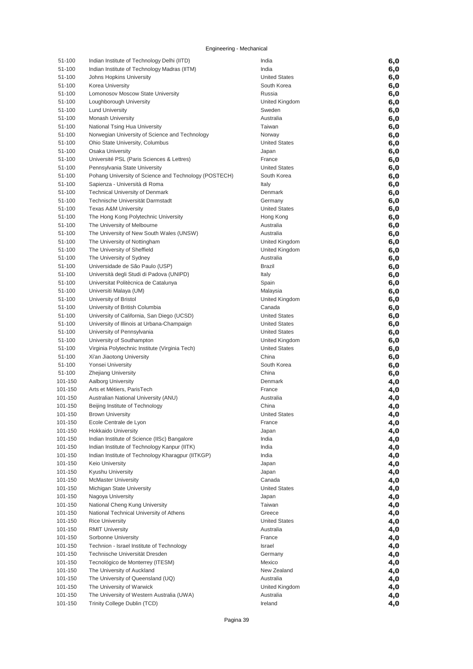| 51-100           | Indian Institute of Technology Delhi (IITD)                 | India                            | 6,0        |
|------------------|-------------------------------------------------------------|----------------------------------|------------|
| 51-100           | Indian Institute of Technology Madras (IITM)                | India                            | 6,0        |
| 51-100           | Johns Hopkins University                                    | <b>United States</b>             | 6,0        |
| 51-100           | Korea University                                            | South Korea                      | 6,0        |
| 51-100           | Lomonosov Moscow State University                           | Russia                           | 6,0        |
| 51-100           | Loughborough University                                     | United Kingdom                   | 6,0        |
| 51-100           | <b>Lund University</b>                                      | Sweden                           | 6,0        |
| 51-100           | <b>Monash University</b>                                    | Australia                        | 6,0        |
| 51-100           | National Tsing Hua University                               | Taiwan                           | 6,0        |
| 51-100           | Norwegian University of Science and Technology              | Norway                           | 6,0        |
| 51-100           | Ohio State University, Columbus                             | <b>United States</b>             | 6,0        |
| 51-100           | Osaka University                                            | Japan                            | 6,0        |
| 51-100           | Université PSL (Paris Sciences & Lettres)                   | France                           | 6,0        |
| 51-100           | Pennsylvania State University                               | <b>United States</b>             | 6,0        |
| 51-100           | Pohang University of Science and Technology (POSTECH)       | South Korea                      | 6,0        |
| 51-100           | Sapienza - Università di Roma                               | Italy                            | 6,0        |
| 51-100           | <b>Technical University of Denmark</b>                      | Denmark                          |            |
| 51-100           | Technische Universität Darmstadt                            | Germany                          | 6,0        |
| 51-100           | <b>Texas A&amp;M University</b>                             | <b>United States</b>             | 6,0        |
| 51-100           | The Hong Kong Polytechnic University                        | Hong Kong                        | 6,0        |
| 51-100           | The University of Melbourne                                 | Australia                        | 6,0<br>6,0 |
| 51-100           |                                                             | Australia                        |            |
|                  | The University of New South Wales (UNSW)                    |                                  | 6,0        |
| 51-100<br>51-100 | The University of Nottingham                                | United Kingdom<br>United Kingdom | 6,0        |
| 51-100           | The University of Sheffield                                 | Australia                        | 6,0        |
| 51-100           | The University of Sydney<br>Universidade de São Paulo (USP) |                                  | 6,0        |
| 51-100           | Università degli Studi di Padova (UNIPD)                    | Brazil<br>Italy                  | 6,0        |
| 51-100           | Universitat Politècnica de Catalunya                        | Spain                            | 6,0        |
| 51-100           | Universiti Malaya (UM)                                      | Malaysia                         | 6,0<br>6,0 |
| 51-100           | University of Bristol                                       | United Kingdom                   | 6,0        |
| 51-100           | University of British Columbia                              | Canada                           | 6,0        |
| 51-100           | University of California, San Diego (UCSD)                  | <b>United States</b>             | 6,0        |
| 51-100           | University of Illinois at Urbana-Champaign                  | <b>United States</b>             | 6,0        |
| 51-100           | University of Pennsylvania                                  | <b>United States</b>             | 6,0        |
| 51-100           | University of Southampton                                   | United Kingdom                   | 6,0        |
| 51-100           | Virginia Polytechnic Institute (Virginia Tech)              | <b>United States</b>             | 6,0        |
| 51-100           | Xi'an Jiaotong University                                   | China                            | 6,0        |
| 51-100           | Yonsei University                                           | South Korea                      | 6,0        |
| 51-100           | <b>Zhejiang University</b>                                  | China                            | 6,0        |
| 101-150          | <b>Aalborg University</b>                                   | Denmark                          | 4,0        |
| 101-150          | Arts et Métiers, ParisTech                                  | France                           | 4,0        |
| 101-150          | Australian National University (ANU)                        | Australia                        | 4,0        |
| 101-150          | Beijing Institute of Technology                             | China                            | 4,0        |
| 101-150          | <b>Brown University</b>                                     | United States                    | 4,0        |
| 101-150          | Ecole Centrale de Lyon                                      | France                           | 4,0        |
| 101-150          | <b>Hokkaido University</b>                                  | Japan                            | 4,0        |
| 101-150          | Indian Institute of Science (IISc) Bangalore                | India                            | 4,0        |
| 101-150          | Indian Institute of Technology Kanpur (IITK)                | India                            | 4,0        |
| 101-150          | Indian Institute of Technology Kharagpur (IITKGP)           | India                            | 4,0        |
| 101-150          | <b>Keio University</b>                                      | Japan                            | 4,0        |
| 101-150          | Kyushu University                                           | Japan                            | 4,0        |
| 101-150          | <b>McMaster University</b>                                  | Canada                           | 4,0        |
| 101-150          | Michigan State University                                   | <b>United States</b>             | 4,0        |
| 101-150          | Nagoya University                                           | Japan                            | 4,0        |
| 101-150          | National Cheng Kung University                              | Taiwan                           | 4,0        |
| 101-150          | National Technical University of Athens                     | Greece                           | 4,0        |
| 101-150          | <b>Rice University</b>                                      | <b>United States</b>             | 4,0        |
| 101-150          | <b>RMIT University</b>                                      | Australia                        | 4,0        |
| 101-150          | Sorbonne University                                         | France                           | 4,0        |
| 101-150          | Technion - Israel Institute of Technology                   | Israel                           | 4,0        |
| 101-150          | Technische Universität Dresden                              | Germany                          | 4,0        |
| 101-150          | Tecnológico de Monterrey (ITESM)                            | Mexico                           | 4,0        |
| 101-150          | The University of Auckland                                  | New Zealand                      | 4,0        |
| 101-150          | The University of Queensland (UQ)                           | Australia                        | 4,0        |
| 101-150          | The University of Warwick                                   | United Kingdom                   | 4,0        |
| 101-150          | The University of Western Australia (UWA)                   | Australia                        | 4,0        |
| 101-150          | Trinity College Dublin (TCD)                                | Ireland                          | 4,0        |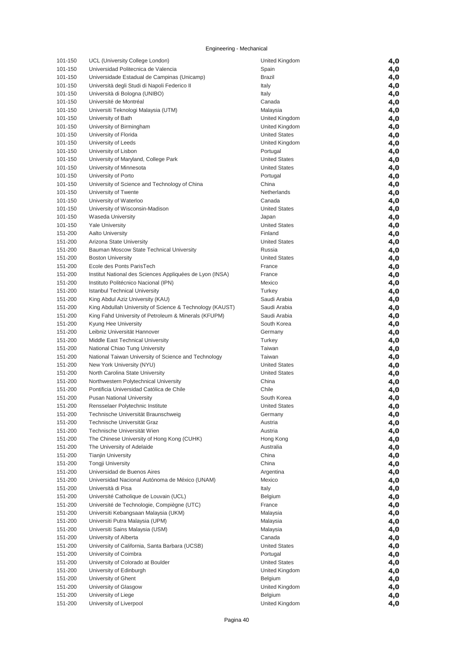| 101-150            | UCL (University College London)                          | United Kingdom       | 4,0 |
|--------------------|----------------------------------------------------------|----------------------|-----|
| 101-150            | Universidad Politecnica de Valencia                      | Spain                | 4,0 |
| 101-150            | Universidade Estadual de Campinas (Unicamp)              | <b>Brazil</b>        | 4,0 |
| 101-150            | Università degli Studi di Napoli Federico II             | Italy                | 4,0 |
| 101-150            | Università di Bologna (UNIBO)                            | Italy                | 4,0 |
| 101-150            | Université de Montréal                                   | Canada               | 4,0 |
| 101-150            | Universiti Teknologi Malaysia (UTM)                      | Malaysia             |     |
|                    |                                                          |                      | 4,0 |
| 101-150            | University of Bath                                       | United Kingdom       | 4,0 |
| 101-150            | University of Birmingham                                 | United Kingdom       | 4,0 |
| 101-150            | University of Florida                                    | <b>United States</b> | 4,0 |
| 101-150            | University of Leeds                                      | United Kingdom       | 4,0 |
| 101-150            | University of Lisbon                                     | Portugal             | 4,0 |
| 101-150            | University of Maryland, College Park                     | <b>United States</b> | 4,0 |
| 101-150            | University of Minnesota                                  | <b>United States</b> | 4,0 |
| 101-150            | University of Porto                                      | Portugal             | 4,0 |
| 101-150            | University of Science and Technology of China            | China                | 4,0 |
| 101-150            | University of Twente                                     | Netherlands          | 4,0 |
| 101-150            | University of Waterloo                                   | Canada               | 4,0 |
| 101-150            | University of Wisconsin-Madison                          | <b>United States</b> | 4,0 |
| 101-150            | Waseda University                                        | Japan                | 4,0 |
| 101-150            | <b>Yale University</b>                                   | <b>United States</b> | 4,0 |
| 151-200            | <b>Aalto University</b>                                  | Finland              | 4,0 |
| 151-200            | Arizona State University                                 | <b>United States</b> | 4,0 |
| 151-200            | Bauman Moscow State Technical University                 | Russia               | 4,0 |
| 151-200            | <b>Boston University</b>                                 | <b>United States</b> | 4,0 |
| 151-200            | Ecole des Ponts ParisTech                                | France               | 4,0 |
| 151-200            | Institut National des Sciences Appliquées de Lyon (INSA) | France               | 4,0 |
| 151-200            | Instituto Politécnico Nacional (IPN)                     | Mexico               | 4,0 |
| 151-200            | <b>Istanbul Technical University</b>                     | Turkey               | 4,0 |
| 151-200            | King Abdul Aziz University (KAU)                         | Saudi Arabia         | 4,0 |
| 151-200            | King Abdullah University of Science & Technology (KAUST) | Saudi Arabia         | 4,0 |
| 151-200            | King Fahd University of Petroleum & Minerals (KFUPM)     | Saudi Arabia         | 4,0 |
| 151-200            | Kyung Hee University                                     | South Korea          | 4,0 |
| 151-200            | Leibniz Universität Hannover                             | Germany              | 4,0 |
| 151-200            | Middle East Technical University                         | Turkey               | 4,0 |
| 151-200            | National Chiao Tung University                           | Taiwan               | 4,0 |
| 151-200            | National Taiwan University of Science and Technology     | Taiwan               | 4,0 |
| 151-200            | New York University (NYU)                                | <b>United States</b> | 4,0 |
| 151-200            | North Carolina State University                          | <b>United States</b> | 4,0 |
| 151-200            | Northwestern Polytechnical University                    | China                | 4,0 |
| 151-200            | Pontificia Universidad Católica de Chile                 | Chile                | 4,0 |
| 151-200            | <b>Pusan National University</b>                         | South Korea          | 4,0 |
| 151-200            | Rensselaer Polytechnic Institute                         | <b>United States</b> | 4,0 |
|                    | Technische Universität Braunschweig                      |                      |     |
| 151-200<br>151-200 | Technische Universität Graz                              | Germany<br>Austria   | 4,0 |
| 151-200            | Technische Universität Wien                              | Austria              | 4,0 |
| 151-200            | The Chinese University of Hong Kong (CUHK)               |                      | 4,0 |
|                    |                                                          | Hong Kong            | 4,0 |
| 151-200            | The University of Adelaide                               | Australia<br>China   | 4,0 |
| 151-200            | <b>Tianjin University</b>                                |                      | 4,0 |
| 151-200            | <b>Tongji University</b>                                 | China                | 4,0 |
| 151-200            | Universidad de Buenos Aires                              | Argentina            | 4,0 |
| 151-200            | Universidad Nacional Autónoma de México (UNAM)           | Mexico               | 4,0 |
| 151-200            | Università di Pisa                                       | Italy                | 4,0 |
| 151-200            | Université Catholique de Louvain (UCL)                   | Belgium              | 4,0 |
| 151-200            | Université de Technologie, Compiègne (UTC)               | France               | 4,0 |
| 151-200            | Universiti Kebangsaan Malaysia (UKM)                     | Malaysia             | 4,0 |
| 151-200            | Universiti Putra Malaysia (UPM)                          | Malaysia             | 4,0 |
| 151-200            | Universiti Sains Malaysia (USM)                          | Malaysia             | 4,0 |
| 151-200            | University of Alberta                                    | Canada               | 4,0 |
| 151-200            | University of California, Santa Barbara (UCSB)           | <b>United States</b> | 4,0 |
| 151-200            | University of Coimbra                                    | Portugal             | 4,0 |
| 151-200            | University of Colorado at Boulder                        | <b>United States</b> | 4,0 |
| 151-200            | University of Edinburgh                                  | United Kingdom       | 4,0 |
| 151-200            | University of Ghent                                      | Belgium              | 4,0 |
| 151-200            | University of Glasgow                                    | United Kingdom       | 4,0 |
| 151-200            | University of Liege                                      | Belgium              | 4,0 |
| 151-200            | University of Liverpool                                  | United Kingdom       | 4,0 |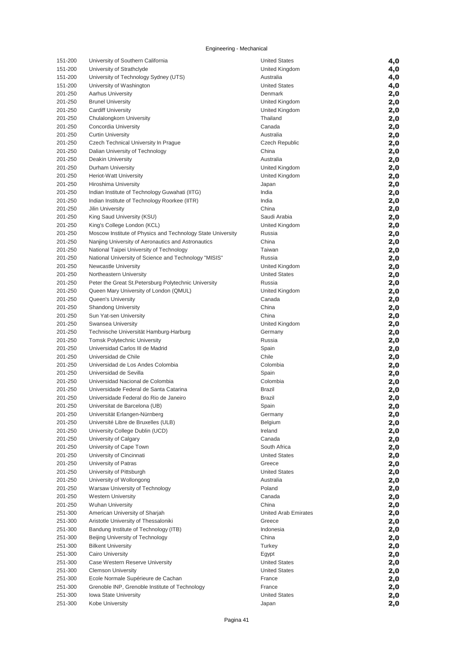| 151-200            | University of Southern California                                       | <b>United States</b>  | 4,0        |
|--------------------|-------------------------------------------------------------------------|-----------------------|------------|
| 151-200            | University of Strathclyde                                               | United Kingdom        | 4,0        |
| 151-200            | University of Technology Sydney (UTS)                                   | Australia             | 4,0        |
| 151-200            | University of Washington                                                | <b>United States</b>  | 4,0        |
| 201-250            | <b>Aarhus University</b>                                                | Denmark               | 2,0        |
| 201-250            | <b>Brunel University</b>                                                | United Kingdom        | 2,0        |
| 201-250            | <b>Cardiff University</b>                                               | United Kingdom        | 2,0        |
| 201-250            | Chulalongkorn University                                                | Thailand              | 2,0        |
| 201-250            | Concordia University                                                    | Canada                | 2,0        |
| 201-250            | <b>Curtin University</b>                                                | Australia             | 2,0        |
| 201-250            | Czech Technical University In Prague                                    | <b>Czech Republic</b> | 2,0        |
| 201-250            | Dalian University of Technology                                         | China                 | 2,0        |
| 201-250            | <b>Deakin University</b>                                                | Australia             | 2,0        |
| 201-250            | Durham University                                                       | United Kingdom        | 2,0        |
| 201-250<br>201-250 | Heriot-Watt University<br>Hiroshima University                          | United Kingdom        | 2,0        |
| 201-250            | Indian Institute of Technology Guwahati (IITG)                          | Japan<br>India        | 2,0<br>2,0 |
| 201-250            | Indian Institute of Technology Roorkee (IITR)                           | India                 | 2,0        |
| 201-250            | Jilin University                                                        | China                 | 2,0        |
| 201-250            | King Saud University (KSU)                                              | Saudi Arabia          | 2,0        |
| 201-250            | King's College London (KCL)                                             | United Kingdom        | 2,0        |
| 201-250            | Moscow Institute of Physics and Technology State University             | Russia                | 2,0        |
| 201-250            | Nanjing University of Aeronautics and Astronautics                      | China                 | 2,0        |
| 201-250            | National Taipei University of Technology                                | Taiwan                | 2,0        |
| 201-250            | National University of Science and Technology "MISIS"                   | Russia                | 2,0        |
| 201-250            | Newcastle University                                                    | United Kingdom        | 2,0        |
| 201-250            | Northeastern University                                                 | <b>United States</b>  | 2,0        |
| 201-250            | Peter the Great St. Petersburg Polytechnic University                   | Russia                | 2,0        |
| 201-250            | Queen Mary University of London (QMUL)                                  | United Kingdom        | 2,0        |
| 201-250            | Queen's University                                                      | Canada                | 2,0        |
| 201-250            | <b>Shandong University</b>                                              | China                 | 2,0        |
| 201-250            | Sun Yat-sen University                                                  | China                 | 2,0        |
| 201-250            | Swansea University                                                      | United Kingdom        | 2,0        |
| 201-250            | Technische Universität Hamburg-Harburg                                  | Germany               | 2,0        |
| 201-250<br>201-250 | <b>Tomsk Polytechnic University</b><br>Universidad Carlos III de Madrid | Russia                | 2,0        |
| 201-250            | Universidad de Chile                                                    | Spain<br>Chile        | 2,0<br>2,0 |
| 201-250            | Universidad de Los Andes Colombia                                       | Colombia              | 2,0        |
| 201-250            | Universidad de Sevilla                                                  | Spain                 | 2,0        |
| 201-250            | Universidad Nacional de Colombia                                        | Colombia              | 2,0        |
| 201-250            | Universidade Federal de Santa Catarina                                  | <b>Brazil</b>         | 2,0        |
| 201-250            | Universidade Federal do Rio de Janeiro                                  | <b>Brazil</b>         | 2,0        |
| 201-250            | Universitat de Barcelona (UB)                                           | Spain                 | 2,0        |
| 201-250            | Universität Erlangen-Nürnberg                                           | Germany               | 2,0        |
| 201-250            | Université Libre de Bruxelles (ULB)                                     | Belgium               | 2,0        |
| 201-250            | University College Dublin (UCD)                                         | Ireland               | 2,0        |
| 201-250            | University of Calgary                                                   | Canada                | 2,0        |
| 201-250            | University of Cape Town                                                 | South Africa          | 2,0        |
| 201-250            | University of Cincinnati                                                | <b>United States</b>  | 2,0        |
| 201-250            | University of Patras                                                    | Greece                | 2,0        |
| 201-250            | University of Pittsburgh                                                | <b>United States</b>  | 2,0        |
| 201-250            | University of Wollongong                                                | Australia             | 2,0        |
| 201-250            | Warsaw University of Technology<br><b>Western University</b>            | Poland                | 2,0        |
| 201-250<br>201-250 | <b>Wuhan University</b>                                                 | Canada<br>China       | 2,0        |
| 251-300            | American University of Sharjah                                          | United Arab Emirates  | 2,0<br>2,0 |
| 251-300            | Aristotle University of Thessaloniki                                    | Greece                | 2,0        |
| 251-300            | Bandung Institute of Technology (ITB)                                   | Indonesia             | 2,0        |
| 251-300            | Beijing University of Technology                                        | China                 | 2,0        |
| 251-300            | <b>Bilkent University</b>                                               | Turkey                | 2,0        |
| 251-300            | <b>Cairo University</b>                                                 | Egypt                 | 2,0        |
| 251-300            | Case Western Reserve University                                         | <b>United States</b>  | 2,0        |
| 251-300            | <b>Clemson University</b>                                               | <b>United States</b>  | 2,0        |
| 251-300            | Ecole Normale Supérieure de Cachan                                      | France                | 2,0        |
| 251-300            | Grenoble INP, Grenoble Institute of Technology                          | France                | 2,0        |
| 251-300            | <b>Iowa State University</b>                                            | <b>United States</b>  | 2,0        |
| 251-300            | Kobe University                                                         | Japan                 | 2,0        |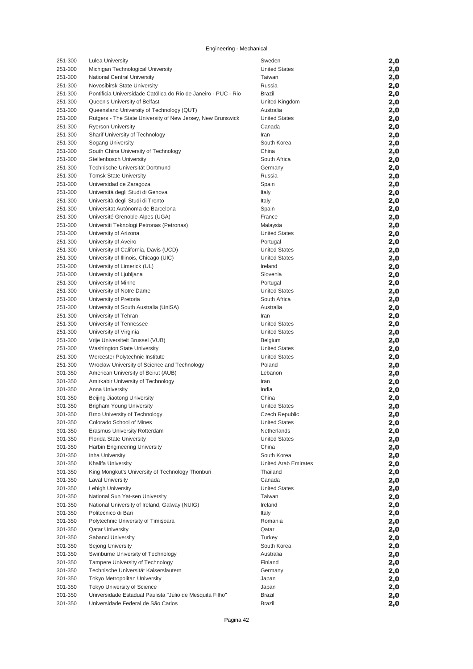| 251-300            | <b>Lulea University</b>                                                         | Sweden                                       | 2,0        |
|--------------------|---------------------------------------------------------------------------------|----------------------------------------------|------------|
| 251-300            | Michigan Technological University                                               | <b>United States</b>                         | 2,0        |
| 251-300            | National Central University                                                     | Taiwan                                       | 2,0        |
| 251-300            | Novosibirsk State University                                                    | Russia                                       | 2,0        |
| 251-300            | Pontificia Universidade Católica do Rio de Janeiro - PUC - Rio                  | <b>Brazil</b>                                | 2,0        |
| 251-300            | Queen's University of Belfast                                                   | United Kingdom                               | 2,0        |
| 251-300            | Queensland University of Technology (QUT)                                       | Australia                                    | 2,0        |
| 251-300            | Rutgers - The State University of New Jersey, New Brunswick                     | <b>United States</b>                         | 2,0        |
| 251-300            | <b>Ryerson University</b>                                                       | Canada                                       | 2,0        |
| 251-300            | Sharif University of Technology                                                 | Iran                                         | 2,0        |
| 251-300            | Sogang University                                                               | South Korea                                  | 2,0        |
| 251-300            | South China University of Technology                                            | China                                        | 2,0        |
| 251-300            | Stellenbosch University                                                         | South Africa                                 | 2,0        |
| 251-300            | Technische Universität Dortmund                                                 | Germany                                      | 2,0        |
| 251-300            | <b>Tomsk State University</b>                                                   | Russia                                       | 2,0        |
| 251-300            | Universidad de Zaragoza                                                         | Spain                                        | 2,0        |
| 251-300            | Università degli Studi di Genova                                                | Italy                                        | 2,0        |
| 251-300            | Università degli Studi di Trento                                                | Italy                                        | 2,0        |
| 251-300            | Universitat Autónoma de Barcelona                                               | Spain                                        | 2,0        |
| 251-300            | Université Grenoble-Alpes (UGA)                                                 | France                                       | 2,0        |
| 251-300            | Universiti Teknologi Petronas (Petronas)                                        | Malaysia                                     | 2,0        |
| 251-300            | University of Arizona                                                           | <b>United States</b>                         | 2,0        |
| 251-300            | University of Aveiro                                                            | Portugal                                     | 2,0        |
| 251-300            | University of California, Davis (UCD)                                           | <b>United States</b>                         | 2,0        |
| 251-300            | University of Illinois, Chicago (UIC)                                           | <b>United States</b>                         | 2,0        |
| 251-300            | University of Limerick (UL)                                                     | Ireland                                      | 2,0        |
| 251-300            | University of Ljubljana                                                         | Slovenia                                     | 2,0        |
| 251-300            | University of Minho                                                             | Portugal                                     | 2,0        |
| 251-300            | University of Notre Dame                                                        | <b>United States</b>                         | 2,0        |
| 251-300            | University of Pretoria                                                          | South Africa                                 | 2,0        |
| 251-300            | University of South Australia (UniSA)                                           | Australia                                    | 2,0        |
| 251-300            | University of Tehran                                                            | Iran                                         | 2,0        |
| 251-300            | University of Tennessee                                                         | <b>United States</b>                         | 2,0        |
| 251-300            | University of Virginia                                                          | <b>United States</b>                         | 2,0        |
| 251-300            | Vrije Universiteit Brussel (VUB)                                                | Belgium                                      | 2,0        |
| 251-300            | <b>Washington State University</b>                                              | <b>United States</b><br><b>United States</b> | 2,0        |
| 251-300<br>251-300 | Worcester Polytechnic Institute<br>Wrocław University of Science and Technology | Poland                                       | 2,0        |
| 301-350            | American University of Beirut (AUB)                                             | Lebanon                                      | 2,0<br>2,0 |
| 301-350            | Amirkabir University of Technology                                              | Iran                                         | 2,0        |
| 301-350            | <b>Anna University</b>                                                          | India                                        | 2,0        |
| 301-350            | Beijing Jiaotong University                                                     | China                                        | 2,0        |
| 301-350            | <b>Brigham Young University</b>                                                 | <b>United States</b>                         | 2,0        |
| 301-350            | Brno University of Technology                                                   | Czech Republic                               | 2,0        |
| 301-350            | Colorado School of Mines                                                        | <b>United States</b>                         | 2,0        |
| 301-350            | Erasmus University Rotterdam                                                    | Netherlands                                  | 2,0        |
| 301-350            | Florida State University                                                        | <b>United States</b>                         | 2,0        |
| 301-350            | Harbin Engineering University                                                   | China                                        | 2,0        |
| 301-350            | Inha University                                                                 | South Korea                                  | 2,0        |
| 301-350            | Khalifa University                                                              | United Arab Emirates                         | 2,0        |
| 301-350            | King Mongkut's University of Technology Thonburi                                | Thailand                                     | 2,0        |
| 301-350            | <b>Laval University</b>                                                         | Canada                                       | 2,0        |
| 301-350            | Lehigh University                                                               | <b>United States</b>                         | 2,0        |
| 301-350            | National Sun Yat-sen University                                                 | Taiwan                                       | 2,0        |
| 301-350            | National University of Ireland, Galway (NUIG)                                   | Ireland                                      | 2,0        |
| 301-350            | Politecnico di Bari                                                             | Italy                                        | 2,0        |
| 301-350            | Polytechnic University of Timișoara                                             | Romania                                      | 2,0        |
| 301-350            | <b>Qatar University</b>                                                         | Qatar                                        | 2,0        |
| 301-350            | Sabanci University                                                              | Turkey                                       | 2,0        |
| 301-350            | Sejong University                                                               | South Korea                                  | 2,0        |
| 301-350            | Swinburne University of Technology                                              | Australia                                    | 2,0        |
| 301-350            | Tampere University of Technology                                                | Finland                                      | 2,0        |
| 301-350            | Technische Universität Kaiserslautern                                           | Germany                                      | 2,0        |
| 301-350            | Tokyo Metropolitan University                                                   | Japan                                        | 2,0        |
| 301-350            | Tokyo University of Science                                                     | Japan                                        | 2,0        |
| 301-350            | Universidade Estadual Paulista "Júlio de Mesquita Filho"                        | Brazil                                       | 2,0        |
| 301-350            | Universidade Federal de São Carlos                                              | <b>Brazil</b>                                | 2,0        |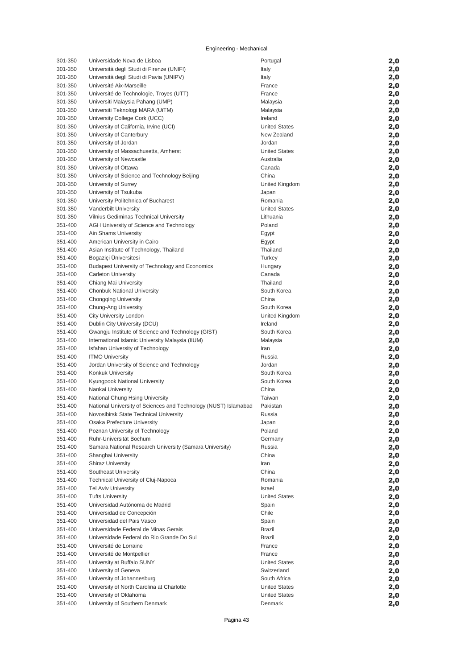| 301-350 | Universidade Nova de Lisboa                                     | Portugal             | 2,0 |
|---------|-----------------------------------------------------------------|----------------------|-----|
| 301-350 | Università degli Studi di Firenze (UNIFI)                       | Italy                | 2,0 |
| 301-350 | Università degli Studi di Pavia (UNIPV)                         | Italy                | 2,0 |
| 301-350 | Université Aix-Marseille                                        | France               | 2,0 |
| 301-350 | Université de Technologie, Troyes (UTT)                         | France               | 2,0 |
| 301-350 | Universiti Malaysia Pahang (UMP)                                | Malaysia             | 2,0 |
| 301-350 | Universiti Teknologi MARA (UiTM)                                | Malaysia             | 2,0 |
| 301-350 | University College Cork (UCC)                                   | Ireland              | 2,0 |
| 301-350 | University of California, Irvine (UCI)                          | <b>United States</b> | 2,0 |
| 301-350 | University of Canterbury                                        | New Zealand          | 2,0 |
| 301-350 | University of Jordan                                            | Jordan               | 2,0 |
| 301-350 | University of Massachusetts, Amherst                            | <b>United States</b> | 2,0 |
| 301-350 | University of Newcastle                                         | Australia            | 2,0 |
| 301-350 | University of Ottawa                                            | Canada               | 2,0 |
| 301-350 | University of Science and Technology Beijing                    | China                | 2,0 |
| 301-350 | University of Surrey                                            | United Kingdom       | 2,0 |
| 301-350 | University of Tsukuba                                           | Japan                | 2,0 |
| 301-350 | University Politehnica of Bucharest                             | Romania              | 2,0 |
| 301-350 | Vanderbilt University                                           | <b>United States</b> | 2,0 |
| 301-350 | Vilnius Gediminas Technical University                          | Lithuania            | 2,0 |
| 351-400 | AGH University of Science and Technology                        | Poland               | 2,0 |
| 351-400 | Ain Shams University                                            | Egypt                | 2,0 |
| 351-400 | American University in Cairo                                    | Egypt                | 2,0 |
| 351-400 | Asian Institute of Technology, Thailand                         | Thailand             | 2,0 |
| 351-400 | Bogaziçi Üniversitesi                                           | Turkey               | 2,0 |
| 351-400 | Budapest University of Technology and Economics                 | Hungary              | 2,0 |
| 351-400 | <b>Carleton University</b>                                      | Canada               | 2,0 |
| 351-400 | Chiang Mai University                                           | Thailand             | 2,0 |
| 351-400 | Chonbuk National University                                     | South Korea          | 2,0 |
| 351-400 | <b>Chongqing University</b>                                     | China                | 2,0 |
| 351-400 | Chung-Ang University                                            | South Korea          | 2,0 |
| 351-400 | City University London                                          | United Kingdom       | 2,0 |
| 351-400 | Dublin City University (DCU)                                    | Ireland              | 2,0 |
| 351-400 | Gwangju Institute of Science and Technology (GIST)              | South Korea          | 2,0 |
| 351-400 | International Islamic University Malaysia (IIUM)                | Malaysia             | 2,0 |
| 351-400 | Isfahan University of Technology                                | Iran                 | 2,0 |
| 351-400 | <b>ITMO University</b>                                          | Russia               | 2,0 |
| 351-400 | Jordan University of Science and Technology                     | Jordan               | 2,0 |
| 351-400 | Konkuk University                                               | South Korea          | 2,0 |
| 351-400 | Kyungpook National University                                   | South Korea          | 2,0 |
| 351-400 | Nankai University                                               | China                | 2,0 |
| 351-400 | National Chung Hsing University                                 | Taiwan               | 2,0 |
| 351-400 | National University of Sciences and Technology (NUST) Islamabad | Pakistan             | 2,0 |
| 351-400 | Novosibirsk State Technical University                          | Russia               | 2,0 |
| 351-400 | Osaka Prefecture University                                     | Japan                | 2,0 |
| 351-400 | Poznan University of Technology                                 | Poland               | 2,0 |
| 351-400 | Ruhr-Universität Bochum                                         | Germany              | 2,0 |
| 351-400 | Samara National Research University (Samara University)         | Russia               | 2,0 |
| 351-400 | Shanghai University                                             | China                | 2,0 |
| 351-400 | <b>Shiraz University</b>                                        | Iran                 | 2,0 |
| 351-400 | Southeast University                                            | China                | 2,0 |
| 351-400 | Technical University of Cluj-Napoca                             | Romania              | 2,0 |
| 351-400 | <b>Tel Aviv University</b>                                      | Israel               | 2,0 |
| 351-400 | <b>Tufts University</b>                                         | <b>United States</b> | 2,0 |
| 351-400 | Universidad Autónoma de Madrid                                  | Spain                | 2,0 |
| 351-400 | Universidad de Concepción                                       | Chile                | 2,0 |
| 351-400 | Universidad del Pais Vasco                                      | Spain                | 2,0 |
| 351-400 | Universidade Federal de Minas Gerais                            | <b>Brazil</b>        | 2,0 |
| 351-400 | Universidade Federal do Rio Grande Do Sul                       | <b>Brazil</b>        | 2,0 |
| 351-400 | Université de Lorraine                                          | France               | 2,0 |
| 351-400 | Université de Montpellier                                       | France               | 2,0 |
| 351-400 | University at Buffalo SUNY                                      | <b>United States</b> | 2,0 |
| 351-400 | University of Geneva                                            | Switzerland          | 2,0 |
| 351-400 | University of Johannesburg                                      | South Africa         | 2,0 |
| 351-400 | University of North Carolina at Charlotte                       | <b>United States</b> | 2,0 |
| 351-400 | University of Oklahoma                                          | <b>United States</b> | 2,0 |
| 351-400 | University of Southern Denmark                                  | Denmark              | 2,0 |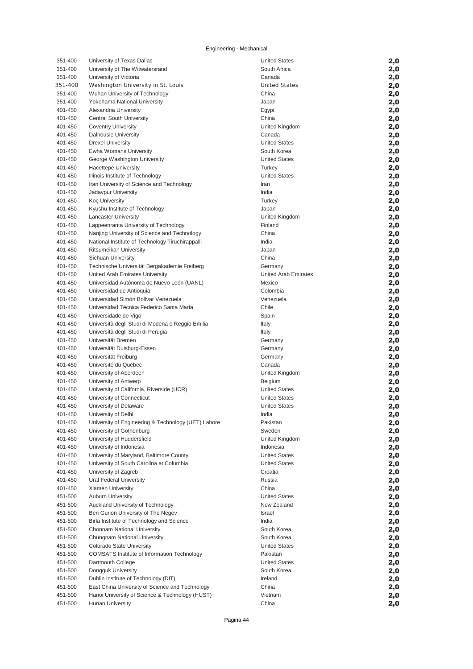| 351-400 | University of Texas Dallas                          | <b>United States</b> | 2,0 |
|---------|-----------------------------------------------------|----------------------|-----|
| 351-400 | University of The Witwatersrand                     | South Africa         | 2,0 |
| 351-400 | University of Victoria                              | Canada               | 2,0 |
| 351-400 | Washington University in St. Louis                  | <b>United States</b> |     |
|         |                                                     |                      | 2,0 |
| 351-400 | Wuhan University of Technology                      | China                | 2,0 |
| 351-400 | Yokohama National University                        | Japan                | 2,0 |
| 401-450 | Alexandria University                               | Egypt                | 2,0 |
| 401-450 | <b>Central South University</b>                     | China                | 2,0 |
| 401-450 | <b>Coventry University</b>                          | United Kingdom       | 2,0 |
| 401-450 | <b>Dalhousie University</b>                         | Canada               | 2,0 |
| 401-450 | <b>Drexel University</b>                            | <b>United States</b> | 2,0 |
| 401-450 | Ewha Womans University                              | South Korea          | 2,0 |
| 401-450 | George Washington University                        | <b>United States</b> | 2,0 |
| 401-450 | <b>Hacettepe University</b>                         | Turkey               | 2,0 |
| 401-450 | Illinois Institute of Technology                    | <b>United States</b> | 2,0 |
| 401-450 | Iran University of Science and Technology           | Iran                 | 2,0 |
| 401-450 | Jadavpur University                                 | India                | 2,0 |
| 401-450 | Koç University                                      | Turkey               | 2,0 |
| 401-450 | Kyushu Institute of Technology                      | Japan                |     |
|         |                                                     |                      | 2,0 |
| 401-450 | <b>Lancaster University</b>                         | United Kingdom       | 2,0 |
| 401-450 | Lappeenranta University of Technology               | Finland              | 2,0 |
| 401-450 | Nanjing University of Science and Technology        | China                | 2,0 |
| 401-450 | National Institute of Technology Tiruchirappalli    | India                | 2,0 |
| 401-450 | Ritsumeikan University                              | Japan                | 2,0 |
| 401-450 | Sichuan University                                  | China                | 2,0 |
| 401-450 | Technische Universität Bergakademie Freiberg        | Germany              | 2,0 |
| 401-450 | United Arab Emirates University                     | United Arab Emirates | 2,0 |
| 401-450 | Universidad Autónoma de Nuevo León (UANL)           | Mexico               | 2,0 |
| 401-450 | Universidad de Antioquia                            | Colombia             | 2,0 |
| 401-450 | Universidad Simón Bolívar Venezuela                 | Venezuela            | 2,0 |
| 401-450 | Universidad Técnica Federico Santa María            | Chile                | 2,0 |
| 401-450 | Universidade de Vigo                                | Spain                | 2,0 |
| 401-450 | Università degli Studi di Modena e Reggio Emilia    | Italy                | 2,0 |
| 401-450 | Università degli Studi di Perugia                   | Italy                | 2,0 |
| 401-450 | Universität Bremen                                  | Germany              |     |
|         |                                                     |                      | 2,0 |
| 401-450 | Universität Duisburg-Essen                          | Germany              | 2,0 |
| 401-450 | Universität Freiburg                                | Germany              | 2,0 |
| 401-450 | Université du Québec                                | Canada               | 2,0 |
| 401-450 | University of Aberdeen                              | United Kingdom       | 2,0 |
| 401-450 | University of Antwerp                               | Belgium              | 2,0 |
| 401-450 | University of California, Riverside (UCR)           | <b>United States</b> | 2,0 |
| 401-450 | University of Connecticut                           | <b>United States</b> | 2,0 |
| 401-450 | University of Delaware                              | <b>United States</b> | 2,0 |
| 401-450 | University of Delhi                                 | India                | 2,0 |
| 401-450 | University of Engineering & Technology (UET) Lahore | Pakistan             | 2,0 |
| 401-450 | University of Gothenburg                            | Sweden               | 2,0 |
| 401-450 | University of Huddersfield                          | United Kingdom       | 2,0 |
| 401-450 | University of Indonesia                             | Indonesia            | 2,0 |
| 401-450 | University of Maryland, Baltimore County            | <b>United States</b> | 2,0 |
| 401-450 | University of South Carolina at Columbia            | <b>United States</b> | 2,0 |
| 401-450 | University of Zagreb                                | Croatia              | 2,0 |
| 401-450 | Ural Federal University                             | Russia               |     |
| 401-450 | Xiamen University                                   | China                | 2,0 |
|         |                                                     | <b>United States</b> | 2,0 |
| 451-500 | <b>Auburn University</b>                            |                      | 2,0 |
| 451-500 | Auckland University of Technology                   | New Zealand          | 2,0 |
| 451-500 | Ben Gurion University of The Negev                  | <b>Israel</b>        | 2,0 |
| 451-500 | Birla Institute of Technology and Science           | India                | 2,0 |
| 451-500 | Chonnam National University                         | South Korea          | 2,0 |
| 451-500 | Chungnam National University                        | South Korea          | 2,0 |
| 451-500 | Colorado State University                           | <b>United States</b> | 2,0 |
| 451-500 | COMSATS Institute of Information Technology         | Pakistan             | 2,0 |
| 451-500 | Dartmouth College                                   | <b>United States</b> | 2,0 |
| 451-500 | Dongguk University                                  | South Korea          | 2,0 |
| 451-500 | Dublin Institute of Technology (DIT)                | Ireland              | 2,0 |
| 451-500 | East China University of Science and Technology     | China                | 2,0 |
| 451-500 | Hanoi University of Science & Technology (HUST)     | Vietnam              | 2,0 |
| 451-500 | <b>Hunan University</b>                             | China                | 2,0 |
|         |                                                     |                      |     |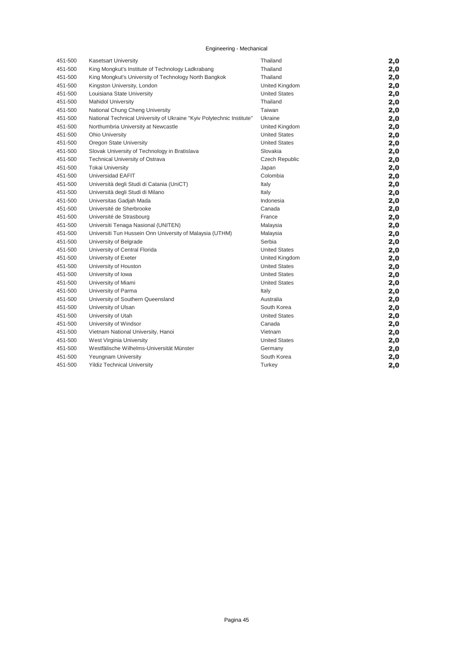| 451-500 | <b>Kasetsart University</b>                                           | Thailand              | 2,0 |
|---------|-----------------------------------------------------------------------|-----------------------|-----|
| 451-500 | King Mongkut's Institute of Technology Ladkrabang                     | Thailand              | 2,0 |
| 451-500 | King Mongkut's University of Technology North Bangkok                 | Thailand              | 2,0 |
| 451-500 | Kingston University, London                                           | United Kingdom        | 2,0 |
| 451-500 | Louisiana State University                                            | <b>United States</b>  | 2,0 |
| 451-500 | <b>Mahidol University</b>                                             | Thailand              | 2,0 |
| 451-500 | National Chung Cheng University                                       | Taiwan                | 2,0 |
| 451-500 | National Technical University of Ukraine "Kyiv Polytechnic Institute" | Ukraine               | 2,0 |
| 451-500 | Northumbria University at Newcastle                                   | United Kingdom        | 2,0 |
| 451-500 | Ohio University                                                       | <b>United States</b>  | 2,0 |
| 451-500 | Oregon State University                                               | <b>United States</b>  | 2,0 |
| 451-500 | Slovak University of Technology in Bratislava                         | Slovakia              | 2,0 |
| 451-500 | Technical University of Ostrava                                       | <b>Czech Republic</b> | 2,0 |
| 451-500 | <b>Tokai University</b>                                               | Japan                 | 2,0 |
| 451-500 | Universidad EAFIT                                                     | Colombia              | 2,0 |
| 451-500 | Università degli Studi di Catania (UniCT)                             | Italy                 | 2,0 |
| 451-500 | Università degli Studi di Milano                                      | Italy                 | 2,0 |
| 451-500 | Universitas Gadjah Mada                                               | Indonesia             | 2,0 |
| 451-500 | Université de Sherbrooke                                              | Canada                | 2,0 |
| 451-500 | Université de Strasbourg                                              | France                | 2,0 |
| 451-500 | Universiti Tenaga Nasional (UNITEN)                                   | Malaysia              | 2,0 |
| 451-500 | Universiti Tun Hussein Onn University of Malaysia (UTHM)              | Malaysia              | 2,0 |
| 451-500 | University of Belgrade                                                | Serbia                | 2,0 |
| 451-500 | University of Central Florida                                         | <b>United States</b>  | 2,0 |
| 451-500 | University of Exeter                                                  | United Kingdom        | 2,0 |
| 451-500 | University of Houston                                                 | <b>United States</b>  | 2,0 |
| 451-500 | University of Iowa                                                    | <b>United States</b>  | 2,0 |
| 451-500 | University of Miami                                                   | <b>United States</b>  | 2,0 |
| 451-500 | University of Parma                                                   | Italy                 | 2,0 |
| 451-500 | University of Southern Queensland                                     | Australia             | 2,0 |
| 451-500 | University of Ulsan                                                   | South Korea           | 2,0 |
| 451-500 | University of Utah                                                    | <b>United States</b>  | 2,0 |
| 451-500 | University of Windsor                                                 | Canada                | 2,0 |
| 451-500 | Vietnam National University, Hanoi                                    | Vietnam               | 2,0 |
| 451-500 | West Virginia University                                              | <b>United States</b>  | 2,0 |
| 451-500 | Westfälische Wilhelms-Universität Münster                             | Germany               | 2,0 |
| 451-500 | Yeungnam University                                                   | South Korea           | 2,0 |
| 451-500 | <b>Yildiz Technical University</b>                                    | Turkey                | 2,0 |
|         |                                                                       |                       |     |